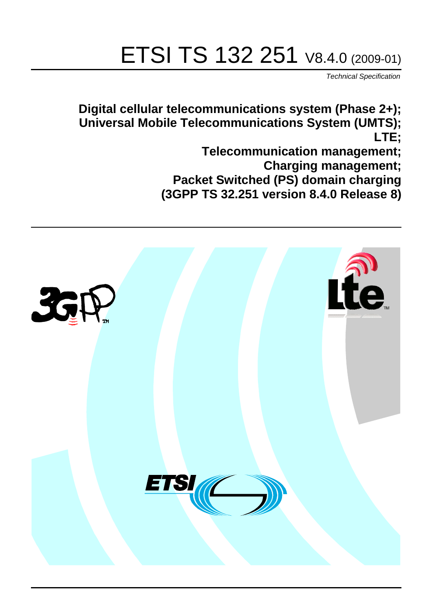# ETSI TS 132 251 V8.4.0 (2009-01)

*Technical Specification*

**Digital cellular telecommunications system (Phase 2+); Universal Mobile Telecommunications System (UMTS); LTE;**

> **Telecommunication management; Charging management; Packet Switched (PS) domain charging (3GPP TS 32.251 version 8.4.0 Release 8)**

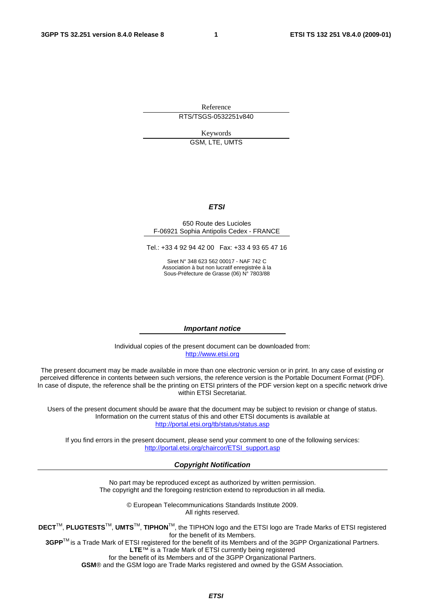Reference RTS/TSGS-0532251v840

> Keywords GSM, LTE, UMTS

## *ETSI*

#### 650 Route des Lucioles F-06921 Sophia Antipolis Cedex - FRANCE

Tel.: +33 4 92 94 42 00 Fax: +33 4 93 65 47 16

Siret N° 348 623 562 00017 - NAF 742 C Association à but non lucratif enregistrée à la Sous-Préfecture de Grasse (06) N° 7803/88

#### *Important notice*

Individual copies of the present document can be downloaded from: [http://www.etsi.org](http://www.etsi.org/)

The present document may be made available in more than one electronic version or in print. In any case of existing or perceived difference in contents between such versions, the reference version is the Portable Document Format (PDF). In case of dispute, the reference shall be the printing on ETSI printers of the PDF version kept on a specific network drive within ETSI Secretariat.

Users of the present document should be aware that the document may be subject to revision or change of status. Information on the current status of this and other ETSI documents is available at <http://portal.etsi.org/tb/status/status.asp>

If you find errors in the present document, please send your comment to one of the following services: [http://portal.etsi.org/chaircor/ETSI\\_support.asp](http://portal.etsi.org/chaircor/ETSI_support.asp)

#### *Copyright Notification*

No part may be reproduced except as authorized by written permission. The copyright and the foregoing restriction extend to reproduction in all media.

> © European Telecommunications Standards Institute 2009. All rights reserved.

**DECT**TM, **PLUGTESTS**TM, **UMTS**TM, **TIPHON**TM, the TIPHON logo and the ETSI logo are Trade Marks of ETSI registered for the benefit of its Members.

**3GPP**TM is a Trade Mark of ETSI registered for the benefit of its Members and of the 3GPP Organizational Partners. **LTE**™ is a Trade Mark of ETSI currently being registered

for the benefit of its Members and of the 3GPP Organizational Partners.

**GSM**® and the GSM logo are Trade Marks registered and owned by the GSM Association.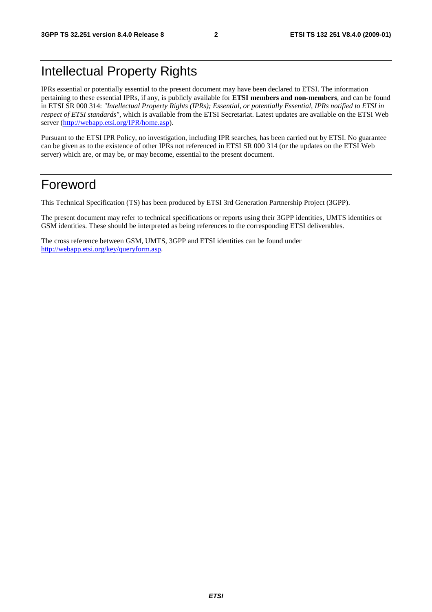## Intellectual Property Rights

IPRs essential or potentially essential to the present document may have been declared to ETSI. The information pertaining to these essential IPRs, if any, is publicly available for **ETSI members and non-members**, and can be found in ETSI SR 000 314: *"Intellectual Property Rights (IPRs); Essential, or potentially Essential, IPRs notified to ETSI in respect of ETSI standards"*, which is available from the ETSI Secretariat. Latest updates are available on the ETSI Web server [\(http://webapp.etsi.org/IPR/home.asp\)](http://webapp.etsi.org/IPR/home.asp).

Pursuant to the ETSI IPR Policy, no investigation, including IPR searches, has been carried out by ETSI. No guarantee can be given as to the existence of other IPRs not referenced in ETSI SR 000 314 (or the updates on the ETSI Web server) which are, or may be, or may become, essential to the present document.

## Foreword

This Technical Specification (TS) has been produced by ETSI 3rd Generation Partnership Project (3GPP).

The present document may refer to technical specifications or reports using their 3GPP identities, UMTS identities or GSM identities. These should be interpreted as being references to the corresponding ETSI deliverables.

The cross reference between GSM, UMTS, 3GPP and ETSI identities can be found under [http://webapp.etsi.org/key/queryform.asp.](http://webapp.etsi.org/key/queryform.asp)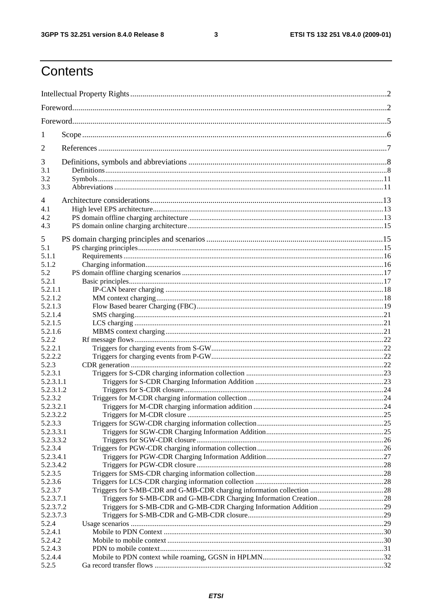$\mathbf{3}$ 

## Contents

| 1                    |  |  |  |
|----------------------|--|--|--|
| $\overline{2}$       |  |  |  |
| 3                    |  |  |  |
| 3.1                  |  |  |  |
| 3.2                  |  |  |  |
| 3.3                  |  |  |  |
| 4                    |  |  |  |
| 4.1                  |  |  |  |
| 4.2                  |  |  |  |
| 4.3                  |  |  |  |
| 5                    |  |  |  |
| 5.1                  |  |  |  |
| 5.1.1                |  |  |  |
| 5.1.2                |  |  |  |
| 5.2                  |  |  |  |
| 5.2.1                |  |  |  |
| 5.2.1.1              |  |  |  |
| 5.2.1.2              |  |  |  |
| 5.2.1.3              |  |  |  |
| 5.2.1.4              |  |  |  |
| 5.2.1.5              |  |  |  |
| 5.2.1.6              |  |  |  |
| 5.2.2                |  |  |  |
| 5.2.2.1              |  |  |  |
| 5.2.2.2              |  |  |  |
| 5.2.3                |  |  |  |
| 5.2.3.1              |  |  |  |
| 5.2.3.1.1            |  |  |  |
| 5.2.3.1.2            |  |  |  |
| 5.2.3.2<br>5.2.3.2.1 |  |  |  |
| 5.2.3.2.2            |  |  |  |
| 5.2.3.3              |  |  |  |
| 5.2.3.3.1            |  |  |  |
| 5.2.3.3.2            |  |  |  |
| 5.2.3.4              |  |  |  |
| 5.2.3.4.1            |  |  |  |
| 5.2.3.4.2            |  |  |  |
| 5.2.3.5              |  |  |  |
| 5.2.3.6              |  |  |  |
| 5.2.3.7              |  |  |  |
| 5.2.3.7.1            |  |  |  |
| 5.2.3.7.2            |  |  |  |
| 5.2.3.7.3            |  |  |  |
| 5.2.4                |  |  |  |
| 5.2.4.1              |  |  |  |
| 5.2.4.2              |  |  |  |
| 5.2.4.3              |  |  |  |
| 5.2.4.4              |  |  |  |
| 5.2.5                |  |  |  |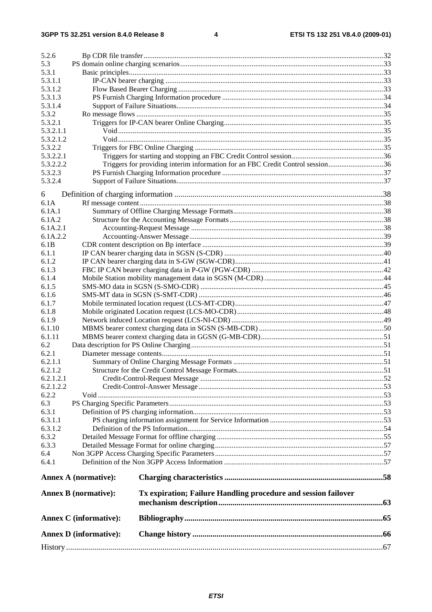#### $\overline{\mathbf{4}}$

|                        | <b>Annex D</b> (informative): |                                                                                |  |
|------------------------|-------------------------------|--------------------------------------------------------------------------------|--|
|                        | <b>Annex C</b> (informative): |                                                                                |  |
|                        | <b>Annex B</b> (normative):   | Tx expiration; Failure Handling procedure and session failover                 |  |
|                        | <b>Annex A (normative):</b>   |                                                                                |  |
| 6.4.1                  |                               |                                                                                |  |
| 6.4                    |                               |                                                                                |  |
| 6.3.3                  |                               |                                                                                |  |
| 6.3.2                  |                               |                                                                                |  |
| 6.3.1.2                |                               |                                                                                |  |
| 6.3.1.1                |                               |                                                                                |  |
| 6.3.1                  |                               |                                                                                |  |
| 6.3                    |                               |                                                                                |  |
| 6.2.2                  |                               |                                                                                |  |
| 6.2.1.2.1<br>6.2.1.2.2 |                               |                                                                                |  |
| 6.2.1.2                |                               |                                                                                |  |
| 6.2.1.1                |                               |                                                                                |  |
| 6.2.1                  |                               |                                                                                |  |
| 6.2                    |                               |                                                                                |  |
| 6.1.11                 |                               |                                                                                |  |
| 6.1.10                 |                               |                                                                                |  |
| 6.1.9                  |                               |                                                                                |  |
| 6.1.7<br>6.1.8         |                               |                                                                                |  |
| 6.1.6                  |                               |                                                                                |  |
| 6.1.5                  |                               |                                                                                |  |
| 6.1.4                  |                               |                                                                                |  |
| 6.1.3                  |                               |                                                                                |  |
| 6.1.2                  |                               |                                                                                |  |
| 6.1.1                  |                               |                                                                                |  |
| 6.1B                   |                               |                                                                                |  |
| 6.1A.2.2               |                               |                                                                                |  |
| 6.1A.2<br>6.1A.2.1     |                               |                                                                                |  |
| 6.1A.1                 |                               |                                                                                |  |
| 6.1A                   |                               |                                                                                |  |
| 6                      |                               |                                                                                |  |
| 5.3.2.4                |                               |                                                                                |  |
| 5.3.2.3                |                               |                                                                                |  |
| 5.3.2.2.2              |                               | Triggers for providing interim information for an FBC Credit Control session36 |  |
| 5.3.2.2.1              |                               |                                                                                |  |
| 5.3.2.2                |                               |                                                                                |  |
| 5.3.2.1.2              |                               |                                                                                |  |
| 5.3.2.1.1              |                               |                                                                                |  |
| 5.3.2.1                |                               |                                                                                |  |
| 5.3.1.4<br>5.3.2       |                               |                                                                                |  |
| 5.3.1.3                |                               |                                                                                |  |
| 5.3.1.2                |                               |                                                                                |  |
| 5.3.1.1                |                               |                                                                                |  |
| 5.3.1                  |                               |                                                                                |  |
| 5.3                    |                               |                                                                                |  |
| 5.2.6                  |                               |                                                                                |  |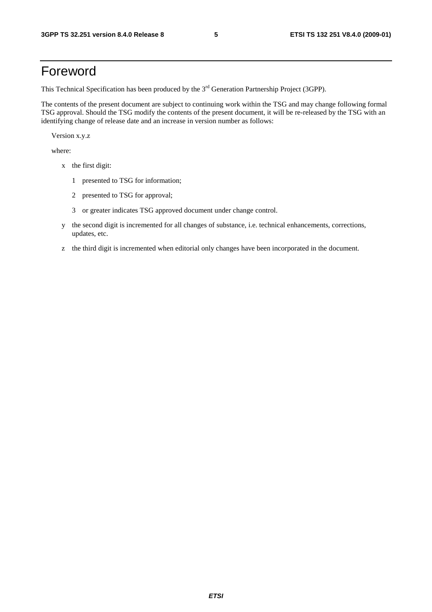## Foreword

This Technical Specification has been produced by the 3<sup>rd</sup> Generation Partnership Project (3GPP).

The contents of the present document are subject to continuing work within the TSG and may change following formal TSG approval. Should the TSG modify the contents of the present document, it will be re-released by the TSG with an identifying change of release date and an increase in version number as follows:

Version x.y.z

where:

- x the first digit:
	- 1 presented to TSG for information;
	- 2 presented to TSG for approval;
	- 3 or greater indicates TSG approved document under change control.
- y the second digit is incremented for all changes of substance, i.e. technical enhancements, corrections, updates, etc.
- z the third digit is incremented when editorial only changes have been incorporated in the document.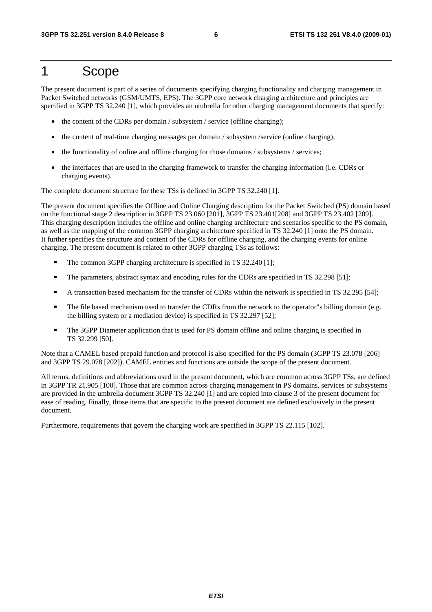## 1 Scope

The present document is part of a series of documents specifying charging functionality and charging management in Packet Switched networks (GSM/UMTS, EPS). The 3GPP core network charging architecture and principles are specified in 3GPP TS 32.240 [1], which provides an umbrella for other charging management documents that specify:

- the content of the CDRs per domain / subsystem / service (offline charging);
- the content of real-time charging messages per domain / subsystem /service (online charging);
- the functionality of online and offline charging for those domains / subsystems / services;
- the interfaces that are used in the charging framework to transfer the charging information (i.e. CDRs or charging events).

The complete document structure for these TSs is defined in 3GPP TS 32.240 [1].

The present document specifies the Offline and Online Charging description for the Packet Switched (PS) domain based on the functional stage 2 description in 3GPP TS 23.060 [201], 3GPP TS 23.401[208] and 3GPP TS 23.402 [209]. This charging description includes the offline and online charging architecture and scenarios specific to the PS domain, as well as the mapping of the common 3GPP charging architecture specified in TS 32.240 [1] onto the PS domain. It further specifies the structure and content of the CDRs for offline charging, and the charging events for online charging. The present document is related to other 3GPP charging TSs as follows:

- The common 3GPP charging architecture is specified in TS 32.240 [1];<br>The parameters abstract suntay and apociting rules for the CDPs are sp
- The parameters, abstract syntax and encoding rules for the CDRs are specified in TS 32.298 [51];<br>A transaction based mechanism for the transfer of CDRs within the network is specified in TS 32
- A transaction based mechanism for the transfer of CDRs within the network is specified in TS 32.295 [54];<br>The file based mechanism used to transfer the CDRs from the network to the operator"s billing domain (e.g.
- The file based mechanism used to transfer the CDRs from the network to the operator"s billing domain (e.g. the billing system or a mediation device) is specified in TS 32.297 [52];
- The 3GPP Diameter application that is used for PS domain offline and online charging is specified in TS 32.299 [50].

Note that a CAMEL based prepaid function and protocol is also specified for the PS domain (3GPP TS 23.078 [206] and 3GPP TS 29.078 [202]). CAMEL entities and functions are outside the scope of the present document.

All terms, definitions and abbreviations used in the present document, which are common across 3GPP TSs, are defined in 3GPP TR 21.905 [100]. Those that are common across charging management in PS domains, services or subsystems are provided in the umbrella document 3GPP TS 32.240 [1] and are copied into clause 3 of the present document for ease of reading. Finally, those items that are specific to the present document are defined exclusively in the present document.

Furthermore, requirements that govern the charging work are specified in 3GPP TS 22.115 [102].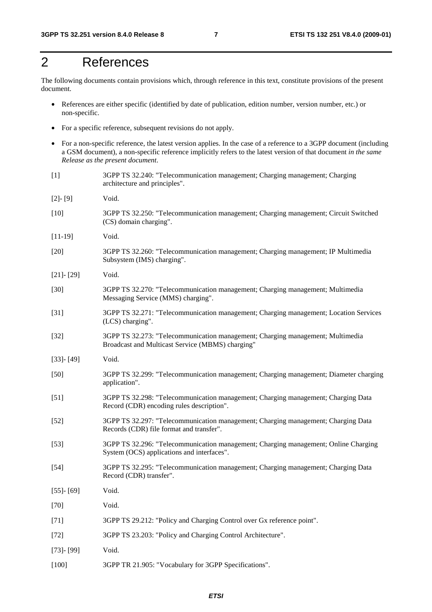## 2 References

The following documents contain provisions which, through reference in this text, constitute provisions of the present document.

- References are either specific (identified by date of publication, edition number, version number, etc.) or non-specific.
- For a specific reference, subsequent revisions do not apply.
- For a non-specific reference, the latest version applies. In the case of a reference to a 3GPP document (including a GSM document), a non-specific reference implicitly refers to the latest version of that document *in the same Release as the present document*.
- [1] 3GPP TS 32.240: "Telecommunication management; Charging management; Charging architecture and principles".
- [2]- [9] Void.
- [10] 3GPP TS 32.250: "Telecommunication management; Charging management; Circuit Switched (CS) domain charging".
- [11-19] Void.
- [20] 3GPP TS 32.260: "Telecommunication management; Charging management; IP Multimedia Subsystem (IMS) charging".
- [21]- [29] Void.
- [30] 3GPP TS 32.270: "Telecommunication management; Charging management; Multimedia Messaging Service (MMS) charging".
- [31] 3GPP TS 32.271: "Telecommunication management; Charging management; Location Services (LCS) charging".
- [32] 3GPP TS 32.273: "Telecommunication management; Charging management; Multimedia Broadcast and Multicast Service (MBMS) charging"
- [33]- [49] Void.
- [50] 3GPP TS 32.299: "Telecommunication management; Charging management; Diameter charging application".
- [51] 3GPP TS 32.298: "Telecommunication management; Charging management; Charging Data Record (CDR) encoding rules description".
- [52] 3GPP TS 32.297: "Telecommunication management; Charging management; Charging Data Records (CDR) file format and transfer".
- [53] 3GPP TS 32.296: "Telecommunication management; Charging management; Online Charging System (OCS) applications and interfaces".
- [54] 3GPP TS 32.295: "Telecommunication management; Charging management; Charging Data Record (CDR) transfer".
- [55]- [69] Void. [70] Void.
- 
- [71] 3GPP TS 29.212: "Policy and Charging Control over Gx reference point".
- [72] 3GPP TS 23.203: "Policy and Charging Control Architecture".
- [73]- [99] Void.
- [100] 3GPP TR 21.905: "Vocabulary for 3GPP Specifications".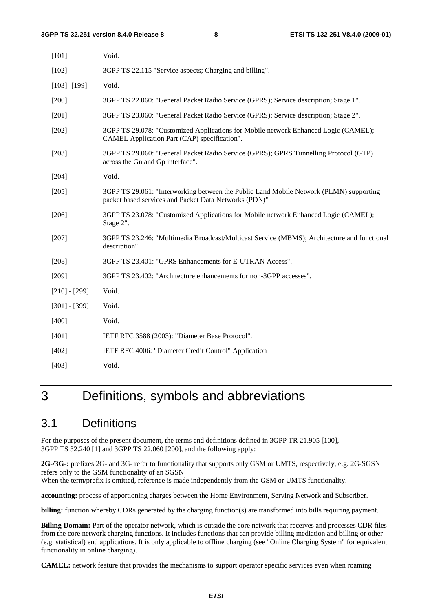| [101]             | Void.                                                                                                                                           |
|-------------------|-------------------------------------------------------------------------------------------------------------------------------------------------|
| $[102]$           | 3GPP TS 22.115 "Service aspects; Charging and billing".                                                                                         |
| $[103]$ - $[199]$ | Void.                                                                                                                                           |
| $[200]$           | 3GPP TS 22.060: "General Packet Radio Service (GPRS); Service description; Stage 1".                                                            |
| $[201]$           | 3GPP TS 23.060: "General Packet Radio Service (GPRS); Service description; Stage 2".                                                            |
| $[202]$           | 3GPP TS 29.078: "Customized Applications for Mobile network Enhanced Logic (CAMEL);<br>CAMEL Application Part (CAP) specification".             |
| $[203]$           | 3GPP TS 29.060: "General Packet Radio Service (GPRS); GPRS Tunnelling Protocol (GTP)<br>across the Gn and Gp interface".                        |
| $[204]$           | Void.                                                                                                                                           |
| [205]             | 3GPP TS 29.061: "Interworking between the Public Land Mobile Network (PLMN) supporting<br>packet based services and Packet Data Networks (PDN)" |
| $[206]$           | 3GPP TS 23.078: "Customized Applications for Mobile network Enhanced Logic (CAMEL);<br>Stage 2".                                                |
| $[207]$           | 3GPP TS 23.246: "Multimedia Broadcast/Multicast Service (MBMS); Architecture and functional<br>description".                                    |
| $[208]$           | 3GPP TS 23.401: "GPRS Enhancements for E-UTRAN Access".                                                                                         |
| [209]             | 3GPP TS 23.402: "Architecture enhancements for non-3GPP accesses".                                                                              |
| $[210] - [299]$   | Void.                                                                                                                                           |
| $[301] - [399]$   | Void.                                                                                                                                           |
| [400]             | Void.                                                                                                                                           |
| $[401]$           | IETF RFC 3588 (2003): "Diameter Base Protocol".                                                                                                 |
| [402]             | IETF RFC 4006: "Diameter Credit Control" Application                                                                                            |
| [403]             | Void.                                                                                                                                           |
|                   |                                                                                                                                                 |

## 3 Definitions, symbols and abbreviations

## 3.1 Definitions

For the purposes of the present document, the terms end definitions defined in 3GPP TR 21.905 [100], 3GPP TS 32.240 [1] and 3GPP TS 22.060 [200], and the following apply:

**2G-/3G-:** prefixes 2G- and 3G- refer to functionality that supports only GSM or UMTS, respectively, e.g. 2G-SGSN refers only to the GSM functionality of an SGSN

When the term/prefix is omitted, reference is made independently from the GSM or UMTS functionality.

**accounting:** process of apportioning charges between the Home Environment, Serving Network and Subscriber.

**billing:** function whereby CDRs generated by the charging function(s) are transformed into bills requiring payment.

**Billing Domain:** Part of the operator network, which is outside the core network that receives and processes CDR files from the core network charging functions. It includes functions that can provide billing mediation and billing or other (e.g. statistical) end applications. It is only applicable to offline charging (see "Online Charging System" for equivalent functionality in online charging).

**CAMEL:** network feature that provides the mechanisms to support operator specific services even when roaming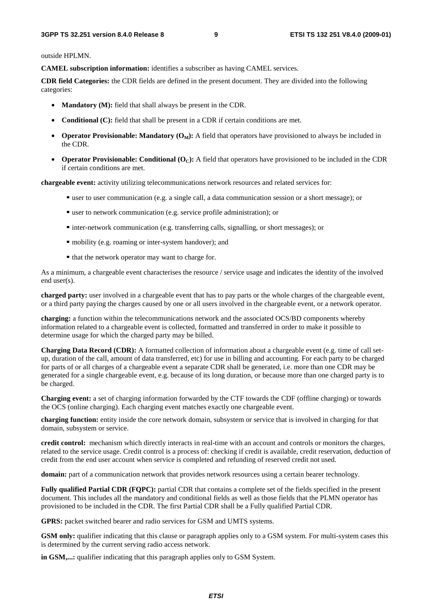outside HPLMN.

**CAMEL subscription information:** identifies a subscriber as having CAMEL services.

**CDR field Categories:** the CDR fields are defined in the present document. They are divided into the following categories:

- **Mandatory (M):** field that shall always be present in the CDR.
- **Conditional (C):** field that shall be present in a CDR if certain conditions are met.
- **Operator Provisionable: Mandatory**  $(O_M)$ **:** A field that operators have provisioned to always be included in the CDR.
- **Operator Provisionable: Conditional**  $(O<sub>C</sub>)$ **:** A field that operators have provisioned to be included in the CDR if certain conditions are met.

**chargeable event:** activity utilizing telecommunications network resources and related services for:

- user to user communication (e.g. a single call, a data communication session or a short message); or
- user to network communication (e.g. service profile administration); or
- inter-network communication (e.g. transferring calls, signalling, or short messages); or
- mobility (e.g. roaming or inter-system handover); and
- that the network operator may want to charge for.

As a minimum, a chargeable event characterises the resource / service usage and indicates the identity of the involved end user(s).

**charged party:** user involved in a chargeable event that has to pay parts or the whole charges of the chargeable event, or a third party paying the charges caused by one or all users involved in the chargeable event, or a network operator.

**charging:** a function within the telecommunications network and the associated OCS/BD components whereby information related to a chargeable event is collected, formatted and transferred in order to make it possible to determine usage for which the charged party may be billed.

**Charging Data Record (CDR):** A formatted collection of information about a chargeable event (e.g. time of call setup, duration of the call, amount of data transferred, etc) for use in billing and accounting. For each party to be charged for parts of or all charges of a chargeable event a separate CDR shall be generated, i.e. more than one CDR may be generated for a single chargeable event, e.g. because of its long duration, or because more than one charged party is to be charged.

**Charging event:** a set of charging information forwarded by the CTF towards the CDF (offline charging) or towards the OCS (online charging). Each charging event matches exactly one chargeable event.

**charging function:** entity inside the core network domain, subsystem or service that is involved in charging for that domain, subsystem or service.

**credit control:** mechanism which directly interacts in real-time with an account and controls or monitors the charges, related to the service usage. Credit control is a process of: checking if credit is available, credit reservation, deduction of credit from the end user account when service is completed and refunding of reserved credit not used.

**domain:** part of a communication network that provides network resources using a certain bearer technology.

**Fully qualified Partial CDR (FQPC):** partial CDR that contains a complete set of the fields specified in the present document. This includes all the mandatory and conditional fields as well as those fields that the PLMN operator has provisioned to be included in the CDR. The first Partial CDR shall be a Fully qualified Partial CDR.

GPRS: packet switched bearer and radio services for GSM and UMTS systems.

**GSM only:** qualifier indicating that this clause or paragraph applies only to a GSM system. For multi-system cases this is determined by the current serving radio access network.

**in GSM,...:** qualifier indicating that this paragraph applies only to GSM System.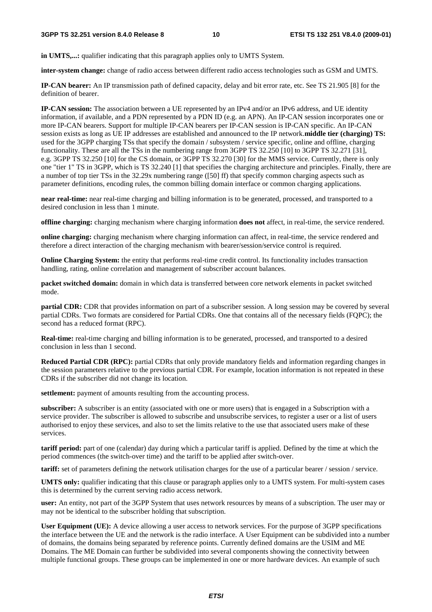**in UMTS,...:** qualifier indicating that this paragraph applies only to UMTS System.

**inter-system change:** change of radio access between different radio access technologies such as GSM and UMTS.

**IP-CAN bearer:** An IP transmission path of defined capacity, delay and bit error rate, etc. See TS 21.905 [8] for the definition of bearer.

**IP-CAN session:** The association between a UE represented by an IPv4 and/or an IPv6 address, and UE identity information, if available, and a PDN represented by a PDN ID (e.g. an APN). An IP-CAN session incorporates one or more IP-CAN bearers. Support for multiple IP-CAN bearers per IP-CAN session is IP-CAN specific. An IP-CAN session exists as long as UE IP addresses are established and announced to the IP network.**middle tier (charging) TS:** used for the 3GPP charging TSs that specify the domain / subsystem / service specific, online and offline, charging functionality. These are all the TSs in the numbering range from 3GPP TS 32.250 [10] to 3GPP TS 32.271 [31], e.g. 3GPP TS 32.250 [10] for the CS domain, or 3GPP TS 32.270 [30] for the MMS service. Currently, there is only one "tier 1" TS in 3GPP, which is TS 32.240 [1] that specifies the charging architecture and principles. Finally, there are a number of top tier TSs in the 32.29x numbering range ([50] ff) that specify common charging aspects such as parameter definitions, encoding rules, the common billing domain interface or common charging applications.

**near real-time:** near real-time charging and billing information is to be generated, processed, and transported to a desired conclusion in less than 1 minute.

**offline charging:** charging mechanism where charging information **does not** affect, in real-time, the service rendered.

**online charging:** charging mechanism where charging information can affect, in real-time, the service rendered and therefore a direct interaction of the charging mechanism with bearer/session/service control is required.

**Online Charging System:** the entity that performs real-time credit control. Its functionality includes transaction handling, rating, online correlation and management of subscriber account balances.

**packet switched domain:** domain in which data is transferred between core network elements in packet switched mode.

**partial CDR:** CDR that provides information on part of a subscriber session. A long session may be covered by several partial CDRs. Two formats are considered for Partial CDRs. One that contains all of the necessary fields (FQPC); the second has a reduced format (RPC).

**Real-time:** real-time charging and billing information is to be generated, processed, and transported to a desired conclusion in less than 1 second.

**Reduced Partial CDR (RPC):** partial CDRs that only provide mandatory fields and information regarding changes in the session parameters relative to the previous partial CDR. For example, location information is not repeated in these CDRs if the subscriber did not change its location.

**settlement:** payment of amounts resulting from the accounting process.

**subscriber:** A subscriber is an entity (associated with one or more users) that is engaged in a Subscription with a service provider. The subscriber is allowed to subscribe and unsubscribe services, to register a user or a list of users authorised to enjoy these services, and also to set the limits relative to the use that associated users make of these services.

**tariff period:** part of one (calendar) day during which a particular tariff is applied. Defined by the time at which the period commences (the switch-over time) and the tariff to be applied after switch-over.

**tariff:** set of parameters defining the network utilisation charges for the use of a particular bearer / session / service.

UMTS only: qualifier indicating that this clause or paragraph applies only to a UMTS system. For multi-system cases this is determined by the current serving radio access network.

**user:** An entity, not part of the 3GPP System that uses network resources by means of a subscription. The user may or may not be identical to the subscriber holding that subscription.

**User Equipment (UE):** A device allowing a user access to network services. For the purpose of 3GPP specifications the interface between the UE and the network is the radio interface. A User Equipment can be subdivided into a number of domains, the domains being separated by reference points. Currently defined domains are the USIM and ME Domains. The ME Domain can further be subdivided into several components showing the connectivity between multiple functional groups. These groups can be implemented in one or more hardware devices. An example of such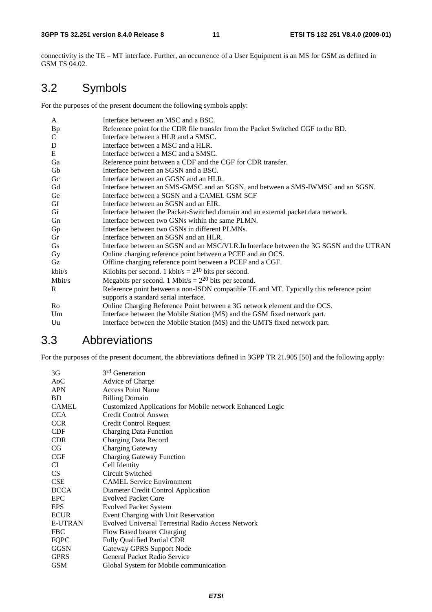connectivity is the TE – MT interface. Further, an occurrence of a User Equipment is an MS for GSM as defined in GSM TS 04.02.

## 3.2 Symbols

For the purposes of the present document the following symbols apply:

| A         | Interface between an MSC and a BSC.                                                      |
|-----------|------------------------------------------------------------------------------------------|
| <b>Bp</b> | Reference point for the CDR file transfer from the Packet Switched CGF to the BD.        |
| C         | Interface between a HLR and a SMSC.                                                      |
| ${\bf D}$ | Interface between a MSC and a HLR.                                                       |
| ${\bf E}$ | Interface between a MSC and a SMSC.                                                      |
| Ga        | Reference point between a CDF and the CGF for CDR transfer.                              |
| Gb        | Interface between an SGSN and a BSC.                                                     |
| Gc        | Interface between an GGSN and an HLR.                                                    |
| Gd        | Interface between an SMS-GMSC and an SGSN, and between a SMS-IWMSC and an SGSN.          |
| Ge        | Interface between a SGSN and a CAMEL GSM SCF                                             |
| Gf        | Interface between an SGSN and an EIR.                                                    |
| Gi        | Interface between the Packet-Switched domain and an external packet data network.        |
| Gn        | Interface between two GSNs within the same PLMN.                                         |
| Gp        | Interface between two GSNs in different PLMNs.                                           |
| Gr        | Interface between an SGSN and an HLR.                                                    |
| <b>Gs</b> | Interface between an SGSN and an MSC/VLR. Iu Interface between the 3G SGSN and the UTRAN |
| Gy        | Online charging reference point between a PCEF and an OCS.                               |
| Gz        | Offline charging reference point between a PCEF and a CGF.                               |
| kbit/s    | Kilobits per second. 1 kbit/s = $2^{10}$ bits per second.                                |
| Mbit/s    | Megabits per second. 1 Mbit/s = $2^{20}$ bits per second.                                |
| R         | Reference point between a non-ISDN compatible TE and MT. Typically this reference point  |
|           | supports a standard serial interface.                                                    |
| Ro        | Online Charging Reference Point between a 3G network element and the OCS.                |
| Um        | Interface between the Mobile Station (MS) and the GSM fixed network part.                |
| Uu        | Interface between the Mobile Station (MS) and the UMTS fixed network part.               |

## 3.3 Abbreviations

For the purposes of the present document, the abbreviations defined in 3GPP TR 21.905 [50] and the following apply:

| 3G               | 3 <sup>rd</sup> Generation                                |
|------------------|-----------------------------------------------------------|
| A <sub>0</sub> C | Advice of Charge                                          |
| <b>APN</b>       | <b>Access Point Name</b>                                  |
| <b>BD</b>        | <b>Billing Domain</b>                                     |
| <b>CAMEL</b>     | Customized Applications for Mobile network Enhanced Logic |
| <b>CCA</b>       | <b>Credit Control Answer</b>                              |
| <b>CCR</b>       | Credit Control Request                                    |
| <b>CDF</b>       | <b>Charging Data Function</b>                             |
| <b>CDR</b>       | <b>Charging Data Record</b>                               |
| <b>CG</b>        | Charging Gateway                                          |
| CGF              | <b>Charging Gateway Function</b>                          |
| CI               | Cell Identity                                             |
| CS               | Circuit Switched                                          |
| <b>CSE</b>       | <b>CAMEL Service Environment</b>                          |
| <b>DCCA</b>      | Diameter Credit Control Application                       |
| <b>EPC</b>       | <b>Evolved Packet Core</b>                                |
| <b>EPS</b>       | <b>Evolved Packet System</b>                              |
| <b>ECUR</b>      | Event Charging with Unit Reservation                      |
| E-UTRAN          | <b>Evolved Universal Terrestrial Radio Access Network</b> |
| <b>FBC</b>       | Flow Based bearer Charging                                |
| <b>FQPC</b>      | <b>Fully Qualified Partial CDR</b>                        |
| <b>GGSN</b>      | <b>Gateway GPRS Support Node</b>                          |
| <b>GPRS</b>      | General Packet Radio Service                              |
| <b>GSM</b>       | Global System for Mobile communication                    |
|                  |                                                           |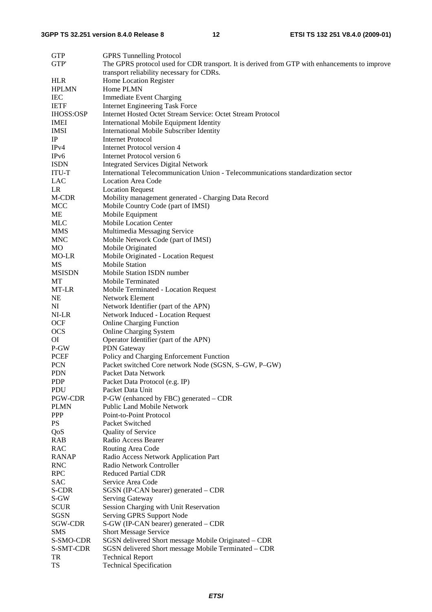| <b>GTP</b>        | <b>GPRS Tunnelling Protocol</b>                                                               |
|-------------------|-----------------------------------------------------------------------------------------------|
| GTP'              | The GPRS protocol used for CDR transport. It is derived from GTP with enhancements to improve |
|                   | transport reliability necessary for CDRs.                                                     |
| <b>HLR</b>        | Home Location Register                                                                        |
| <b>HPLMN</b>      | Home PLMN                                                                                     |
| <b>IEC</b>        | <b>Immediate Event Charging</b>                                                               |
| <b>IETF</b>       | <b>Internet Engineering Task Force</b>                                                        |
| <b>IHOSS:OSP</b>  | Internet Hosted Octet Stream Service: Octet Stream Protocol                                   |
| <b>IMEI</b>       | <b>International Mobile Equipment Identity</b>                                                |
| <b>IMSI</b>       | <b>International Mobile Subscriber Identity</b>                                               |
| $_{\rm IP}$       | <b>Internet Protocol</b>                                                                      |
| IPv4              | Internet Protocol version 4                                                                   |
| IP <sub>v</sub> 6 | Internet Protocol version 6                                                                   |
| <b>ISDN</b>       |                                                                                               |
|                   | <b>Integrated Services Digital Network</b>                                                    |
| <b>ITU-T</b>      | International Telecommunication Union - Telecommunications standardization sector             |
| LAC               | <b>Location Area Code</b>                                                                     |
| LR                | <b>Location Request</b>                                                                       |
| M-CDR             | Mobility management generated - Charging Data Record                                          |
| <b>MCC</b>        | Mobile Country Code (part of IMSI)                                                            |
| ME                | Mobile Equipment                                                                              |
| <b>MLC</b>        | <b>Mobile Location Center</b>                                                                 |
| MMS               | Multimedia Messaging Service                                                                  |
| <b>MNC</b>        | Mobile Network Code (part of IMSI)                                                            |
| MO                | Mobile Originated                                                                             |
| MO-LR             | Mobile Originated - Location Request                                                          |
| <b>MS</b>         | <b>Mobile Station</b>                                                                         |
| <b>MSISDN</b>     | Mobile Station ISDN number                                                                    |
| МT                | Mobile Terminated                                                                             |
| MT-LR             | Mobile Terminated - Location Request                                                          |
| <b>NE</b>         | <b>Network Element</b>                                                                        |
| NI                | Network Identifier (part of the APN)                                                          |
| NI-LR             | Network Induced - Location Request                                                            |
| OCF               | <b>Online Charging Function</b>                                                               |
| <b>OCS</b>        | Online Charging System                                                                        |
| ΟI                | Operator Identifier (part of the APN)                                                         |
| P-GW              | PDN Gateway                                                                                   |
| PCEF              | Policy and Charging Enforcement Function                                                      |
| <b>PCN</b>        | Packet switched Core network Node (SGSN, S-GW, P-GW)                                          |
| <b>PDN</b>        | Packet Data Network                                                                           |
| <b>PDP</b>        | Packet Data Protocol (e.g. IP)                                                                |
| PDU               | Packet Data Unit                                                                              |
| PGW-CDR           | P-GW (enhanced by FBC) generated – CDR                                                        |
| <b>PLMN</b>       | Public Land Mobile Network                                                                    |
| <b>PPP</b>        | Point-to-Point Protocol                                                                       |
| PS                | Packet Switched                                                                               |
| QoS               | Quality of Service                                                                            |
| <b>RAB</b>        | Radio Access Bearer                                                                           |
| <b>RAC</b>        | Routing Area Code                                                                             |
| <b>RANAP</b>      | Radio Access Network Application Part                                                         |
| <b>RNC</b>        | Radio Network Controller                                                                      |
| <b>RPC</b>        | <b>Reduced Partial CDR</b>                                                                    |
| <b>SAC</b>        | Service Area Code                                                                             |
| S-CDR             | SGSN (IP-CAN bearer) generated – CDR                                                          |
| S-GW              | Serving Gateway                                                                               |
| <b>SCUR</b>       | Session Charging with Unit Reservation                                                        |
| <b>SGSN</b>       | Serving GPRS Support Node                                                                     |
| SGW-CDR           | S-GW (IP-CAN bearer) generated – CDR                                                          |
| <b>SMS</b>        |                                                                                               |
|                   | Short Message Service                                                                         |
| S-SMO-CDR         | SGSN delivered Short message Mobile Originated - CDR                                          |
| S-SMT-CDR         | SGSN delivered Short message Mobile Terminated – CDR                                          |
| TR<br><b>TS</b>   | <b>Technical Report</b>                                                                       |
|                   | <b>Technical Specification</b>                                                                |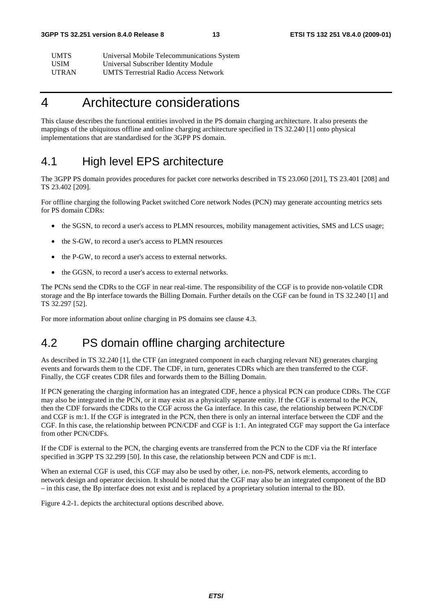| UMTS         | Universal Mobile Telecommunications System   |
|--------------|----------------------------------------------|
| USIM         | Universal Subscriber Identity Module         |
| <b>UTRAN</b> | <b>UMTS Terrestrial Radio Access Network</b> |

## 4 Architecture considerations

This clause describes the functional entities involved in the PS domain charging architecture. It also presents the mappings of the ubiquitous offline and online charging architecture specified in TS 32.240 [1] onto physical implementations that are standardised for the 3GPP PS domain.

## 4.1 High level EPS architecture

The 3GPP PS domain provides procedures for packet core networks described in TS 23.060 [201], TS 23.401 [208] and TS 23.402 [209].

For offline charging the following Packet switched Core network Nodes (PCN) may generate accounting metrics sets for PS domain CDRs:

- the SGSN, to record a user's access to PLMN resources, mobility management activities, SMS and LCS usage;
- the S-GW, to record a user's access to PLMN resources
- the P-GW, to record a user's access to external networks.
- the GGSN, to record a user's access to external networks.

The PCNs send the CDRs to the CGF in near real-time. The responsibility of the CGF is to provide non-volatile CDR storage and the Bp interface towards the Billing Domain. Further details on the CGF can be found in TS 32.240 [1] and TS 32.297 [52].

For more information about online charging in PS domains see clause 4.3.

## 4.2 PS domain offline charging architecture

As described in TS 32.240 [1], the CTF (an integrated component in each charging relevant NE) generates charging events and forwards them to the CDF. The CDF, in turn, generates CDRs which are then transferred to the CGF. Finally, the CGF creates CDR files and forwards them to the Billing Domain.

If PCN generating the charging information has an integrated CDF, hence a physical PCN can produce CDRs. The CGF may also be integrated in the PCN, or it may exist as a physically separate entity. If the CGF is external to the PCN, then the CDF forwards the CDRs to the CGF across the Ga interface. In this case, the relationship between PCN/CDF and CGF is m:1. If the CGF is integrated in the PCN, then there is only an internal interface between the CDF and the CGF. In this case, the relationship between PCN/CDF and CGF is 1:1. An integrated CGF may support the Ga interface from other PCN/CDFs.

If the CDF is external to the PCN, the charging events are transferred from the PCN to the CDF via the Rf interface specified in 3GPP TS 32.299 [50]. In this case, the relationship between PCN and CDF is m:1.

When an external CGF is used, this CGF may also be used by other, i.e. non-PS, network elements, according to network design and operator decision. It should be noted that the CGF may also be an integrated component of the BD – in this case, the Bp interface does not exist and is replaced by a proprietary solution internal to the BD.

Figure 4.2-1. depicts the architectural options described above.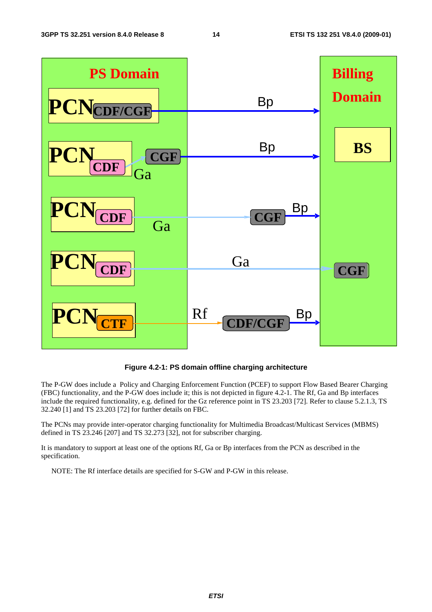

**Figure 4.2-1: PS domain offline charging architecture** 

The P-GW does include a Policy and Charging Enforcement Function (PCEF) to support Flow Based Bearer Charging (FBC) functionality, and the P-GW does include it; this is not depicted in figure 4.2-1. The Rf, Ga and Bp interfaces include the required functionality, e.g. defined for the Gz reference point in TS 23.203 [72]. Refer to clause 5.2.1.3, TS 32.240 [1] and TS 23.203 [72] for further details on FBC.

The PCNs may provide inter-operator charging functionality for Multimedia Broadcast/Multicast Services (MBMS) defined in TS 23.246 [207] and TS 32.273 [32], not for subscriber charging.

It is mandatory to support at least one of the options Rf, Ga or Bp interfaces from the PCN as described in the specification.

NOTE: The Rf interface details are specified for S-GW and P-GW in this release.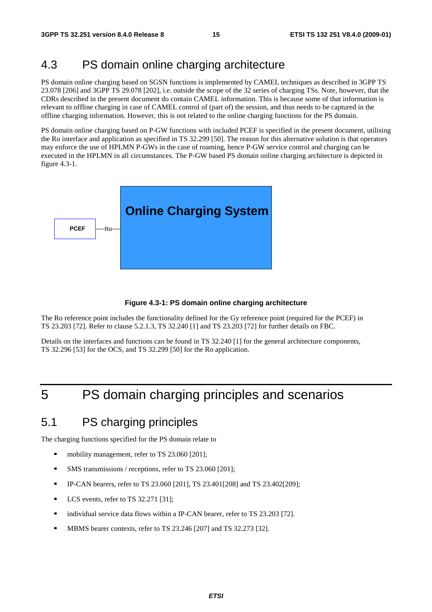## 4.3 PS domain online charging architecture

PS domain online charging based on SGSN functions is implemented by CAMEL techniques as described in 3GPP TS 23.078 [206] and 3GPP TS 29.078 [202], i.e. outside the scope of the 32 series of charging TSs. Note, however, that the CDRs described in the present document do contain CAMEL information. This is because some of that information is relevant to offline charging in case of CAMEL control of (part of) the session, and thus needs to be captured in the offline charging information. However, this is not related to the online charging functions for the PS domain.

PS domain online charging based on P-GW functions with included PCEF is specified in the present document, utilising the Ro interface and application as specified in TS 32.299 [50]. The reason for this alternative solution is that operators may enforce the use of HPLMN P-GWs in the case of roaming, hence P-GW service control and charging can be executed in the HPLMN in all circumstances. The P-GW based PS domain online charging architecture is depicted in figure 4.3-1.



#### **Figure 4.3-1: PS domain online charging architecture**

The Ro reference point includes the functionality defined for the Gy reference point (required for the PCEF) in TS 23.203 [72]. Refer to clause 5.2.1.3, TS 32.240 [1] and TS 23.203 [72] for further details on FBC.

Details on the interfaces and functions can be found in TS 32.240 [1] for the general architecture components, TS 32.296 [53] for the OCS, and TS 32.299 [50] for the Ro application.

## 5 PS domain charging principles and scenarios

## 5.1 PS charging principles

The charging functions specified for the PS domain relate to

- mobility management, refer to TS 23.060 [201];<br>NMS transmissions (receptions, refer to TS 23.04)
- SMS transmissions / receptions, refer to TS 23.060 [201];<br> $\blacksquare$  PCAN begregs refer to TS 23.060 [201], TS 23.401[208]
- IP-CAN bearers, refer to TS 23.060 [201], TS 23.401[208] and TS 23.402[209];<br>
I CS events, refer to TS 32.271 [31]
- LCS events, refer to TS 32.271 [31];
- individual service data flows within a IP-CAN bearer, refer to TS 23.203 [72].
- MBMS bearer contexts, refer to TS 23.246 [207] and TS 32.273 [32].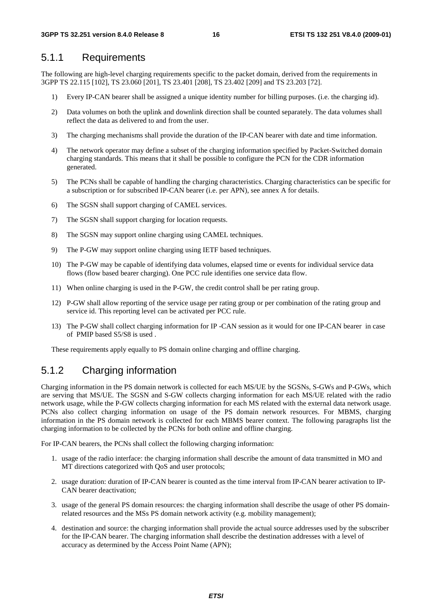### 5.1.1 Requirements

The following are high-level charging requirements specific to the packet domain, derived from the requirements in 3GPP TS 22.115 [102], TS 23.060 [201], TS 23.401 [208], TS 23.402 [209] and TS 23.203 [72].

- 1) Every IP-CAN bearer shall be assigned a unique identity number for billing purposes. (i.e. the charging id).
- 2) Data volumes on both the uplink and downlink direction shall be counted separately. The data volumes shall reflect the data as delivered to and from the user.
- 3) The charging mechanisms shall provide the duration of the IP-CAN bearer with date and time information.
- 4) The network operator may define a subset of the charging information specified by Packet-Switched domain charging standards. This means that it shall be possible to configure the PCN for the CDR information generated.
- 5) The PCNs shall be capable of handling the charging characteristics. Charging characteristics can be specific for a subscription or for subscribed IP-CAN bearer (i.e. per APN), see annex A for details.
- 6) The SGSN shall support charging of CAMEL services.
- 7) The SGSN shall support charging for location requests.
- 8) The SGSN may support online charging using CAMEL techniques.
- 9) The P-GW may support online charging using IETF based techniques.
- 10) The P-GW may be capable of identifying data volumes, elapsed time or events for individual service data flows (flow based bearer charging). One PCC rule identifies one service data flow.
- 11) When online charging is used in the P-GW, the credit control shall be per rating group.
- 12) P-GW shall allow reporting of the service usage per rating group or per combination of the rating group and service id. This reporting level can be activated per PCC rule.
- 13) The P-GW shall collect charging information for IP -CAN session as it would for one IP-CAN bearer in case of PMIP based S5/S8 is used .

These requirements apply equally to PS domain online charging and offline charging.

## 5.1.2 Charging information

Charging information in the PS domain network is collected for each MS/UE by the SGSNs, S-GWs and P-GWs, which are serving that MS/UE. The SGSN and S-GW collects charging information for each MS/UE related with the radio network usage, while the P-GW collects charging information for each MS related with the external data network usage. PCNs also collect charging information on usage of the PS domain network resources. For MBMS, charging information in the PS domain network is collected for each MBMS bearer context. The following paragraphs list the charging information to be collected by the PCNs for both online and offline charging.

For IP-CAN bearers, the PCNs shall collect the following charging information:

- 1. usage of the radio interface: the charging information shall describe the amount of data transmitted in MO and MT directions categorized with OoS and user protocols;
- 2. usage duration: duration of IP-CAN bearer is counted as the time interval from IP-CAN bearer activation to IP-CAN bearer deactivation;
- 3. usage of the general PS domain resources: the charging information shall describe the usage of other PS domainrelated resources and the MSs PS domain network activity (e.g. mobility management);
- 4. destination and source: the charging information shall provide the actual source addresses used by the subscriber for the IP-CAN bearer. The charging information shall describe the destination addresses with a level of accuracy as determined by the Access Point Name (APN);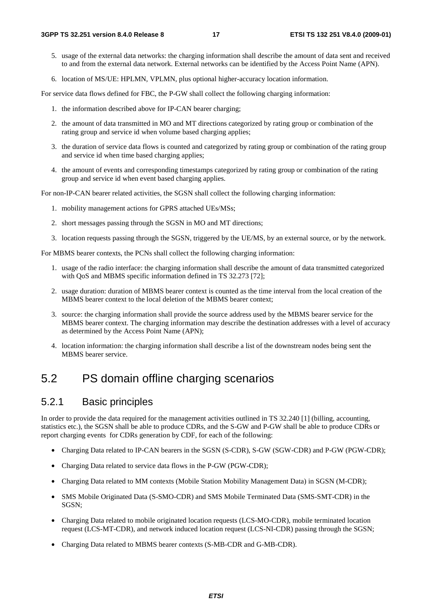- 5. usage of the external data networks: the charging information shall describe the amount of data sent and received to and from the external data network. External networks can be identified by the Access Point Name (APN).
- 6. location of MS/UE: HPLMN, VPLMN, plus optional higher-accuracy location information.

For service data flows defined for FBC, the P-GW shall collect the following charging information:

- 1. the information described above for IP-CAN bearer charging;
- 2. the amount of data transmitted in MO and MT directions categorized by rating group or combination of the rating group and service id when volume based charging applies;
- 3. the duration of service data flows is counted and categorized by rating group or combination of the rating group and service id when time based charging applies;
- 4. the amount of events and corresponding timestamps categorized by rating group or combination of the rating group and service id when event based charging applies.

For non-IP-CAN bearer related activities, the SGSN shall collect the following charging information:

- 1. mobility management actions for GPRS attached UEs/MSs;
- 2. short messages passing through the SGSN in MO and MT directions;
- 3. location requests passing through the SGSN, triggered by the UE/MS, by an external source, or by the network.

For MBMS bearer contexts, the PCNs shall collect the following charging information:

- 1. usage of the radio interface: the charging information shall describe the amount of data transmitted categorized with QoS and MBMS specific information defined in TS 32.273 [72];
- 2. usage duration: duration of MBMS bearer context is counted as the time interval from the local creation of the MBMS bearer context to the local deletion of the MBMS bearer context;
- 3. source: the charging information shall provide the source address used by the MBMS bearer service for the MBMS bearer context. The charging information may describe the destination addresses with a level of accuracy as determined by the Access Point Name (APN);
- 4. location information: the charging information shall describe a list of the downstream nodes being sent the MBMS bearer service.

## 5.2 PS domain offline charging scenarios

### 5.2.1 Basic principles

In order to provide the data required for the management activities outlined in TS 32.240 [1] (billing, accounting, statistics etc.), the SGSN shall be able to produce CDRs, and the S-GW and P-GW shall be able to produce CDRs or report charging events for CDRs generation by CDF, for each of the following:

- Charging Data related to IP-CAN bearers in the SGSN (S-CDR), S-GW (SGW-CDR) and P-GW (PGW-CDR);
- Charging Data related to service data flows in the P-GW (PGW-CDR):
- Charging Data related to MM contexts (Mobile Station Mobility Management Data) in SGSN (M-CDR);
- SMS Mobile Originated Data (S-SMO-CDR) and SMS Mobile Terminated Data (SMS-SMT-CDR) in the SGSN;
- Charging Data related to mobile originated location requests (LCS-MO-CDR), mobile terminated location request (LCS-MT-CDR), and network induced location request (LCS-NI-CDR) passing through the SGSN;
- Charging Data related to MBMS bearer contexts (S-MB-CDR and G-MB-CDR).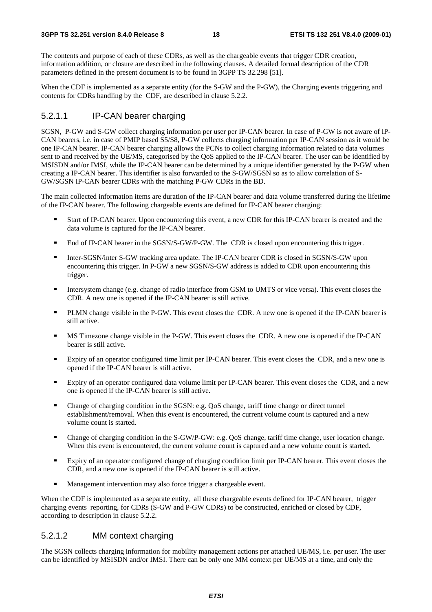The contents and purpose of each of these CDRs, as well as the chargeable events that trigger CDR creation, information addition, or closure are described in the following clauses. A detailed formal description of the CDR parameters defined in the present document is to be found in 3GPP TS 32.298 [51].

When the CDF is implemented as a separate entity (for the S-GW and the P-GW), the Charging events triggering and contents for CDRs handling by the CDF, are described in clause 5.2.2.

#### 5.2.1.1 IP-CAN bearer charging

SGSN, P-GW and S-GW collect charging information per user per IP-CAN bearer. In case of P-GW is not aware of IP-CAN bearers, i.e. in case of PMIP based S5/S8, P-GW collects charging information per IP-CAN session as it would be one IP-CAN bearer. IP-CAN bearer charging allows the PCNs to collect charging information related to data volumes sent to and received by the UE/MS, categorised by the QoS applied to the IP-CAN bearer. The user can be identified by MSISDN and/or IMSI, while the IP-CAN bearer can be determined by a unique identifier generated by the P-GW when creating a IP-CAN bearer. This identifier is also forwarded to the S-GW/SGSN so as to allow correlation of S-GW/SGSN IP-CAN bearer CDRs with the matching P-GW CDRs in the BD.

The main collected information items are duration of the IP-CAN bearer and data volume transferred during the lifetime of the IP-CAN bearer. The following chargeable events are defined for IP-CAN bearer charging:

- Start of IP-CAN bearer. Upon encountering this event, a new CDR for this IP-CAN bearer is created and the data volume is captured for the IP-CAN bearer.
- End of IP-CAN bearer in the SGSN/S-GW/P-GW. The CDR is closed upon encountering this trigger.<br>■ Inter-SGSN/inter S-GW tracking area update. The IP-CAN bearer CDR is closed in SGSN/S-GW upon
- Inter-SGSN/inter S-GW tracking area update. The IP-CAN bearer CDR is closed in SGSN/S-GW upon encountering this trigger. In P-GW a new SGSN/S-GW address is added to CDR upon encountering this trigger.
- Intersystem change (e.g. change of radio interface from GSM to UMTS or vice versa). This event closes the CDR. A new one is opened if the IP-CAN bearer is still active.
- PLMN change visible in the P-GW. This event closes the CDR. A new one is opened if the IP-CAN bearer is still active.
- MS Timezone change visible in the P-GW. This event closes the CDR. A new one is opened if the IP-CAN bearer is still active.
- Expiry of an operator configured time limit per IP-CAN bearer. This event closes the CDR, and a new one is opened if the IP-CAN bearer is still active.
- Expiry of an operator configured data volume limit per IP-CAN bearer. This event closes the CDR, and a new one is opened if the IP-CAN bearer is still active.
- Change of charging condition in the SGSN: e.g. QoS change, tariff time change or direct tunnel establishment/removal. When this event is encountered, the current volume count is captured and a new volume count is started.
- Change of charging condition in the S-GW/P-GW: e.g. QoS change, tariff time change, user location change. When this event is encountered, the current volume count is captured and a new volume count is started.
- Expiry of an operator configured change of charging condition limit per IP-CAN bearer. This event closes the CDR, and a new one is opened if the IP-CAN bearer is still active.
- Management intervention may also force trigger a chargeable event.

When the CDF is implemented as a separate entity, all these chargeable events defined for IP-CAN bearer, trigger charging events reporting, for CDRs (S-GW and P-GW CDRs) to be constructed, enriched or closed by CDF, according to description in clause 5.2.2.

#### 5.2.1.2 MM context charging

The SGSN collects charging information for mobility management actions per attached UE/MS, i.e. per user. The user can be identified by MSISDN and/or IMSI. There can be only one MM context per UE/MS at a time, and only the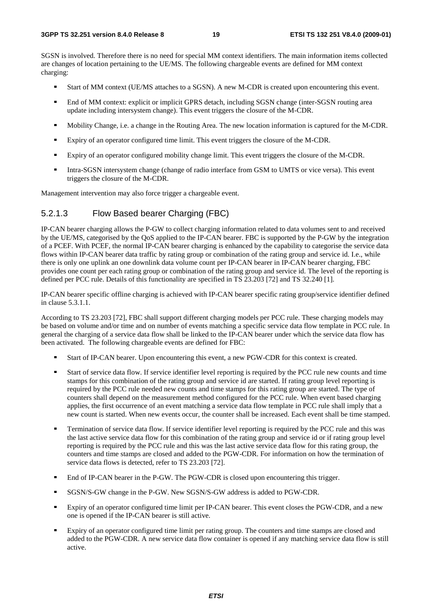SGSN is involved. Therefore there is no need for special MM context identifiers. The main information items collected are changes of location pertaining to the UE/MS. The following chargeable events are defined for MM context charging:

- Start of MM context (UE/MS attaches to a SGSN). A new M-CDR is created upon encountering this event.<br>
In End of MM context: explicit or implicit GPPS datach, including SGSN change (inter SGSN couting area
- End of MM context: explicit or implicit GPRS detach, including SGSN change (inter-SGSN routing area update including intersystem change). This event triggers the closure of the M-CDR.
- Mobility Change, i.e. a change in the Routing Area. The new location information is captured for the M-CDR.<br>Expiry of an operator configured time limit. This event triggers the closure of the M-CDR
- Expiry of an operator configured time limit. This event triggers the closure of the M-CDR.<br>Expiry of an operator configured mobility change limit. This event triggers the closure of the
- Expiry of an operator configured mobility change limit. This event triggers the closure of the M-CDR.
- Intra-SGSN intersystem change (change of radio interface from GSM to UMTS or vice versa). This event triggers the closure of the M-CDR.

Management intervention may also force trigger a chargeable event.

### 5.2.1.3 Flow Based bearer Charging (FBC)

IP-CAN bearer charging allows the P-GW to collect charging information related to data volumes sent to and received by the UE/MS, categorised by the QoS applied to the IP-CAN bearer. FBC is supported by the P-GW by the integration of a PCEF. With PCEF, the normal IP-CAN bearer charging is enhanced by the capability to categorise the service data flows within IP-CAN bearer data traffic by rating group or combination of the rating group and service id. I.e., while there is only one uplink an one downlink data volume count per IP-CAN bearer in IP-CAN bearer charging, FBC provides one count per each rating group or combination of the rating group and service id. The level of the reporting is defined per PCC rule. Details of this functionality are specified in TS 23.203 [72] and TS 32.240 [1].

IP-CAN bearer specific offline charging is achieved with IP-CAN bearer specific rating group/service identifier defined in clause 5.3.1.1.

According to TS 23.203 [72], FBC shall support different charging models per PCC rule. These charging models may be based on volume and/or time and on number of events matching a specific service data flow template in PCC rule. In general the charging of a service data flow shall be linked to the IP-CAN bearer under which the service data flow has been activated. The following chargeable events are defined for FBC:

- 
- Start of IP-CAN bearer. Upon encountering this event, a new PGW-CDR for this context is created.<br>Start of service data flow. If service identifier level reporting is required by the PCC rule new counts and time Start of service data flow. If service identifier level reporting is required by the PCC rule new counts and time<br>stamps for this combination of the rating group and service id are started. If rating group level reporting required by the PCC rule needed new counts and time stamps for this rating group are started. The type of counters shall depend on the measurement method configured for the PCC rule. When event based charging applies, the first occurrence of an event matching a service data flow template in PCC rule shall imply that a new count is started. When new events occur, the counter shall be increased. Each event shall be time stamped.
- Termination of service data flow. If service identifier level reporting is required by the PCC rule and this was<br>the last active service data flow for this combination of the rating group and service id or if rating group reporting is required by the PCC rule and this was the last active service data flow for this rating group, the counters and time stamps are closed and added to the PGW-CDR. For information on how the termination of service data flows is detected, refer to TS 23.203 [72].
- End of IP-CAN bearer in the P-GW. The PGW-CDR is closed upon encountering this trigger.<br>■ SGSN/S-GW change in the P-GW. New SGSN/S-GW address is added to PGW-CDR
- SGSN/S-GW change in the P-GW. New SGSN/S-GW address is added to PGW-CDR.<br>Expiry of an operator configured time limit per IP CAN begrer. This event closes the P
- Expiry of an operator configured time limit per IP-CAN bearer. This event closes the PGW-CDR, and a new one is opened if the IP-CAN bearer is still active.
- Expiry of an operator configured time limit per rating group. The counters and time stamps are closed and added to the PGW-CDR. A new service data flow container is opened if any matching service data flow is still active.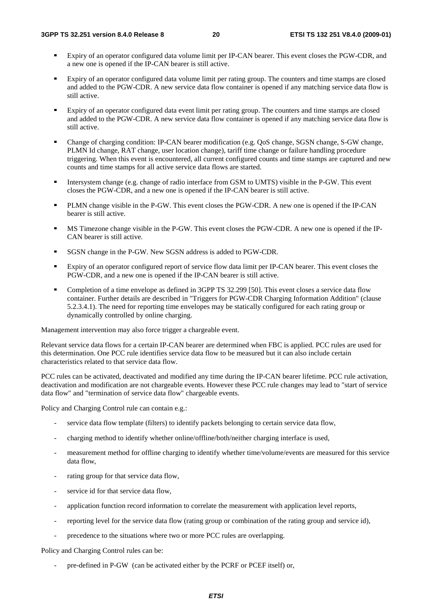- Expiry of an operator configured data volume limit per IP-CAN bearer. This event closes the PGW-CDR, and a new one is opened if the IP-CAN bearer is still active.
- Expiry of an operator configured data volume limit per rating group. The counters and time stamps are closed and added to the PGW-CDR. A new service data flow container is opened if any matching service data flow is still active.
- Expiry of an operator configured data event limit per rating group. The counters and time stamps are closed and added to the PGW-CDR. A new service data flow container is opened if any matching service data flow is still active.
- Change of charging condition: IP-CAN bearer modification (e.g. QoS change, SGSN change, S-GW change, PLMN Id change, RAT change, user location change), tariff time change or failure handling procedure triggering. When this event is encountered, all current configured counts and time stamps are captured and new counts and time stamps for all active service data flows are started.
- Intersystem change (e.g. change of radio interface from GSM to UMTS) visible in the P-GW. This event closes the PGW-CDR, and a new one is opened if the IP-CAN bearer is still active.
- PLMN change visible in the P-GW. This event closes the PGW-CDR. A new one is opened if the IP-CAN bearer is still active.
- MS Timezone change visible in the P-GW. This event closes the PGW-CDR. A new one is opened if the IP-CAN bearer is still active.
- SGSN change in the P-GW. New SGSN address is added to PGW-CDR.
- Expiry of an operator configured report of service flow data limit per IP-CAN bearer. This event closes the PGW-CDR, and a new one is opened if the IP-CAN bearer is still active.
- Completion of a time envelope as defined in 3GPP TS 32.299 [50]. This event closes a service data flow container. Further details are described in "Triggers for PGW-CDR Charging Information Addition" (clause 5.2.3.4.1). The need for reporting time envelopes may be statically configured for each rating group or dynamically controlled by online charging.

Management intervention may also force trigger a chargeable event.

Relevant service data flows for a certain IP-CAN bearer are determined when FBC is applied. PCC rules are used for this determination. One PCC rule identifies service data flow to be measured but it can also include certain characteristics related to that service data flow.

PCC rules can be activated, deactivated and modified any time during the IP-CAN bearer lifetime. PCC rule activation, deactivation and modification are not chargeable events. However these PCC rule changes may lead to "start of service data flow" and "termination of service data flow" chargeable events.

Policy and Charging Control rule can contain e.g.:

- service data flow template (filters) to identify packets belonging to certain service data flow,
- charging method to identify whether online/offline/both/neither charging interface is used,
- measurement method for offline charging to identify whether time/volume/events are measured for this service data flow,
- rating group for that service data flow,
- service id for that service data flow.
- application function record information to correlate the measurement with application level reports,
- reporting level for the service data flow (rating group or combination of the rating group and service id),
- precedence to the situations where two or more PCC rules are overlapping.

Policy and Charging Control rules can be:

pre-defined in P-GW (can be activated either by the PCRF or PCEF itself) or,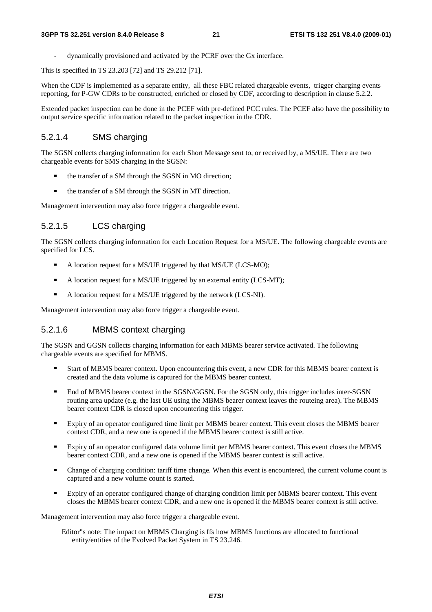- dynamically provisioned and activated by the PCRF over the Gx interface.

This is specified in TS 23.203 [72] and TS 29.212 [71].

When the CDF is implemented as a separate entity, all these FBC related chargeable events, trigger charging events reporting, for P-GW CDRs to be constructed, enriched or closed by CDF, according to description in clause 5.2.2.

Extended packet inspection can be done in the PCEF with pre-defined PCC rules. The PCEF also have the possibility to output service specific information related to the packet inspection in the CDR.

### 5.2.1.4 SMS charging

The SGSN collects charging information for each Short Message sent to, or received by, a MS/UE. There are two chargeable events for SMS charging in the SGSN:

- the transfer of a SM through the SGSN in MO direction;
- the transfer of a SM through the SGSN in MT direction.

Management intervention may also force trigger a chargeable event.

### 5.2.1.5 LCS charging

The SGSN collects charging information for each Location Request for a MS/UE. The following chargeable events are specified for LCS.

- A location request for a MS/UE triggered by that MS/UE (LCS-MO);
- A location request for a MS/UE triggered by an external entity (LCS-MT);<br>A location request for a MS/UE triggered by the network (LCS-NI)
- A location request for a MS/UE triggered by the network (LCS-NI).

Management intervention may also force trigger a chargeable event.

### 5.2.1.6 MBMS context charging

The SGSN and GGSN collects charging information for each MBMS bearer service activated. The following chargeable events are specified for MBMS.

- Start of MBMS bearer context. Upon encountering this event, a new CDR for this MBMS bearer context is created and the data volume is captured for the MBMS bearer context.
- End of MBMS bearer context in the SGSN/GGSN. For the SGSN only, this trigger includes inter-SGSN routing area update (e.g. the last UE using the MBMS bearer context leaves the routeing area). The MBMS bearer context CDR is closed upon encountering this trigger.
- Expiry of an operator configured time limit per MBMS bearer context. This event closes the MBMS bearer context CDR, and a new one is opened if the MBMS bearer context is still active.
- Expiry of an operator configured data volume limit per MBMS bearer context. This event closes the MBMS bearer context CDR, and a new one is opened if the MBMS bearer context is still active.
- Change of charging condition: tariff time change. When this event is encountered, the current volume count is captured and a new volume count is started.
- Expiry of an operator configured change of charging condition limit per MBMS bearer context. This event closes the MBMS bearer context CDR, and a new one is opened if the MBMS bearer context is still active.

Management intervention may also force trigger a chargeable event.

Editor"s note: The impact on MBMS Charging is ffs how MBMS functions are allocated to functional entity/entities of the Evolved Packet System in TS 23.246.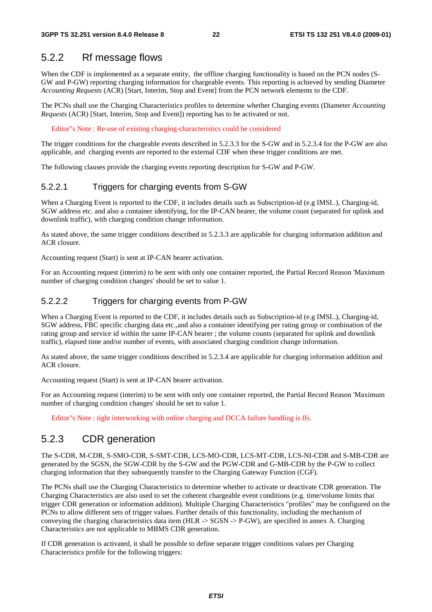### 5.2.2 Rf message flows

When the CDF is implemented as a separate entity, the offline charging functionality is based on the PCN nodes (S-GW and P-GW) reporting charging information for chargeable events. This reporting is achieved by sending Diameter *Accounting Requests* (ACR) [Start, Interim, Stop and Event] from the PCN network elements to the CDF.

The PCNs shall use the Charging Characteristics profiles to determine whether Charging events (Diameter *Accounting Requests* (ACR) [Start, Interim, Stop and Event]) reporting has to be activated or not.

Editor"s Note : Re-use of existing charging-characteristics could be considered

The trigger conditions for the chargeable events described in 5.2.3.3 for the S-GW and in 5.2.3.4 for the P-GW are also applicable, and charging events are reported to the external CDF when these trigger conditions are met.

The following clauses provide the charging events reporting description for S-GW and P-GW.

### 5.2.2.1 Triggers for charging events from S-GW

When a Charging Event is reported to the CDF, it includes details such as Subscription-id (e.g IMSI..), Charging-id, SGW address etc. and also a container identifying, for the IP-CAN bearer, the volume count (separated for uplink and downlink traffic), with charging condition change information.

As stated above, the same trigger conditions described in 5.2.3.3 are applicable for charging information addition and ACR closure.

Accounting request (Start) is sent at IP-CAN bearer activation.

For an Accounting request (interim) to be sent with only one container reported, the Partial Record Reason 'Maximum number of charging condition changes' should be set to value 1.

### 5.2.2.2 Triggers for charging events from P-GW

When a Charging Event is reported to the CDF, it includes details such as Subscription-id (e.g IMSI..), Charging-id, SGW address, FBC specific charging data etc.,and also a container identifying per rating group or combination of the rating group and service id within the same IP-CAN bearer ; the volume counts (separated for uplink and downlink traffic), elapsed time and/or number of events, with associated charging condition change information.

As stated above, the same trigger conditions described in 5.2.3.4 are applicable for charging information addition and ACR closure.

Accounting request (Start) is sent at IP-CAN bearer activation.

For an Accounting request (interim) to be sent with only one container reported, the Partial Record Reason 'Maximum number of charging condition changes' should be set to value 1.

Editor"s Note : tight interworking with online charging and DCCA failure handling is ffs.

### 5.2.3 CDR generation

The S-CDR, M-CDR, S-SMO-CDR, S-SMT-CDR, LCS-MO-CDR, LCS-MT-CDR, LCS-NI-CDR and S-MB-CDR are generated by the SGSN, the SGW-CDR by the S-GW and the PGW-CDR and G-MB-CDR by the P-GW to collect charging information that they subsequently transfer to the Charging Gateway Function (CGF).

The PCNs shall use the Charging Characteristics to determine whether to activate or deactivate CDR generation. The Charging Characteristics are also used to set the coherent chargeable event conditions (e.g. time/volume limits that trigger CDR generation or information addition). Multiple Charging Characteristics "profiles" may be configured on the PCNs to allow different sets of trigger values. Further details of this functionality, including the mechanism of conveying the charging characteristics data item (HLR -> SGSN -> P-GW), are specified in annex A. Charging Characteristics are not applicable to MBMS CDR generation.

If CDR generation is activated, it shall be possible to define separate trigger conditions values per Charging Characteristics profile for the following triggers: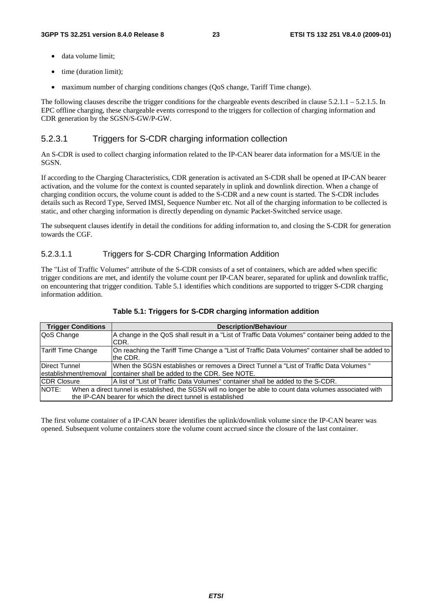- data volume limit;
- time (duration limit);
- maximum number of charging conditions changes (QoS change, Tariff Time change).

The following clauses describe the trigger conditions for the chargeable events described in clause  $5.2.1.1 - 5.2.1.5$ . In EPC offline charging, these chargeable events correspond to the triggers for collection of charging information and CDR generation by the SGSN/S-GW/P-GW.

## 5.2.3.1 Triggers for S-CDR charging information collection

An S-CDR is used to collect charging information related to the IP-CAN bearer data information for a MS/UE in the SGSN.

If according to the Charging Characteristics, CDR generation is activated an S-CDR shall be opened at IP-CAN bearer activation, and the volume for the context is counted separately in uplink and downlink direction. When a change of charging condition occurs, the volume count is added to the S-CDR and a new count is started. The S-CDR includes details such as Record Type, Served IMSI, Sequence Number etc. Not all of the charging information to be collected is static, and other charging information is directly depending on dynamic Packet-Switched service usage.

The subsequent clauses identify in detail the conditions for adding information to, and closing the S-CDR for generation towards the CGF.

### 5.2.3.1.1 Triggers for S-CDR Charging Information Addition

The "List of Traffic Volumes" attribute of the S-CDR consists of a set of containers, which are added when specific trigger conditions are met, and identify the volume count per IP-CAN bearer, separated for uplink and downlink traffic, on encountering that trigger condition. Table 5.1 identifies which conditions are supported to trigger S-CDR charging information addition.

| <b>Trigger Conditions</b> | <b>Description/Behaviour</b>                                                                                |
|---------------------------|-------------------------------------------------------------------------------------------------------------|
| QoS Change                | A change in the QoS shall result in a "List of Traffic Data Volumes" container being added to the<br>CDR.   |
| Tariff Time Change        | On reaching the Tariff Time Change a "List of Traffic Data Volumes" container shall be added to<br>the CDR. |
| <b>Direct Tunnel</b>      | When the SGSN establishes or removes a Direct Tunnel a "List of Traffic Data Volumes"                       |
| lestablishment/removal    | Icontainer shall be added to the CDR. See NOTE.                                                             |
| <b>CDR Closure</b>        | A list of "List of Traffic Data Volumes" container shall be added to the S-CDR.                             |
| NOTE:                     | When a direct tunnel is established, the SGSN will no longer be able to count data volumes associated with  |
|                           | the IP-CAN bearer for which the direct tunnel is established                                                |

The first volume container of a IP-CAN bearer identifies the uplink/downlink volume since the IP-CAN bearer was opened. Subsequent volume containers store the volume count accrued since the closure of the last container.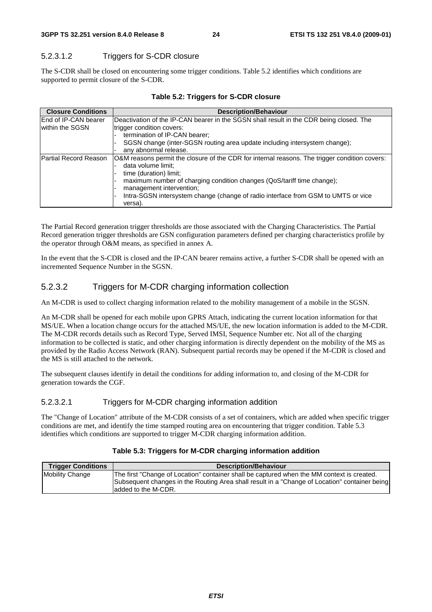### 5.2.3.1.2 Triggers for S-CDR closure

The S-CDR shall be closed on encountering some trigger conditions. Table 5.2 identifies which conditions are supported to permit closure of the S-CDR.

| <b>Closure Conditions</b>   | <b>Description/Behaviour</b>                                                                  |
|-----------------------------|-----------------------------------------------------------------------------------------------|
| <b>End of IP-CAN bearer</b> | Deactivation of the IP-CAN bearer in the SGSN shall result in the CDR being closed. The       |
| within the SGSN             | trigger condition covers:                                                                     |
|                             | termination of IP-CAN bearer;                                                                 |
|                             | SGSN change (inter-SGSN routing area update including intersystem change);                    |
|                             | any abnormal release.                                                                         |
| Partial Record Reason       | O&M reasons permit the closure of the CDR for internal reasons. The trigger condition covers: |
|                             | data volume limit;                                                                            |
|                             | time (duration) limit;                                                                        |
|                             | maximum number of charging condition changes (QoS/tariff time change);                        |
|                             | management intervention;                                                                      |
|                             | Intra-SGSN intersystem change (change of radio interface from GSM to UMTS or vice             |
|                             | versa).                                                                                       |

#### **Table 5.2: Triggers for S-CDR closure**

The Partial Record generation trigger thresholds are those associated with the Charging Characteristics. The Partial Record generation trigger thresholds are GSN configuration parameters defined per charging characteristics profile by the operator through O&M means, as specified in annex A.

In the event that the S-CDR is closed and the IP-CAN bearer remains active, a further S-CDR shall be opened with an incremented Sequence Number in the SGSN.

### 5.2.3.2 Triggers for M-CDR charging information collection

An M-CDR is used to collect charging information related to the mobility management of a mobile in the SGSN.

An M-CDR shall be opened for each mobile upon GPRS Attach, indicating the current location information for that MS/UE. When a location change occurs for the attached MS/UE, the new location information is added to the M-CDR. The M-CDR records details such as Record Type, Served IMSI, Sequence Number etc. Not all of the charging information to be collected is static, and other charging information is directly dependent on the mobility of the MS as provided by the Radio Access Network (RAN). Subsequent partial records may be opened if the M-CDR is closed and the MS is still attached to the network.

The subsequent clauses identify in detail the conditions for adding information to, and closing of the M-CDR for generation towards the CGF.

#### 5.2.3.2.1 Triggers for M-CDR charging information addition

The "Change of Location" attribute of the M-CDR consists of a set of containers, which are added when specific trigger conditions are met, and identify the time stamped routing area on encountering that trigger condition. Table 5.3 identifies which conditions are supported to trigger M-CDR charging information addition.

#### **Table 5.3: Triggers for M-CDR charging information addition**

| <b>Trigger Conditions</b> | <b>Description/Behaviour</b>                                                                                                                                                                                        |
|---------------------------|---------------------------------------------------------------------------------------------------------------------------------------------------------------------------------------------------------------------|
| <b>Mobility Change</b>    | The first "Change of Location" container shall be captured when the MM context is created.<br>Subsequent changes in the Routing Area shall result in a "Change of Location" container being<br>ladded to the M-CDR. |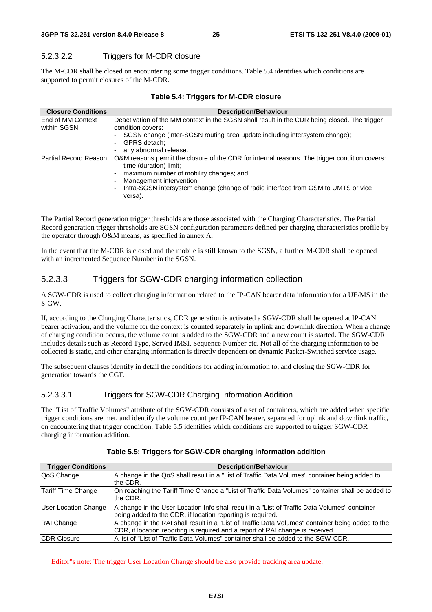### 5.2.3.2.2 Triggers for M-CDR closure

The M-CDR shall be closed on encountering some trigger conditions. Table 5.4 identifies which conditions are supported to permit closures of the M-CDR.

| <b>Closure Conditions</b>               | <b>Description/Behaviour</b>                                                                                                                                                                                                                                                                                            |
|-----------------------------------------|-------------------------------------------------------------------------------------------------------------------------------------------------------------------------------------------------------------------------------------------------------------------------------------------------------------------------|
| <b>End of MM Context</b><br>within SGSN | Deactivation of the MM context in the SGSN shall result in the CDR being closed. The trigger<br>condition covers:<br>SGSN change (inter-SGSN routing area update including intersystem change);<br>GPRS detach:                                                                                                         |
| Partial Record Reason                   | any abnormal release.<br>O&M reasons permit the closure of the CDR for internal reasons. The trigger condition covers:<br>time (duration) limit;<br>maximum number of mobility changes; and<br>Management intervention;<br>Intra-SGSN intersystem change (change of radio interface from GSM to UMTS or vice<br>versa). |

#### **Table 5.4: Triggers for M-CDR closure**

The Partial Record generation trigger thresholds are those associated with the Charging Characteristics. The Partial Record generation trigger thresholds are SGSN configuration parameters defined per charging characteristics profile by the operator through O&M means, as specified in annex A.

In the event that the M-CDR is closed and the mobile is still known to the SGSN, a further M-CDR shall be opened with an incremented Sequence Number in the SGSN.

### 5.2.3.3 Triggers for SGW-CDR charging information collection

A SGW-CDR is used to collect charging information related to the IP-CAN bearer data information for a UE/MS in the S-GW.

If, according to the Charging Characteristics, CDR generation is activated a SGW-CDR shall be opened at IP-CAN bearer activation, and the volume for the context is counted separately in uplink and downlink direction. When a change of charging condition occurs, the volume count is added to the SGW-CDR and a new count is started. The SGW-CDR includes details such as Record Type, Served IMSI, Sequence Number etc. Not all of the charging information to be collected is static, and other charging information is directly dependent on dynamic Packet-Switched service usage.

The subsequent clauses identify in detail the conditions for adding information to, and closing the SGW-CDR for generation towards the CGF.

#### 5.2.3.3.1 Triggers for SGW-CDR Charging Information Addition

The "List of Traffic Volumes" attribute of the SGW-CDR consists of a set of containers, which are added when specific trigger conditions are met, and identify the volume count per IP-CAN bearer, separated for uplink and downlink traffic, on encountering that trigger condition. Table 5.5 identifies which conditions are supported to trigger SGW-CDR charging information addition.

| <b>Trigger Conditions</b>   | <b>Description/Behaviour</b>                                                                                |
|-----------------------------|-------------------------------------------------------------------------------------------------------------|
| QoS Change                  | A change in the QoS shall result in a "List of Traffic Data Volumes" container being added to               |
|                             | the CDR.                                                                                                    |
| Tariff Time Change          | On reaching the Tariff Time Change a "List of Traffic Data Volumes" container shall be added to<br>the CDR. |
| <b>User Location Change</b> | A change in the User Location Info shall result in a "List of Traffic Data Volumes" container               |
|                             | being added to the CDR, if location reporting is required.                                                  |
| RAI Change                  | A change in the RAI shall result in a "List of Traffic Data Volumes" container being added to the           |
|                             | CDR, if location reporting is required and a report of RAI change is received.                              |
| <b>CDR Closure</b>          | A list of "List of Traffic Data Volumes" container shall be added to the SGW-CDR.                           |

#### **Table 5.5: Triggers for SGW-CDR charging information addition**

Editor"s note: The trigger User Location Change should be also provide tracking area update.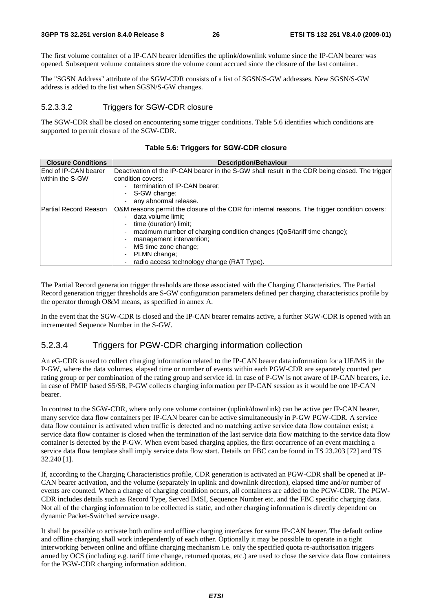The first volume container of a IP-CAN bearer identifies the uplink/downlink volume since the IP-CAN bearer was opened. Subsequent volume containers store the volume count accrued since the closure of the last container.

The "SGSN Address" attribute of the SGW-CDR consists of a list of SGSN/S-GW addresses. New SGSN/S-GW address is added to the list when SGSN/S-GW changes.

#### 5.2.3.3.2 Triggers for SGW-CDR closure

The SGW-CDR shall be closed on encountering some trigger conditions. Table 5.6 identifies which conditions are supported to permit closure of the SGW-CDR.

| <b>Closure Conditions</b>    | <b>Description/Behaviour</b>                                                                                        |  |  |  |  |
|------------------------------|---------------------------------------------------------------------------------------------------------------------|--|--|--|--|
| <b>End of IP-CAN bearer</b>  | Deactivation of the IP-CAN bearer in the S-GW shall result in the CDR being closed. The trigger                     |  |  |  |  |
| within the S-GW              | lcondition covers:                                                                                                  |  |  |  |  |
|                              | termination of IP-CAN bearer;                                                                                       |  |  |  |  |
|                              | S-GW change;                                                                                                        |  |  |  |  |
|                              | any abnormal release.                                                                                               |  |  |  |  |
| <b>Partial Record Reason</b> | O&M reasons permit the closure of the CDR for internal reasons. The trigger condition covers:<br>data volume limit; |  |  |  |  |
|                              | time (duration) limit;                                                                                              |  |  |  |  |
|                              | maximum number of charging condition changes (QoS/tariff time change);<br>management intervention;                  |  |  |  |  |
|                              | MS time zone change;                                                                                                |  |  |  |  |
|                              | PLMN change;                                                                                                        |  |  |  |  |
|                              | radio access technology change (RAT Type).                                                                          |  |  |  |  |

#### **Table 5.6: Triggers for SGW-CDR closure**

The Partial Record generation trigger thresholds are those associated with the Charging Characteristics. The Partial Record generation trigger thresholds are S-GW configuration parameters defined per charging characteristics profile by the operator through O&M means, as specified in annex A.

In the event that the SGW-CDR is closed and the IP-CAN bearer remains active, a further SGW-CDR is opened with an incremented Sequence Number in the S-GW.

#### 5.2.3.4 Triggers for PGW-CDR charging information collection

An eG-CDR is used to collect charging information related to the IP-CAN bearer data information for a UE/MS in the P-GW, where the data volumes, elapsed time or number of events within each PGW-CDR are separately counted per rating group or per combination of the rating group and service id. In case of P-GW is not aware of IP-CAN bearers, i.e. in case of PMIP based S5/S8, P-GW collects charging information per IP-CAN session as it would be one IP-CAN bearer.

In contrast to the SGW-CDR, where only one volume container (uplink/downlink) can be active per IP-CAN bearer, many service data flow containers per IP-CAN bearer can be active simultaneously in P-GW PGW-CDR. A service data flow container is activated when traffic is detected and no matching active service data flow container exist; a service data flow container is closed when the termination of the last service data flow matching to the service data flow container is detected by the P-GW. When event based charging applies, the first occurrence of an event matching a service data flow template shall imply service data flow start. Details on FBC can be found in TS 23.203 [72] and TS 32.240 [1].

If, according to the Charging Characteristics profile, CDR generation is activated an PGW-CDR shall be opened at IP-CAN bearer activation, and the volume (separately in uplink and downlink direction), elapsed time and/or number of events are counted. When a change of charging condition occurs, all containers are added to the PGW-CDR. The PGW-CDR includes details such as Record Type, Served IMSI, Sequence Number etc. and the FBC specific charging data. Not all of the charging information to be collected is static, and other charging information is directly dependent on dynamic Packet-Switched service usage.

It shall be possible to activate both online and offline charging interfaces for same IP-CAN bearer. The default online and offline charging shall work independently of each other. Optionally it may be possible to operate in a tight interworking between online and offline charging mechanism i.e. only the specified quota re-authorisation triggers armed by OCS (including e.g. tariff time change, returned quotas, etc.) are used to close the service data flow containers for the PGW-CDR charging information addition.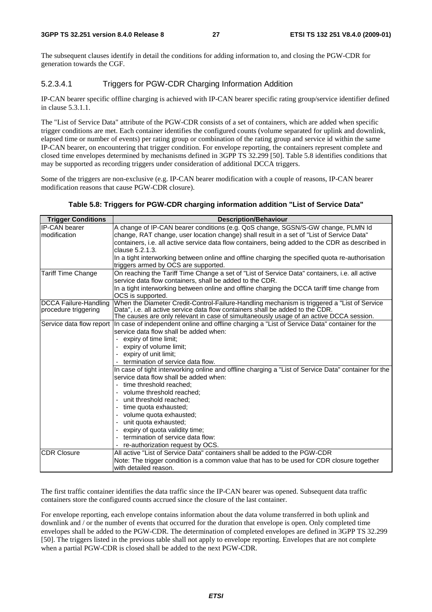The subsequent clauses identify in detail the conditions for adding information to, and closing the PGW-CDR for generation towards the CGF.

### 5.2.3.4.1 Triggers for PGW-CDR Charging Information Addition

IP-CAN bearer specific offline charging is achieved with IP-CAN bearer specific rating group/service identifier defined in clause 5.3.1.1.

The "List of Service Data" attribute of the PGW-CDR consists of a set of containers, which are added when specific trigger conditions are met. Each container identifies the configured counts (volume separated for uplink and downlink, elapsed time or number of events) per rating group or combination of the rating group and service id within the same IP-CAN bearer, on encountering that trigger condition. For envelope reporting, the containers represent complete and closed time envelopes determined by mechanisms defined in 3GPP TS 32.299 [50]. Table 5.8 identifies conditions that may be supported as recording triggers under consideration of additional DCCA triggers.

Some of the triggers are non-exclusive (e.g. IP-CAN bearer modification with a couple of reasons, IP-CAN bearer modification reasons that cause PGW-CDR closure).

#### **Table 5.8: Triggers for PGW-CDR charging information addition "List of Service Data"**

| <b>Trigger Conditions</b>    | <b>Description/Behaviour</b>                                                                         |  |  |  |  |
|------------------------------|------------------------------------------------------------------------------------------------------|--|--|--|--|
| <b>IP-CAN</b> bearer         | A change of IP-CAN bearer conditions (e.g. QoS change, SGSN/S-GW change, PLMN Id                     |  |  |  |  |
| modification                 | change, RAT change, user location change) shall result in a set of "List of Service Data"            |  |  |  |  |
|                              | containers, i.e. all active service data flow containers, being added to the CDR as described in     |  |  |  |  |
|                              | clause 5.2.1.3.                                                                                      |  |  |  |  |
|                              | In a tight interworking between online and offline charging the specified quota re-authorisation     |  |  |  |  |
|                              | triggers armed by OCS are supported.                                                                 |  |  |  |  |
| <b>Tariff Time Change</b>    | On reaching the Tariff Time Change a set of "List of Service Data" containers, i.e. all active       |  |  |  |  |
|                              | service data flow containers, shall be added to the CDR.                                             |  |  |  |  |
|                              | In a tight interworking between online and offline charging the DCCA tariff time change from         |  |  |  |  |
|                              | OCS is supported.                                                                                    |  |  |  |  |
| <b>DCCA Failure-Handling</b> | When the Diameter Credit-Control-Failure-Handling mechanism is triggered a "List of Service"         |  |  |  |  |
| procedure triggering         | Data", i.e. all active service data flow containers shall be added to the CDR.                       |  |  |  |  |
|                              | The causes are only relevant in case of simultaneously usage of an active DCCA session.              |  |  |  |  |
| Service data flow report     | In case of independent online and offline charging a "List of Service Data" container for the        |  |  |  |  |
|                              | service data flow shall be added when:                                                               |  |  |  |  |
|                              | expiry of time limit;                                                                                |  |  |  |  |
|                              | expiry of volume limit;                                                                              |  |  |  |  |
|                              | expiry of unit limit;                                                                                |  |  |  |  |
|                              | - termination of service data flow.                                                                  |  |  |  |  |
|                              | In case of tight interworking online and offline charging a "List of Service Data" container for the |  |  |  |  |
|                              | service data flow shall be added when:                                                               |  |  |  |  |
|                              | - time threshold reached;                                                                            |  |  |  |  |
|                              | - volume threshold reached;                                                                          |  |  |  |  |
|                              | unit threshold reached;                                                                              |  |  |  |  |
|                              | time quota exhausted;                                                                                |  |  |  |  |
|                              | volume quota exhausted;                                                                              |  |  |  |  |
|                              | unit quota exhausted;                                                                                |  |  |  |  |
|                              | expiry of quota validity time;                                                                       |  |  |  |  |
|                              | termination of service data flow:                                                                    |  |  |  |  |
|                              | - re-authorization request by OCS.                                                                   |  |  |  |  |
| <b>CDR Closure</b>           | All active "List of Service Data" containers shall be added to the PGW-CDR                           |  |  |  |  |
|                              | Note: The trigger condition is a common value that has to be used for CDR closure together           |  |  |  |  |
|                              | with detailed reason.                                                                                |  |  |  |  |

The first traffic container identifies the data traffic since the IP-CAN bearer was opened. Subsequent data traffic containers store the configured counts accrued since the closure of the last container.

For envelope reporting, each envelope contains information about the data volume transferred in both uplink and downlink and / or the number of events that occurred for the duration that envelope is open. Only completed time envelopes shall be added to the PGW-CDR. The determination of completed envelopes are defined in 3GPP TS 32.299 [50]. The triggers listed in the previous table shall not apply to envelope reporting. Envelopes that are not complete when a partial PGW-CDR is closed shall be added to the next PGW-CDR.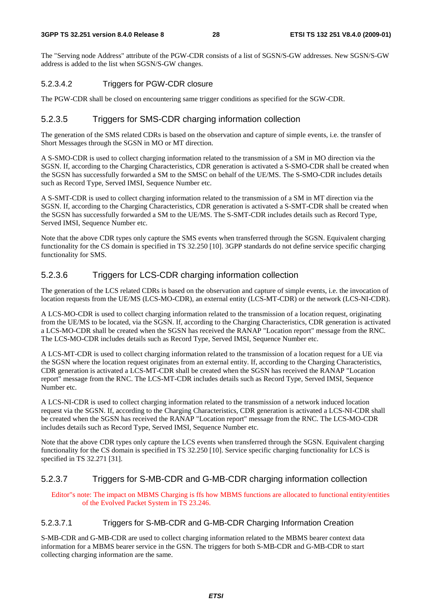The "Serving node Address" attribute of the PGW-CDR consists of a list of SGSN/S-GW addresses. New SGSN/S-GW address is added to the list when SGSN/S-GW changes.

#### 5.2.3.4.2 Triggers for PGW-CDR closure

The PGW-CDR shall be closed on encountering same trigger conditions as specified for the SGW-CDR.

### 5.2.3.5 Triggers for SMS-CDR charging information collection

The generation of the SMS related CDRs is based on the observation and capture of simple events, i.e. the transfer of Short Messages through the SGSN in MO or MT direction.

A S-SMO-CDR is used to collect charging information related to the transmission of a SM in MO direction via the SGSN. If, according to the Charging Characteristics, CDR generation is activated a S-SMO-CDR shall be created when the SGSN has successfully forwarded a SM to the SMSC on behalf of the UE/MS. The S-SMO-CDR includes details such as Record Type, Served IMSI, Sequence Number etc.

A S-SMT-CDR is used to collect charging information related to the transmission of a SM in MT direction via the SGSN. If, according to the Charging Characteristics, CDR generation is activated a S-SMT-CDR shall be created when the SGSN has successfully forwarded a SM to the UE/MS. The S-SMT-CDR includes details such as Record Type, Served IMSI, Sequence Number etc.

Note that the above CDR types only capture the SMS events when transferred through the SGSN. Equivalent charging functionality for the CS domain is specified in TS 32.250 [10]. 3GPP standards do not define service specific charging functionality for SMS.

### 5.2.3.6 Triggers for LCS-CDR charging information collection

The generation of the LCS related CDRs is based on the observation and capture of simple events, i.e. the invocation of location requests from the UE/MS (LCS-MO-CDR), an external entity (LCS-MT-CDR) or the network (LCS-NI-CDR).

A LCS-MO-CDR is used to collect charging information related to the transmission of a location request, originating from the UE/MS to be located, via the SGSN. If, according to the Charging Characteristics, CDR generation is activated a LCS-MO-CDR shall be created when the SGSN has received the RANAP "Location report" message from the RNC. The LCS-MO-CDR includes details such as Record Type, Served IMSI, Sequence Number etc.

A LCS-MT-CDR is used to collect charging information related to the transmission of a location request for a UE via the SGSN where the location request originates from an external entity. If, according to the Charging Characteristics, CDR generation is activated a LCS-MT-CDR shall be created when the SGSN has received the RANAP "Location report" message from the RNC. The LCS-MT-CDR includes details such as Record Type, Served IMSI, Sequence Number etc.

A LCS-NI-CDR is used to collect charging information related to the transmission of a network induced location request via the SGSN. If, according to the Charging Characteristics, CDR generation is activated a LCS-NI-CDR shall be created when the SGSN has received the RANAP "Location report" message from the RNC. The LCS-MO-CDR includes details such as Record Type, Served IMSI, Sequence Number etc.

Note that the above CDR types only capture the LCS events when transferred through the SGSN. Equivalent charging functionality for the CS domain is specified in TS 32.250 [10]. Service specific charging functionality for LCS is specified in TS 32.271 [31].

#### 5.2.3.7 Triggers for S-MB-CDR and G-MB-CDR charging information collection

Editor"s note: The impact on MBMS Charging is ffs how MBMS functions are allocated to functional entity/entities of the Evolved Packet System in TS 23.246.

#### 5.2.3.7.1 Triggers for S-MB-CDR and G-MB-CDR Charging Information Creation

S-MB-CDR and G-MB-CDR are used to collect charging information related to the MBMS bearer context data information for a MBMS bearer service in the GSN. The triggers for both S-MB-CDR and G-MB-CDR to start collecting charging information are the same.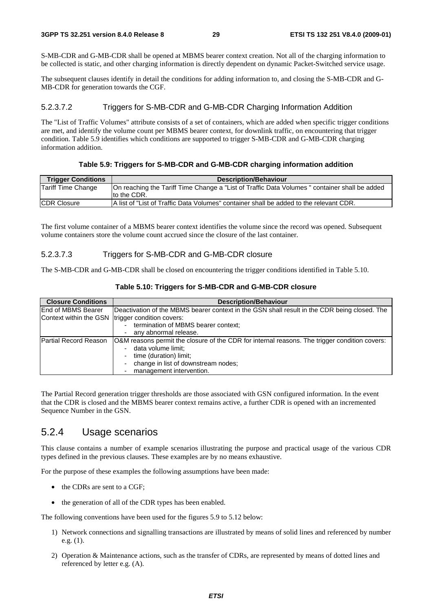S-MB-CDR and G-MB-CDR shall be opened at MBMS bearer context creation. Not all of the charging information to be collected is static, and other charging information is directly dependent on dynamic Packet-Switched service usage.

The subsequent clauses identify in detail the conditions for adding information to, and closing the S-MB-CDR and G-MB-CDR for generation towards the CGF.

#### 5.2.3.7.2 Triggers for S-MB-CDR and G-MB-CDR Charging Information Addition

The "List of Traffic Volumes" attribute consists of a set of containers, which are added when specific trigger conditions are met, and identify the volume count per MBMS bearer context, for downlink traffic, on encountering that trigger condition. Table 5.9 identifies which conditions are supported to trigger S-MB-CDR and G-MB-CDR charging information addition.

#### **Table 5.9: Triggers for S-MB-CDR and G-MB-CDR charging information addition**

| <b>Trigger Conditions</b> | <b>Description/Behaviour</b>                                                                                  |
|---------------------------|---------------------------------------------------------------------------------------------------------------|
| Tariff Time Change        | On reaching the Tariff Time Change a "List of Traffic Data Volumes " container shall be added<br>Ito the CDR. |
| <b>CDR Closure</b>        | A list of "List of Traffic Data Volumes" container shall be added to the relevant CDR.                        |

The first volume container of a MBMS bearer context identifies the volume since the record was opened. Subsequent volume containers store the volume count accrued since the closure of the last container.

#### 5.2.3.7.3 Triggers for S-MB-CDR and G-MB-CDR closure

The S-MB-CDR and G-MB-CDR shall be closed on encountering the trigger conditions identified in Table 5.10.

| <b>Closure Conditions</b> | <b>Description/Behaviour</b>                                                                  |  |  |  |  |  |
|---------------------------|-----------------------------------------------------------------------------------------------|--|--|--|--|--|
| End of MBMS Bearer        | Deactivation of the MBMS bearer context in the GSN shall result in the CDR being closed. The  |  |  |  |  |  |
| Context within the GSN    | trigger condition covers:                                                                     |  |  |  |  |  |
|                           | termination of MBMS bearer context;                                                           |  |  |  |  |  |
|                           | any abnormal release.                                                                         |  |  |  |  |  |
| Partial Record Reason     | O&M reasons permit the closure of the CDR for internal reasons. The trigger condition covers: |  |  |  |  |  |
|                           | data volume limit;                                                                            |  |  |  |  |  |
|                           | time (duration) limit;                                                                        |  |  |  |  |  |
|                           | change in list of downstream nodes;                                                           |  |  |  |  |  |
|                           | management intervention.                                                                      |  |  |  |  |  |

#### **Table 5.10: Triggers for S-MB-CDR and G-MB-CDR closure**

The Partial Record generation trigger thresholds are those associated with GSN configured information. In the event that the CDR is closed and the MBMS bearer context remains active, a further CDR is opened with an incremented Sequence Number in the GSN.

### 5.2.4 Usage scenarios

This clause contains a number of example scenarios illustrating the purpose and practical usage of the various CDR types defined in the previous clauses. These examples are by no means exhaustive.

For the purpose of these examples the following assumptions have been made:

- the CDRs are sent to a CGF;
- the generation of all of the CDR types has been enabled.

The following conventions have been used for the figures 5.9 to 5.12 below:

- 1) Network connections and signalling transactions are illustrated by means of solid lines and referenced by number e.g. (1).
- 2) Operation & Maintenance actions, such as the transfer of CDRs, are represented by means of dotted lines and referenced by letter e.g. (A).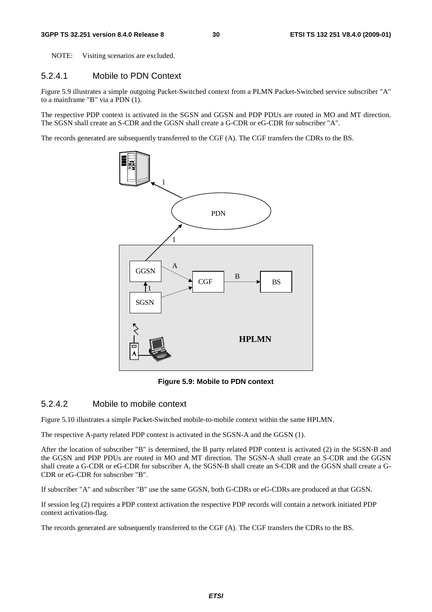NOTE: Visiting scenarios are excluded.

#### 5.2.4.1 Mobile to PDN Context

Figure 5.9 illustrates a simple outgoing Packet-Switched context from a PLMN Packet-Switched service subscriber "A" to a mainframe "B" via a PDN (1).

The respective PDP context is activated in the SGSN and GGSN and PDP PDUs are routed in MO and MT direction. The SGSN shall create an S-CDR and the GGSN shall create a G-CDR or eG-CDR for subscriber "A".

The records generated are subsequently transferred to the CGF (A). The CGF transfers the CDRs to the BS.



**Figure 5.9: Mobile to PDN context** 

#### 5.2.4.2 Mobile to mobile context

Figure 5.10 illustrates a simple Packet-Switched mobile-to-mobile context within the same HPLMN.

The respective A-party related PDP context is activated in the SGSN-A and the GGSN (1).

After the location of subscriber "B" is determined, the B party related PDP context is activated (2) in the SGSN-B and the GGSN and PDP PDUs are routed in MO and MT direction. The SGSN-A shall create an S-CDR and the GGSN shall create a G-CDR or eG-CDR for subscriber A, the SGSN-B shall create an S-CDR and the GGSN shall create a G-CDR or eG-CDR for subscriber "B".

If subscriber "A" and subscriber "B" use the same GGSN, both G-CDRs or eG-CDRs are produced at that GGSN.

If session leg (2) requires a PDP context activation the respective PDP records will contain a network initiated PDP context activation-flag.

The records generated are subsequently transferred to the CGF (A). The CGF transfers the CDRs to the BS.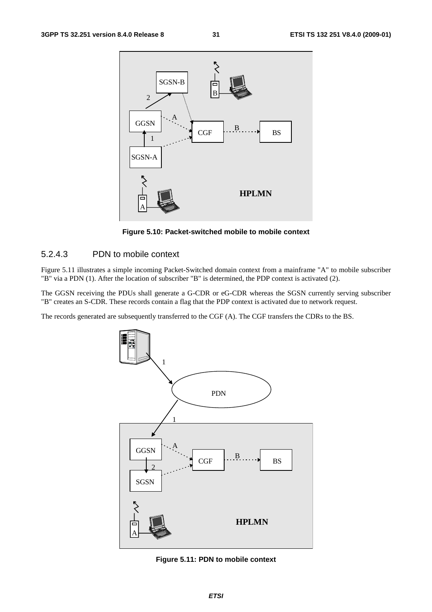

**Figure 5.10: Packet-switched mobile to mobile context** 

#### 5.2.4.3 PDN to mobile context

Figure 5.11 illustrates a simple incoming Packet-Switched domain context from a mainframe "A" to mobile subscriber "B" via a PDN (1). After the location of subscriber "B" is determined, the PDP context is activated (2).

The GGSN receiving the PDUs shall generate a G-CDR or eG-CDR whereas the SGSN currently serving subscriber "B" creates an S-CDR. These records contain a flag that the PDP context is activated due to network request.

The records generated are subsequently transferred to the CGF (A). The CGF transfers the CDRs to the BS.



**Figure 5.11: PDN to mobile context**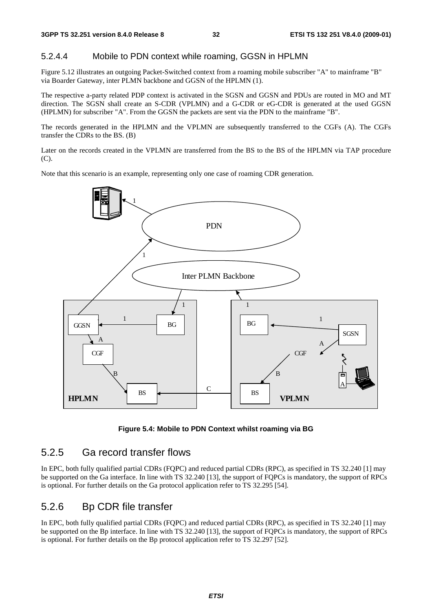#### 5.2.4.4 Mobile to PDN context while roaming, GGSN in HPLMN

Figure 5.12 illustrates an outgoing Packet-Switched context from a roaming mobile subscriber "A" to mainframe "B" via Boarder Gateway, inter PLMN backbone and GGSN of the HPLMN (1).

The respective a-party related PDP context is activated in the SGSN and GGSN and PDUs are routed in MO and MT direction. The SGSN shall create an S-CDR (VPLMN) and a G-CDR or eG-CDR is generated at the used GGSN (HPLMN) for subscriber "A". From the GGSN the packets are sent via the PDN to the mainframe "B".

The records generated in the HPLMN and the VPLMN are subsequently transferred to the CGFs (A). The CGFs transfer the CDRs to the BS. (B)

Later on the records created in the VPLMN are transferred from the BS to the BS of the HPLMN via TAP procedure (C).

Note that this scenario is an example, representing only one case of roaming CDR generation.



**Figure 5.4: Mobile to PDN Context whilst roaming via BG** 

### 5.2.5 Ga record transfer flows

In EPC, both fully qualified partial CDRs (FQPC) and reduced partial CDRs (RPC), as specified in TS 32.240 [1] may be supported on the Ga interface. In line with TS 32.240 [13], the support of FQPCs is mandatory, the support of RPCs is optional. For further details on the Ga protocol application refer to TS 32.295 [54].

### 5.2.6 Bp CDR file transfer

In EPC, both fully qualified partial CDRs (FQPC) and reduced partial CDRs (RPC), as specified in TS 32.240 [1] may be supported on the Bp interface. In line with TS 32.240 [13], the support of FQPCs is mandatory, the support of RPCs is optional. For further details on the Bp protocol application refer to TS 32.297 [52].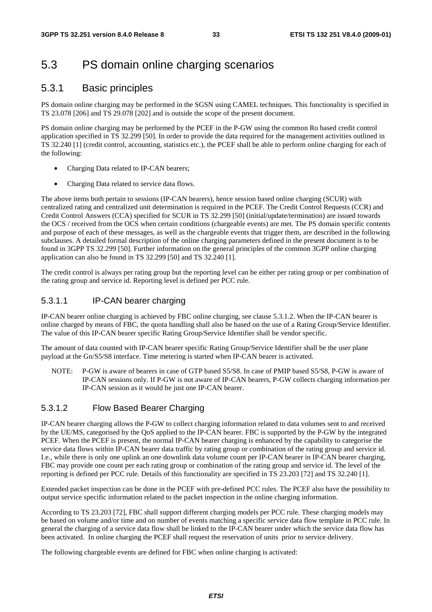## 5.3 PS domain online charging scenarios

### 5.3.1 Basic principles

PS domain online charging may be performed in the SGSN using CAMEL techniques. This functionality is specified in TS 23.078 [206] and TS 29.078 [202] and is outside the scope of the present document.

PS domain online charging may be performed by the PCEF in the P-GW using the common Ro based credit control application specified in TS 32.299 [50]. In order to provide the data required for the management activities outlined in TS 32.240 [1] (credit control, accounting, statistics etc.), the PCEF shall be able to perform online charging for each of the following:

- Charging Data related to IP-CAN bearers;
- Charging Data related to service data flows.

The above items both pertain to sessions (IP-CAN bearers), hence session based online charging (SCUR) with centralized rating and centralized unit determination is required in the PCEF. The Credit Control Requests (CCR) and Credit Control Answers (CCA) specified for SCUR in TS 32.299 [50] (initial/update/termination) are issued towards the OCS / received from the OCS when certain conditions (chargeable events) are met. The PS domain specific contents and purpose of each of these messages, as well as the chargeable events that trigger them, are described in the following subclauses. A detailed formal description of the online charging parameters defined in the present document is to be found in 3GPP TS 32.299 [50]. Further information on the general principles of the common 3GPP online charging application can also be found in TS 32.299 [50] and TS 32.240 [1].

The credit control is always per rating group but the reporting level can be either per rating group or per combination of the rating group and service id. Reporting level is defined per PCC rule.

### 5.3.1.1 IP-CAN bearer charging

IP-CAN bearer online charging is achieved by FBC online charging, see clause 5.3.1.2. When the IP-CAN bearer is online charged by means of FBC, the quota handling shall also be based on the use of a Rating Group/Service Identifier. The value of this IP-CAN bearer specific Rating Group/Service Identifier shall be vendor specific.

The amount of data counted with IP-CAN bearer specific Rating Group/Service Identifier shall be the user plane payload at the Gn/S5/S8 interface. Time metering is started when IP-CAN bearer is activated.

NOTE: P-GW is aware of bearers in case of GTP based S5/S8. In case of PMIP based S5/S8, P-GW is aware of IP-CAN sessions only. If P-GW is not aware of IP-CAN bearers, P-GW collects charging information per IP-CAN session as it would be just one IP-CAN bearer.

### 5.3.1.2 Flow Based Bearer Charging

IP-CAN bearer charging allows the P-GW to collect charging information related to data volumes sent to and received by the UE/MS, categorised by the QoS applied to the IP-CAN bearer. FBC is supported by the P-GW by the integrated PCEF. When the PCEF is present, the normal IP-CAN bearer charging is enhanced by the capability to categorise the service data flows within IP-CAN bearer data traffic by rating group or combination of the rating group and service id. I.e., while there is only one uplink an one downlink data volume count per IP-CAN bearer in IP-CAN bearer charging, FBC may provide one count per each rating group or combination of the rating group and service id. The level of the reporting is defined per PCC rule. Details of this functionality are specified in TS 23.203 [72] and TS 32.240 [1].

Extended packet inspection can be done in the PCEF with pre-defined PCC rules. The PCEF also have the possibility to output service specific information related to the packet inspection in the online charging information.

According to TS 23.203 [72], FBC shall support different charging models per PCC rule. These charging models may be based on volume and/or time and on number of events matching a specific service data flow template in PCC rule. In general the charging of a service data flow shall be linked to the IP-CAN bearer under which the service data flow has been activated. In online charging the PCEF shall request the reservation of units prior to service delivery.

The following chargeable events are defined for FBC when online charging is activated: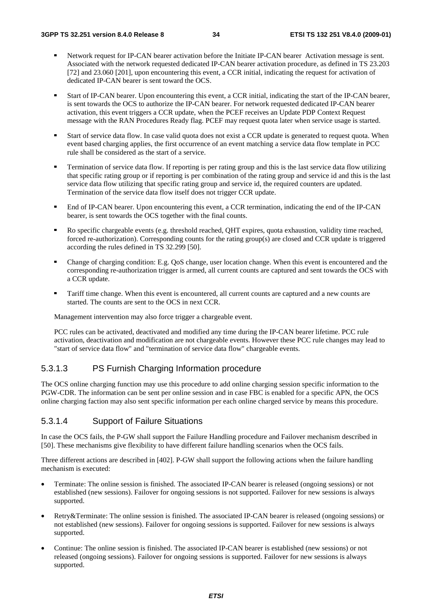- Network request for IP-CAN bearer activation before the Initiate IP-CAN bearer Activation message is sent. Associated with the network requested dedicated IP-CAN bearer activation procedure, as defined in TS 23.203 [72] and 23.060 [201], upon encountering this event, a CCR initial, indicating the request for activation of dedicated IP-CAN bearer is sent toward the OCS.
- Start of IP-CAN bearer. Upon encountering this event, a CCR initial, indicating the start of the IP-CAN bearer, is sent towards the OCS to authorize the IP-CAN bearer. For network requested dedicated IP-CAN bearer activation, this event triggers a CCR update, when the PCEF receives an Update PDP Context Request message with the RAN Procedures Ready flag. PCEF may request quota later when service usage is started.
- Start of service data flow. In case valid quota does not exist a CCR update is generated to request quota. When event based charging applies, the first occurrence of an event matching a service data flow template in PCC rule shall be considered as the start of a service.
- **Termination of service data flow.** If reporting is per rating group and this is the last service data flow utilizing that specific rating group or if reporting is per combination of the rating group and service id and thi service data flow utilizing that specific rating group and service id, the required counters are updated. Termination of the service data flow itself does not trigger CCR update.
- End of IP-CAN bearer. Upon encountering this event, a CCR termination, indicating the end of the IP-CAN bearer, is sent towards the OCS together with the final counts.
- Ro specific chargeable events (e.g. threshold reached, QHT expires, quota exhaustion, validity time reached, forced re-authorization). Corresponding counts for the rating group(s) are closed and CCR update is triggered according the rules defined in TS 32.299 [50].
- Change of charging condition: E.g. QoS change, user location change. When this event is encountered and the corresponding re-authorization trigger is armed, all current counts are captured and sent towards the OCS with a CCR update.
- Tariff time change. When this event is encountered, all current counts are captured and a new counts are started. The counts are sent to the OCS in next CCR.

Management intervention may also force trigger a chargeable event.

PCC rules can be activated, deactivated and modified any time during the IP-CAN bearer lifetime. PCC rule activation, deactivation and modification are not chargeable events. However these PCC rule changes may lead to "start of service data flow" and "termination of service data flow" chargeable events.

#### 5.3.1.3 PS Furnish Charging Information procedure

The OCS online charging function may use this procedure to add online charging session specific information to the PGW-CDR. The information can be sent per online session and in case FBC is enabled for a specific APN, the OCS online charging faction may also sent specific information per each online charged service by means this procedure.

#### 5.3.1.4 Support of Failure Situations

In case the OCS fails, the P-GW shall support the Failure Handling procedure and Failover mechanism described in [50]. These mechanisms give flexibility to have different failure handling scenarios when the OCS fails.

Three different actions are described in [402]. P-GW shall support the following actions when the failure handling mechanism is executed:

- Terminate: The online session is finished. The associated IP-CAN bearer is released (ongoing sessions) or not established (new sessions). Failover for ongoing sessions is not supported. Failover for new sessions is always supported.
- Retry&Terminate: The online session is finished. The associated IP-CAN bearer is released (ongoing sessions) or not established (new sessions). Failover for ongoing sessions is supported. Failover for new sessions is always supported.
- Continue: The online session is finished. The associated IP-CAN bearer is established (new sessions) or not released (ongoing sessions). Failover for ongoing sessions is supported. Failover for new sessions is always supported.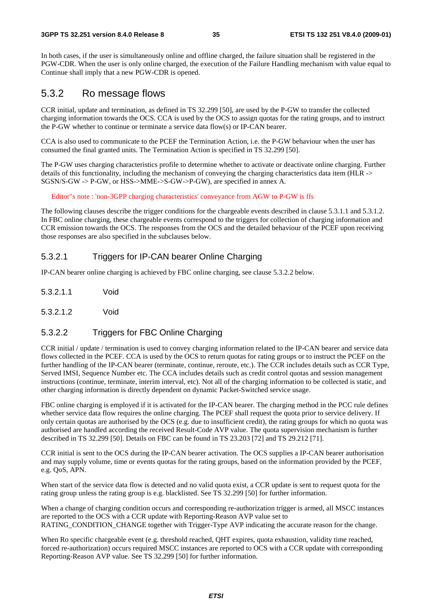#### **3GPP TS 32.251 version 8.4.0 Release 8 35 ETSI TS 132 251 V8.4.0 (2009-01)**

In both cases, if the user is simultaneously online and offline charged, the failure situation shall be registered in the PGW-CDR. When the user is only online charged, the execution of the Failure Handling mechanism with value equal to Continue shall imply that a new PGW-CDR is opened.

### 5.3.2 Ro message flows

CCR initial, update and termination, as defined in TS 32.299 [50], are used by the P-GW to transfer the collected charging information towards the OCS. CCA is used by the OCS to assign quotas for the rating groups, and to instruct the P-GW whether to continue or terminate a service data flow(s) or IP-CAN bearer.

CCA is also used to communicate to the PCEF the Termination Action, i.e. the P-GW behaviour when the user has consumed the final granted units. The Termination Action is specified in TS 32.299 [50].

The P-GW uses charging characteristics profile to determine whether to activate or deactivate online charging. Further details of this functionality, including the mechanism of conveying the charging characteristics data item (HLR -> SGSN/S-GW -> P-GW, or HSS->MME->S-GW->P-GW), are specified in annex A.

Editor"s note : 'non-3GPP charging characteristics' conveyance from AGW to P-GW is ffs

The following clauses describe the trigger conditions for the chargeable events described in clause 5.3.1.1 and 5.3.1.2. In FBC online charging, these chargeable events correspond to the triggers for collection of charging information and CCR emission towards the OCS. The responses from the OCS and the detailed behaviour of the PCEF upon receiving those responses are also specified in the subclauses below.

#### 5.3.2.1 Triggers for IP-CAN bearer Online Charging

IP-CAN bearer online charging is achieved by FBC online charging, see clause 5.3.2.2 below.

- 5.3.2.1.1 Void
- 5.3.2.1.2 Void

#### 5.3.2.2 Triggers for FBC Online Charging

CCR initial / update / termination is used to convey charging information related to the IP-CAN bearer and service data flows collected in the PCEF. CCA is used by the OCS to return quotas for rating groups or to instruct the PCEF on the further handling of the IP-CAN bearer (terminate, continue, reroute, etc.). The CCR includes details such as CCR Type, Served IMSI, Sequence Number etc. The CCA includes details such as credit control quotas and session management instructions (continue, terminate, interim interval, etc). Not all of the charging information to be collected is static, and other charging information is directly dependent on dynamic Packet-Switched service usage.

FBC online charging is employed if it is activated for the IP-CAN bearer. The charging method in the PCC rule defines whether service data flow requires the online charging. The PCEF shall request the quota prior to service delivery. If only certain quotas are authorised by the OCS (e.g. due to insufficient credit), the rating groups for which no quota was authorised are handled according the received Result-Code AVP value. The quota supervision mechanism is further described in TS 32.299 [50]. Details on FBC can be found in TS 23.203 [72] and TS 29.212 [71].

CCR initial is sent to the OCS during the IP-CAN bearer activation. The OCS supplies a IP-CAN bearer authorisation and may supply volume, time or events quotas for the rating groups, based on the information provided by the PCEF, e.g. QoS, APN.

When start of the service data flow is detected and no valid quota exist, a CCR update is sent to request quota for the rating group unless the rating group is e.g. blacklisted. See TS 32.299 [50] for further information.

When a change of charging condition occurs and corresponding re-authorization trigger is armed, all MSCC instances are reported to the OCS with a CCR update with Reporting-Reason AVP value set to RATING CONDITION CHANGE together with Trigger-Type AVP indicating the accurate reason for the change.

When Ro specific chargeable event (e.g. threshold reached, QHT expires, quota exhaustion, validity time reached, forced re-authorization) occurs required MSCC instances are reported to OCS with a CCR update with corresponding Reporting-Reason AVP value. See TS 32.299 [50] for further information.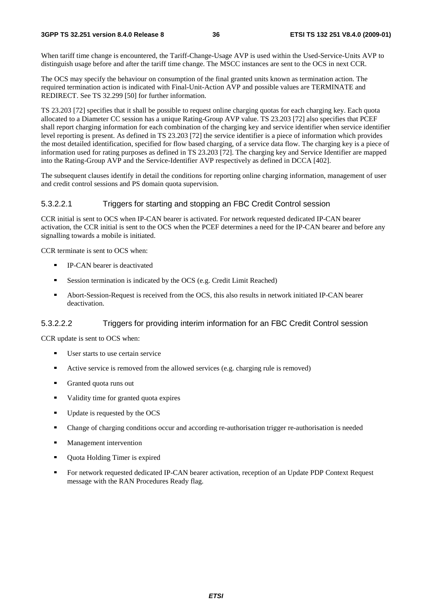#### **3GPP TS 32.251 version 8.4.0 Release 8 36 ETSI TS 132 251 V8.4.0 (2009-01)**

When tariff time change is encountered, the Tariff-Change-Usage AVP is used within the Used-Service-Units AVP to distinguish usage before and after the tariff time change. The MSCC instances are sent to the OCS in next CCR.

The OCS may specify the behaviour on consumption of the final granted units known as termination action. The required termination action is indicated with Final-Unit-Action AVP and possible values are TERMINATE and REDIRECT. See TS 32.299 [50] for further information.

TS 23.203 [72] specifies that it shall be possible to request online charging quotas for each charging key. Each quota allocated to a Diameter CC session has a unique Rating-Group AVP value. TS 23.203 [72] also specifies that PCEF shall report charging information for each combination of the charging key and service identifier when service identifier level reporting is present. As defined in TS 23.203 [72] the service identifier is a piece of information which provides the most detailed identification, specified for flow based charging, of a service data flow. The charging key is a piece of information used for rating purposes as defined in TS 23.203 [72]. The charging key and Service Identifier are mapped into the Rating-Group AVP and the Service-Identifier AVP respectively as defined in DCCA [402].

The subsequent clauses identify in detail the conditions for reporting online charging information, management of user and credit control sessions and PS domain quota supervision.

#### 5.3.2.2.1 Triggers for starting and stopping an FBC Credit Control session

CCR initial is sent to OCS when IP-CAN bearer is activated. For network requested dedicated IP-CAN bearer activation, the CCR initial is sent to the OCS when the PCEF determines a need for the IP-CAN bearer and before any signalling towards a mobile is initiated.

CCR terminate is sent to OCS when:

- IP-CAN bearer is deactivated
- Session termination is indicated by the OCS (e.g. Credit Limit Reached)<br>Abort-Session-Request is received from the OCS, this also results in network
- Abort-Session-Request is received from the OCS, this also results in network initiated IP-CAN bearer deactivation.

#### 5.3.2.2.2 Triggers for providing interim information for an FBC Credit Control session

CCR update is sent to OCS when:

- User starts to use certain service
- Active service is removed from the allowed services (e.g. charging rule is removed)<br> **Conserved** cuota runs out
- Granted quota runs out
- Validity time for granted quota expires<br>Indete is requested by the OCS
- Update is requested by the OCS<br>■ Change of charging conditions of
- Change of charging conditions occur and according re-authorisation trigger re-authorisation is needed<br>■ Management intervention
- Management intervention
- Quota Holding Timer is expired
- For network requested dedicated IP-CAN bearer activation, reception of an Update PDP Context Request message with the RAN Procedures Ready flag.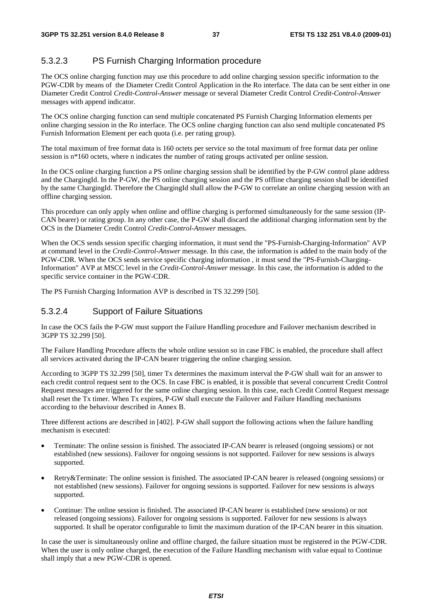### 5.3.2.3 PS Furnish Charging Information procedure

The OCS online charging function may use this procedure to add online charging session specific information to the PGW-CDR by means of the Diameter Credit Control Application in the Ro interface. The data can be sent either in one Diameter Credit Control *Credit-Control-Answer* message or several Diameter Credit Control *Credit-Control-Answer* messages with append indicator.

The OCS online charging function can send multiple concatenated PS Furnish Charging Information elements per online charging session in the Ro interface. The OCS online charging function can also send multiple concatenated PS Furnish Information Element per each quota (i.e. per rating group).

The total maximum of free format data is 160 octets per service so the total maximum of free format data per online session is n<sup>\*160</sup> octets, where n indicates the number of rating groups activated per online session.

In the OCS online charging function a PS online charging session shall be identified by the P-GW control plane address and the ChargingId. In the P-GW, the PS online charging session and the PS offline charging session shall be identified by the same ChargingId. Therefore the ChargingId shall allow the P-GW to correlate an online charging session with an offline charging session.

This procedure can only apply when online and offline charging is performed simultaneously for the same session (IP-CAN bearer) or rating group. In any other case, the P-GW shall discard the additional charging information sent by the OCS in the Diameter Credit Control *Credit-Control-Answer* messages.

When the OCS sends session specific charging information, it must send the "PS-Furnish-Charging-Information" AVP at command level in the *Credit-Control-Answer* message. In this case, the information is added to the main body of the PGW-CDR. When the OCS sends service specific charging information , it must send the "PS-Furnish-Charging-Information" AVP at MSCC level in the *Credit-Control-Answer* message. In this case, the information is added to the specific service container in the PGW-CDR.

The PS Furnish Charging Information AVP is described in TS 32.299 [50].

### 5.3.2.4 Support of Failure Situations

In case the OCS fails the P-GW must support the Failure Handling procedure and Failover mechanism described in 3GPP TS 32.299 [50].

The Failure Handling Procedure affects the whole online session so in case FBC is enabled, the procedure shall affect all services activated during the IP-CAN bearer triggering the online charging session.

According to 3GPP TS 32.299 [50], timer Tx determines the maximum interval the P-GW shall wait for an answer to each credit control request sent to the OCS. In case FBC is enabled, it is possible that several concurrent Credit Control Request messages are triggered for the same online charging session. In this case, each Credit Control Request message shall reset the Tx timer. When Tx expires, P-GW shall execute the Failover and Failure Handling mechanisms according to the behaviour described in Annex B.

Three different actions are described in [402]. P-GW shall support the following actions when the failure handling mechanism is executed:

- Terminate: The online session is finished. The associated IP-CAN bearer is released (ongoing sessions) or not established (new sessions). Failover for ongoing sessions is not supported. Failover for new sessions is always supported.
- Retry&Terminate: The online session is finished. The associated IP-CAN bearer is released (ongoing sessions) or not established (new sessions). Failover for ongoing sessions is supported. Failover for new sessions is always supported.
- Continue: The online session is finished. The associated IP-CAN bearer is established (new sessions) or not released (ongoing sessions). Failover for ongoing sessions is supported. Failover for new sessions is always supported. It shall be operator configurable to limit the maximum duration of the IP-CAN bearer in this situation.

In case the user is simultaneously online and offline charged, the failure situation must be registered in the PGW-CDR. When the user is only online charged, the execution of the Failure Handling mechanism with value equal to Continue shall imply that a new PGW-CDR is opened.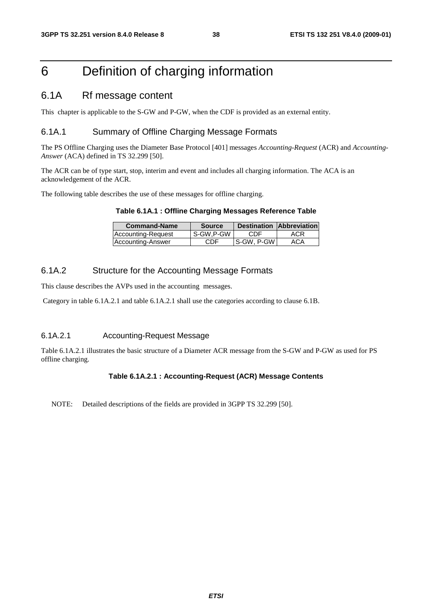## 6 Definition of charging information

### 6.1A Rf message content

This chapter is applicable to the S-GW and P-GW, when the CDF is provided as an external entity.

### 6.1A.1 Summary of Offline Charging Message Formats

The PS Offline Charging uses the Diameter Base Protocol [401] messages *Accounting-Request* (ACR) and *Accounting-Answer* (ACA) defined in TS 32.299 [50].

The ACR can be of type start, stop, interim and event and includes all charging information. The ACA is an acknowledgement of the ACR.

The following table describes the use of these messages for offline charging.

|  | Table 6.1A.1 : Offline Charging Messages Reference Table |  |  |  |
|--|----------------------------------------------------------|--|--|--|
|--|----------------------------------------------------------|--|--|--|

| <b>Command-Name</b> | <b>Source</b> |              | <b>Destination Abbreviation</b> |  |
|---------------------|---------------|--------------|---------------------------------|--|
| Accounting-Request  | S-GW.P-GW     | CDE          | ACR                             |  |
| Accounting-Answer   | CDF           | l S-GW. P-GW | ACA                             |  |

#### 6.1A.2 Structure for the Accounting Message Formats

This clause describes the AVPs used in the accounting messages.

Category in table 6.1A.2.1 and table 6.1A.2.1 shall use the categories according to clause 6.1B.

#### 6.1A.2.1 Accounting-Request Message

Table 6.1A.2.1 illustrates the basic structure of a Diameter ACR message from the S-GW and P-GW as used for PS offline charging.

#### **Table 6.1A.2.1 : Accounting-Request (ACR) Message Contents**

NOTE: Detailed descriptions of the fields are provided in 3GPP TS 32.299 [50].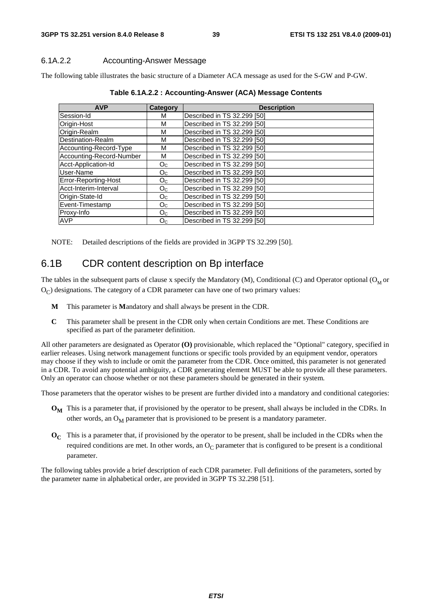#### 6.1A.2.2 Accounting-Answer Message

The following table illustrates the basic structure of a Diameter ACA message as used for the S-GW and P-GW.

| <b>AVP</b>               | Category       | <b>Description</b>          |
|--------------------------|----------------|-----------------------------|
| Session-Id               | м              | Described in TS 32.299 [50] |
| Origin-Host              | M              | Described in TS 32.299 [50] |
| Origin-Realm             | м              | Described in TS 32.299 [50] |
| Destination-Realm        | м              | Described in TS 32.299 [50] |
| Accounting-Record-Type   | M              | Described in TS 32.299 [50] |
| Accounting-Record-Number | М              | Described in TS 32.299 [50] |
| Acct-Application-Id      | O <sub>C</sub> | Described in TS 32.299 [50] |
| User-Name                | O <sub>C</sub> | Described in TS 32.299 [50] |
| Error-Reporting-Host     | O <sub>C</sub> | Described in TS 32.299 [50] |
| Acct-Interim-Interval    | O <sub>C</sub> | Described in TS 32.299 [50] |
| Origin-State-Id          | O <sub>C</sub> | Described in TS 32.299 [50] |
| Event-Timestamp          | O <sub>C</sub> | Described in TS 32.299 [50] |
| Proxy-Info               | O <sub>C</sub> | Described in TS 32.299 [50] |
| <b>AVP</b>               | O <sub>C</sub> | Described in TS 32.299 [50] |

**Table 6.1A.2.2 : Accounting-Answer (ACA) Message Contents** 

NOTE: Detailed descriptions of the fields are provided in 3GPP TS 32.299 [50].

### 6.1B CDR content description on Bp interface

The tables in the subsequent parts of clause x specify the Mandatory  $(M)$ , Conditional (C) and Operator optional ( $O<sub>M</sub>$  or  $O<sub>C</sub>$ ) designations. The category of a CDR parameter can have one of two primary values:

- **M** This parameter is **M**andatory and shall always be present in the CDR.
- **C** This parameter shall be present in the CDR only when certain Conditions are met. These Conditions are specified as part of the parameter definition.

All other parameters are designated as Operator **(O)** provisionable, which replaced the "Optional" category, specified in earlier releases. Using network management functions or specific tools provided by an equipment vendor, operators may choose if they wish to include or omit the parameter from the CDR. Once omitted, this parameter is not generated in a CDR. To avoid any potential ambiguity, a CDR generating element MUST be able to provide all these parameters. Only an operator can choose whether or not these parameters should be generated in their system.

Those parameters that the operator wishes to be present are further divided into a mandatory and conditional categories:

- **O<sub>M</sub>** This is a parameter that, if provisioned by the operator to be present, shall always be included in the CDRs. In other words, an  $O_M$  parameter that is provisioned to be present is a mandatory parameter.
- **OC** This is a parameter that, if provisioned by the operator to be present, shall be included in the CDRs when the required conditions are met. In other words, an  $O<sub>C</sub>$  parameter that is configured to be present is a conditional parameter.

The following tables provide a brief description of each CDR parameter. Full definitions of the parameters, sorted by the parameter name in alphabetical order, are provided in 3GPP TS 32.298 [51].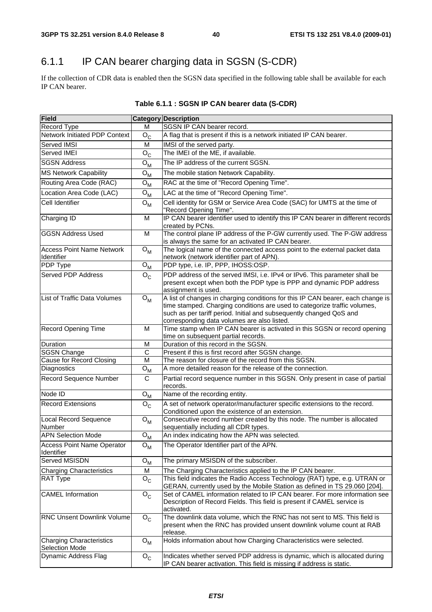## 6.1.1 IP CAN bearer charging data in SGSN (S-CDR)

If the collection of CDR data is enabled then the SGSN data specified in the following table shall be available for each IP CAN bearer.

| <b>Field</b>                                             |                           | Category Description                                                                                                                                                                                                                                                               |  |
|----------------------------------------------------------|---------------------------|------------------------------------------------------------------------------------------------------------------------------------------------------------------------------------------------------------------------------------------------------------------------------------|--|
| Record Type                                              | M                         | SGSN IP CAN bearer record.                                                                                                                                                                                                                                                         |  |
| <b>Network Initiated PDP Context</b>                     | $O_{C}$                   | A flag that is present if this is a network initiated IP CAN bearer.                                                                                                                                                                                                               |  |
| Served IMSI                                              | M                         | IMSI of the served party.                                                                                                                                                                                                                                                          |  |
| Served IMEI                                              | $O_{C}$                   | The IMEI of the ME, if available.                                                                                                                                                                                                                                                  |  |
| <b>SGSN Address</b>                                      | $O_{M}$                   | The IP address of the current SGSN.                                                                                                                                                                                                                                                |  |
| <b>MS Network Capability</b>                             | $O_{M}$                   | The mobile station Network Capability.                                                                                                                                                                                                                                             |  |
| Routing Area Code (RAC)                                  | ${\mathsf O}_{\mathsf M}$ | RAC at the time of "Record Opening Time".                                                                                                                                                                                                                                          |  |
| Location Area Code (LAC)                                 | ${\mathsf O}_{\mathsf M}$ | LAC at the time of "Record Opening Time".                                                                                                                                                                                                                                          |  |
| Cell Identifier                                          | $O_{M}$                   | Cell identity for GSM or Service Area Code (SAC) for UMTS at the time of                                                                                                                                                                                                           |  |
|                                                          |                           | "Record Opening Time".                                                                                                                                                                                                                                                             |  |
| Charging ID                                              | M                         | IP CAN bearer identifier used to identify this IP CAN bearer in different records<br>created by PCNs.                                                                                                                                                                              |  |
| <b>GGSN Address Used</b>                                 | M                         | The control plane IP address of the P-GW currently used. The P-GW address<br>is always the same for an activated IP CAN bearer.                                                                                                                                                    |  |
| <b>Access Point Name Network</b><br>Identifier           | $O_{M}$                   | The logical name of the connected access point to the external packet data<br>network (network identifier part of APN).                                                                                                                                                            |  |
| <b>PDP Type</b>                                          | $O_{M}$                   | PDP type, i.e. IP, PPP, IHOSS:OSP.                                                                                                                                                                                                                                                 |  |
| Served PDP Address                                       | $O_{C}$                   | PDP address of the served IMSI, i.e. IPv4 or IPv6. This parameter shall be<br>present except when both the PDP type is PPP and dynamic PDP address<br>assignment is used.                                                                                                          |  |
| List of Traffic Data Volumes                             | $O_{M}$                   | A list of changes in charging conditions for this IP CAN bearer, each change is<br>time stamped. Charging conditions are used to categorize traffic volumes,<br>such as per tariff period. Initial and subsequently changed QoS and<br>corresponding data volumes are also listed. |  |
| Record Opening Time                                      | M                         | Time stamp when IP CAN bearer is activated in this SGSN or record opening<br>time on subsequent partial records.                                                                                                                                                                   |  |
| Duration                                                 | M                         | Duration of this record in the SGSN.                                                                                                                                                                                                                                               |  |
| <b>SGSN Change</b>                                       | $\mathsf{C}$              | Present if this is first record after SGSN change.                                                                                                                                                                                                                                 |  |
| Cause for Record Closing                                 | M                         | The reason for closure of the record from this SGSN.                                                                                                                                                                                                                               |  |
| Diagnostics                                              | $O_{M}$                   | A more detailed reason for the release of the connection.                                                                                                                                                                                                                          |  |
| Record Sequence Number                                   | $\mathsf{C}$              | Partial record sequence number in this SGSN. Only present in case of partial<br>records.                                                                                                                                                                                           |  |
| Node ID                                                  | $O_{M}$                   | Name of the recording entity.                                                                                                                                                                                                                                                      |  |
| <b>Record Extensions</b>                                 | ${\mathsf O}_{\mathsf C}$ | A set of network operator/manufacturer specific extensions to the record.<br>Conditioned upon the existence of an extension.                                                                                                                                                       |  |
| <b>Local Record Sequence</b><br>Number                   | $O_{M}$                   | Consecutive record number created by this node. The number is allocated<br>sequentially including all CDR types.                                                                                                                                                                   |  |
| <b>APN Selection Mode</b>                                | $O_{M}$                   | An index indicating how the APN was selected.                                                                                                                                                                                                                                      |  |
| <b>Access Point Name Operator</b><br>Identifier          | $O_{M}$                   | The Operator Identifier part of the APN.                                                                                                                                                                                                                                           |  |
| Served MSISDN                                            | $O_{M}$                   | The primary MSISDN of the subscriber.                                                                                                                                                                                                                                              |  |
| <b>Charging Characteristics</b>                          | M                         | The Charging Characteristics applied to the IP CAN bearer.                                                                                                                                                                                                                         |  |
| <b>RAT Type</b>                                          | $O_{C}$                   | This field indicates the Radio Access Technology (RAT) type, e.g. UTRAN or<br>GERAN, currently used by the Mobile Station as defined in TS 29.060 [204].                                                                                                                           |  |
| <b>CAMEL Information</b>                                 | $O_{C}$                   | Set of CAMEL information related to IP CAN bearer. For more information see<br>Description of Record Fields. This field is present if CAMEL service is<br>activated.                                                                                                               |  |
| RNC Unsent Downlink Volume                               | $O_{C}$                   | The downlink data volume, which the RNC has not sent to MS. This field is<br>present when the RNC has provided unsent downlink volume count at RAB<br>release.                                                                                                                     |  |
| <b>Charging Characteristics</b><br><b>Selection Mode</b> | ${\mathsf O}_{\mathsf M}$ | Holds information about how Charging Characteristics were selected.                                                                                                                                                                                                                |  |
| Dynamic Address Flag                                     | $O_{\rm C}$               | Indicates whether served PDP address is dynamic, which is allocated during<br>IP CAN bearer activation. This field is missing if address is static.                                                                                                                                |  |

### **Table 6.1.1 : SGSN IP CAN bearer data (S-CDR)**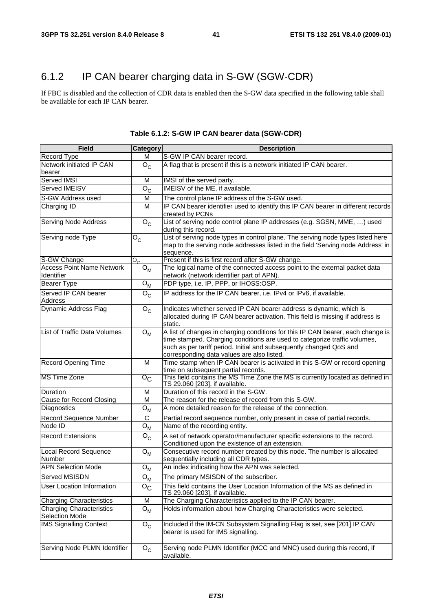## 6.1.2 IP CAN bearer charging data in S-GW (SGW-CDR)

If FBC is disabled and the collection of CDR data is enabled then the S-GW data specified in the following table shall be available for each IP CAN bearer.

| <b>Field</b>                     | Category                    | <b>Description</b>                                                                                                                               |
|----------------------------------|-----------------------------|--------------------------------------------------------------------------------------------------------------------------------------------------|
| Record Type                      | м                           | S-GW IP CAN bearer record.                                                                                                                       |
| Network initiated IP CAN         | $O_{C}$                     | A flag that is present if this is a network initiated IP CAN bearer.                                                                             |
| bearer<br>Served IMSI            | м                           | IMSI of the served party.                                                                                                                        |
| Served IMEISV                    |                             | IMEISV of the ME, if available.                                                                                                                  |
|                                  | $O_{C}$                     |                                                                                                                                                  |
| S-GW Address used                | м                           | The control plane IP address of the S-GW used.                                                                                                   |
| Charging ID                      | м                           | IP CAN bearer identifier used to identify this IP CAN bearer in different records<br>created by PCNs                                             |
| <b>Serving Node Address</b>      | $O_{C}$                     | List of serving node control plane IP addresses (e.g. SGSN, MME, ) used<br>during this record.                                                   |
| Serving node Type                | $O_C$                       | List of serving node types in control plane. The serving node types listed here                                                                  |
|                                  |                             | map to the serving node addresses listed in the field 'Serving node Address' in<br>sequence.                                                     |
| S-GW Change                      | $O_{\alpha}$                | Present if this is first record after S-GW change.                                                                                               |
| <b>Access Point Name Network</b> | ${\mathsf O}_{\mathsf M}$   | The logical name of the connected access point to the external packet data                                                                       |
| Identifier                       |                             | network (network identifier part of APN).                                                                                                        |
| <b>Bearer Type</b>               | ${\bf O}_{\bf M}$           | PDP type, i.e. IP, PPP, or IHOSS:OSP.                                                                                                            |
| Served IP CAN bearer             | $O_{\rm C}$                 | IP address for the IP CAN bearer, i.e. IPv4 or IPv6, if available.                                                                               |
| <b>Address</b>                   |                             |                                                                                                                                                  |
| <b>Dynamic Address Flag</b>      | $O_{C}$                     | Indicates whether served IP CAN bearer address is dynamic, which is                                                                              |
|                                  |                             | allocated during IP CAN bearer activation. This field is missing if address is                                                                   |
|                                  |                             | static.                                                                                                                                          |
| List of Traffic Data Volumes     | $O_{M}$                     | A list of changes in charging conditions for this IP CAN bearer, each change is                                                                  |
|                                  |                             | time stamped. Charging conditions are used to categorize traffic volumes,<br>such as per tariff period. Initial and subsequently changed QoS and |
|                                  |                             | corresponding data values are also listed.                                                                                                       |
| <b>Record Opening Time</b>       | M                           | Time stamp when IP CAN bearer is activated in this S-GW or record opening                                                                        |
|                                  |                             | time on subsequent partial records.                                                                                                              |
| <b>MS Time Zone</b>              | $\overline{O_{\rm C}}$      | This field contains the MS Time Zone the MS is currently located as defined in<br>TS 29.060 [203], if available.                                 |
| Duration                         | M                           | Duration of this record in the S-GW.                                                                                                             |
| Cause for Record Closing         | M                           | The reason for the release of record from this S-GW.                                                                                             |
| Diagnostics                      | $O_{M}$                     | A more detailed reason for the release of the connection.                                                                                        |
| Record Sequence Number           | C                           | Partial record sequence number, only present in case of partial records.                                                                         |
| Node ID                          | $O_{M}$                     | Name of the recording entity.                                                                                                                    |
| Record Extensions                | $\mathsf{o}_{\mathsf{C}}$   | A set of network operator/manufacturer specific extensions to the record.                                                                        |
|                                  |                             | Conditioned upon the existence of an extension.                                                                                                  |
| <b>Local Record Sequence</b>     | ${\mathsf O}_{\mathsf M}$   | Consecutive record number created by this node. The number is allocated                                                                          |
| Number                           |                             | sequentially including all CDR types.                                                                                                            |
| <b>APN Selection Mode</b>        | ${\bf O}_{{\bf M}}$         | An index indicating how the APN was selected.                                                                                                    |
| Served MSISDN                    | ${\mathsf O}_{\mathsf M}$   | The primary MSISDN of the subscriber.                                                                                                            |
| <b>User Location Information</b> | $\overline{O}_{\mathbb{C}}$ | This field contains the User Location Information of the MS as defined in                                                                        |
|                                  |                             | TS 29.060 [203], if available.                                                                                                                   |
| <b>Charging Characteristics</b>  | M                           | The Charging Characteristics applied to the IP CAN bearer.                                                                                       |
| <b>Charging Characteristics</b>  | ${\mathsf O}_{\mathsf M}$   | Holds information about how Charging Characteristics were selected.                                                                              |
| Selection Mode                   |                             |                                                                                                                                                  |
| <b>IMS Signalling Context</b>    | $\mathsf{o}_{\mathsf{c}}$   | Included if the IM-CN Subsystem Signalling Flag is set, see [201] IP CAN                                                                         |
|                                  |                             | bearer is used for IMS signalling.                                                                                                               |
| Serving Node PLMN Identifier     |                             | Serving node PLMN Identifier (MCC and MNC) used during this record, if                                                                           |
|                                  | $O_{C}$                     | available.                                                                                                                                       |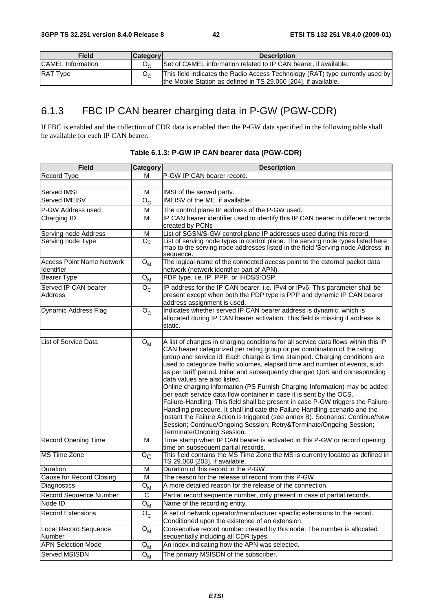| Field                    | <b>Category</b> | <b>Description</b>                                                                                                                               |
|--------------------------|-----------------|--------------------------------------------------------------------------------------------------------------------------------------------------|
| <b>CAMEL</b> Information |                 | Set of CAMEL information related to IP CAN bearer, if available.                                                                                 |
| <b>RAT Type</b>          |                 | This field indicates the Radio Access Technology (RAT) type currently used by<br>the Mobile Station as defined in TS 29.060 [204], if available. |

## 6.1.3 FBC IP CAN bearer charging data in P-GW (PGW-CDR)

If FBC is enabled and the collection of CDR data is enabled then the P-GW data specified in the following table shall be available for each IP CAN bearer.

| <b>Field</b>                                   | Category                  | <b>Description</b>                                                                                                                                                                                                                                                                                                                                                                                                                                                                                                                                                                                                                                                                                                                                                                                                                                                                                                                                         |
|------------------------------------------------|---------------------------|------------------------------------------------------------------------------------------------------------------------------------------------------------------------------------------------------------------------------------------------------------------------------------------------------------------------------------------------------------------------------------------------------------------------------------------------------------------------------------------------------------------------------------------------------------------------------------------------------------------------------------------------------------------------------------------------------------------------------------------------------------------------------------------------------------------------------------------------------------------------------------------------------------------------------------------------------------|
| Record Type                                    | м                         | P-GW IP CAN bearer record.                                                                                                                                                                                                                                                                                                                                                                                                                                                                                                                                                                                                                                                                                                                                                                                                                                                                                                                                 |
|                                                |                           |                                                                                                                                                                                                                                                                                                                                                                                                                                                                                                                                                                                                                                                                                                                                                                                                                                                                                                                                                            |
| Served IMSI                                    | м                         | IMSI of the served party.                                                                                                                                                                                                                                                                                                                                                                                                                                                                                                                                                                                                                                                                                                                                                                                                                                                                                                                                  |
| Served IMEISV                                  | $O_{C}$                   | IMEISV of the ME, if available.                                                                                                                                                                                                                                                                                                                                                                                                                                                                                                                                                                                                                                                                                                                                                                                                                                                                                                                            |
| P-GW Address used                              | M                         | The control plane IP address of the P-GW used.                                                                                                                                                                                                                                                                                                                                                                                                                                                                                                                                                                                                                                                                                                                                                                                                                                                                                                             |
| Charging ID                                    | м                         | IP CAN bearer identifier used to identify this IP CAN bearer in different records                                                                                                                                                                                                                                                                                                                                                                                                                                                                                                                                                                                                                                                                                                                                                                                                                                                                          |
|                                                |                           | created by PCNs                                                                                                                                                                                                                                                                                                                                                                                                                                                                                                                                                                                                                                                                                                                                                                                                                                                                                                                                            |
| Serving node Address                           | M                         | List of SGSN/S-GW control plane IP addresses used during this record.                                                                                                                                                                                                                                                                                                                                                                                                                                                                                                                                                                                                                                                                                                                                                                                                                                                                                      |
| Serving node Type                              | O <sub>c</sub>            | List of serving node types in control plane. The serving node types listed here<br>map to the serving node addresses listed in the field 'Serving node Address' in<br>sequence.                                                                                                                                                                                                                                                                                                                                                                                                                                                                                                                                                                                                                                                                                                                                                                            |
| <b>Access Point Name Network</b><br>Identifier | $O_{M}$                   | The logical name of the connected access point to the external packet data<br>network (network identifier part of APN).                                                                                                                                                                                                                                                                                                                                                                                                                                                                                                                                                                                                                                                                                                                                                                                                                                    |
| <b>Bearer Type</b>                             | $O_{M}$                   | PDP type, i.e. IP, PPP, or IHOSS:OSP.                                                                                                                                                                                                                                                                                                                                                                                                                                                                                                                                                                                                                                                                                                                                                                                                                                                                                                                      |
| Served IP CAN bearer<br><b>Address</b>         | $O_{C}$                   | IP address for the IP CAN bearer, i.e. IPv4 or IPv6. This parameter shall be<br>present except when both the PDP type is PPP and dynamic IP CAN bearer<br>address assignment is used.                                                                                                                                                                                                                                                                                                                                                                                                                                                                                                                                                                                                                                                                                                                                                                      |
| Dynamic Address Flag                           | $O_{C}$                   | Indicates whether served IP CAN bearer address is dynamic, which is<br>allocated during IP CAN bearer activation. This field is missing if address is<br>static.                                                                                                                                                                                                                                                                                                                                                                                                                                                                                                                                                                                                                                                                                                                                                                                           |
| List of Service Data                           | $O_{M}$                   | A list of changes in charging conditions for all service data flows within this IP<br>CAN bearer categorized per rating group or per combination of the rating<br>group and service id. Each change is time stamped. Charging conditions are<br>used to categorize traffic volumes, elapsed time and number of events, such<br>as per tariff period. Initial and subsequently changed QoS and corresponding<br>data values are also listed.<br>Online charging information (PS Furnish Charging Information) may be added<br>per each service data flow container in case it is sent by the OCS.<br>Failure-Handling: This field shall be present in case P-GW triggers the Failure-<br>Handling procedure. It shall indicate the Failure Handling scenario and the<br>instant the Failure Action is triggered (see annex B). Scenarios: Continue/New<br>Session; Continue/Ongoing Session; Retry&Terminate/Ongoing Session;<br>Terminate/Ongoing Session. |
| Record Opening Time                            | M                         | Time stamp when IP CAN bearer is activated in this P-GW or record opening<br>time on subsequent partial records.                                                                                                                                                                                                                                                                                                                                                                                                                                                                                                                                                                                                                                                                                                                                                                                                                                           |
| <b>MS Time Zone</b>                            | $\overline{O}_C$          | This field contains the MS Time Zone the MS is currently located as defined in<br>TS 29.060 [203], if available.                                                                                                                                                                                                                                                                                                                                                                                                                                                                                                                                                                                                                                                                                                                                                                                                                                           |
| Duration                                       | M                         | Duration of this record in the P-GW.                                                                                                                                                                                                                                                                                                                                                                                                                                                                                                                                                                                                                                                                                                                                                                                                                                                                                                                       |
| <b>Cause for Record Closing</b>                | M                         | The reason for the release of record from this P-GW.                                                                                                                                                                                                                                                                                                                                                                                                                                                                                                                                                                                                                                                                                                                                                                                                                                                                                                       |
| Diagnostics                                    | $O_{M}$                   | A more detailed reason for the release of the connection.                                                                                                                                                                                                                                                                                                                                                                                                                                                                                                                                                                                                                                                                                                                                                                                                                                                                                                  |
| Record Sequence Number                         | $\mathsf C$               | Partial record sequence number, only present in case of partial records.                                                                                                                                                                                                                                                                                                                                                                                                                                                                                                                                                                                                                                                                                                                                                                                                                                                                                   |
| Node ID                                        | ${\mathsf O}_{\mathsf M}$ | Name of the recording entity.                                                                                                                                                                                                                                                                                                                                                                                                                                                                                                                                                                                                                                                                                                                                                                                                                                                                                                                              |
| Record Extensions                              | $O_{C}$                   | A set of network operator/manufacturer specific extensions to the record.<br>Conditioned upon the existence of an extension.                                                                                                                                                                                                                                                                                                                                                                                                                                                                                                                                                                                                                                                                                                                                                                                                                               |
| <b>Local Record Sequence</b><br>Number         | ${\mathsf O}_{\mathsf M}$ | Consecutive record number created by this node. The number is allocated<br>sequentially including all CDR types.                                                                                                                                                                                                                                                                                                                                                                                                                                                                                                                                                                                                                                                                                                                                                                                                                                           |
| <b>APN Selection Mode</b>                      | ${\mathsf O}_{\mathsf M}$ | An index indicating how the APN was selected.                                                                                                                                                                                                                                                                                                                                                                                                                                                                                                                                                                                                                                                                                                                                                                                                                                                                                                              |
| Served MSISDN                                  | $O_{M}$                   | The primary MSISDN of the subscriber.                                                                                                                                                                                                                                                                                                                                                                                                                                                                                                                                                                                                                                                                                                                                                                                                                                                                                                                      |

**Table 6.1.3: P-GW IP CAN bearer data (PGW-CDR)**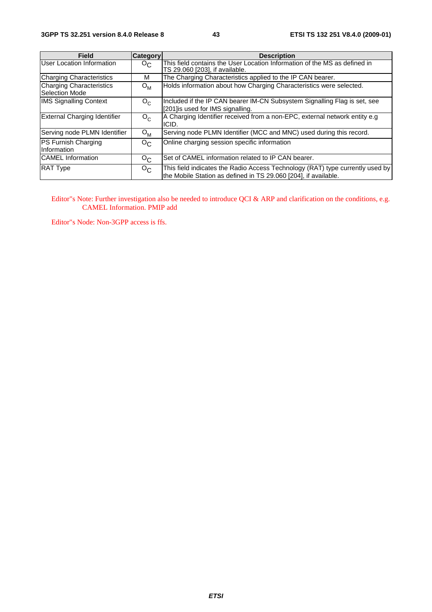| Field                                      | <b>Category</b>  | <b>Description</b>                                                                                                                               |
|--------------------------------------------|------------------|--------------------------------------------------------------------------------------------------------------------------------------------------|
| User Location Information                  | $O_{\rm C}$      | This field contains the User Location Information of the MS as defined in<br>TS 29.060 [203], if available.                                      |
| Charging Characteristics                   | м                | The Charging Characteristics applied to the IP CAN bearer.                                                                                       |
| Charging Characteristics<br>Selection Mode | $O_{M}$          | Holds information about how Charging Characteristics were selected.                                                                              |
| <b>IMS Signalling Context</b>              | $O_C$            | Included if the IP CAN bearer IM-CN Subsystem Signalling Flag is set, see<br>[201] is used for IMS signalling.                                   |
| External Charging Identifier               | $O_{C}$          | A Charging Identifier received from a non-EPC, external network entity e.g.<br>ICID.                                                             |
| Serving node PLMN Identifier               | $O_{M}$          | Serving node PLMN Identifier (MCC and MNC) used during this record.                                                                              |
| PS Furnish Charging<br>Information         | $O_{C}$          | Online charging session specific information                                                                                                     |
| <b>CAMEL</b> Information                   | $O_{C}$          | Set of CAMEL information related to IP CAN bearer.                                                                                               |
| <b>RAT Type</b>                            | $O_{\mathbf{C}}$ | This field indicates the Radio Access Technology (RAT) type currently used by<br>the Mobile Station as defined in TS 29.060 [204], if available. |

Editor"s Note: Further investigation also be needed to introduce QCI & ARP and clarification on the conditions, e.g. CAMEL Information. PMIP add

Editor"s Node: Non-3GPP access is ffs.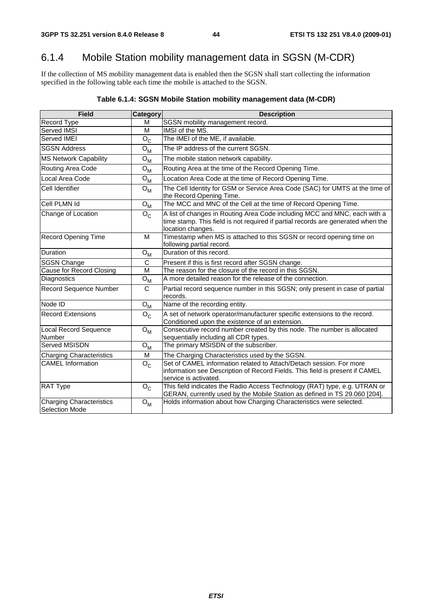## 6.1.4 Mobile Station mobility management data in SGSN (M-CDR)

If the collection of MS mobility management data is enabled then the SGSN shall start collecting the information specified in the following table each time the mobile is attached to the SGSN.

| <b>Field</b>                                      | <b>Category</b>                | <b>Description</b>                                                                                                                                                                 |
|---------------------------------------------------|--------------------------------|------------------------------------------------------------------------------------------------------------------------------------------------------------------------------------|
| Record Type                                       | м                              | SGSN mobility management record.                                                                                                                                                   |
| Served IMSI                                       | M                              | IMSI of the MS.                                                                                                                                                                    |
| Served IMEI                                       | $O_C$                          | The IMEI of the ME, if available.                                                                                                                                                  |
| <b>SGSN Address</b>                               | ${\mathsf O}_{\mathsf M}$      | The IP address of the current SGSN.                                                                                                                                                |
| <b>MS Network Capability</b>                      | ${\mathsf O}_{\mathsf M}$      | The mobile station network capability.                                                                                                                                             |
| Routing Area Code                                 | ${\mathsf O}_{\mathsf M}$      | Routing Area at the time of the Record Opening Time.                                                                                                                               |
| Local Area Code                                   | ${\bf O}_{{\bf M}}$            | Location Area Code at the time of Record Opening Time.                                                                                                                             |
| Cell Identifier                                   | $O_{\mathsf{M}}$               | The Cell Identity for GSM or Service Area Code (SAC) for UMTS at the time of<br>the Record Opening Time.                                                                           |
| Cell PLMN Id                                      | $O_{M}$                        | The MCC and MNC of the Cell at the time of Record Opening Time.                                                                                                                    |
| Change of Location                                | $\mathsf{o}_{\mathsf{c}}$      | A list of changes in Routing Area Code including MCC and MNC, each with a<br>time stamp. This field is not required if partial records are generated when the<br>location changes. |
| <b>Record Opening Time</b>                        | м                              | Timestamp when MS is attached to this SGSN or record opening time on<br>following partial record.                                                                                  |
| Duration                                          | $O_{\mathsf{M}}$               | Duration of this record.                                                                                                                                                           |
| <b>SGSN Change</b>                                | $\mathsf{C}$                   | Present if this is first record after SGSN change.                                                                                                                                 |
| <b>Cause for Record Closing</b>                   | M                              | The reason for the closure of the record in this SGSN.                                                                                                                             |
| Diagnostics                                       | $\overline{O}_{\underline{M}}$ | A more detailed reason for the release of the connection.                                                                                                                          |
| Record Sequence Number                            | C                              | Partial record sequence number in this SGSN; only present in case of partial<br>records.                                                                                           |
| Node ID                                           | ${\mathsf O}_{\mathsf M}$      | Name of the recording entity.                                                                                                                                                      |
| <b>Record Extensions</b>                          | $O_{C}$                        | A set of network operator/manufacturer specific extensions to the record.<br>Conditioned upon the existence of an extension.                                                       |
| <b>Local Record Sequence</b><br>Number            | $O_{M}$                        | Consecutive record number created by this node. The number is allocated<br>sequentially including all CDR types.                                                                   |
| Served MSISDN                                     | ${\mathsf O}_{\mathsf M}$      | The primary MSISDN of the subscriber.                                                                                                                                              |
| Charging Characteristics                          | M                              | The Charging Characteristics used by the SGSN.                                                                                                                                     |
| <b>CAMEL Information</b>                          | $O_{C}$                        | Set of CAMEL information related to Attach/Detach session. For more<br>information see Description of Record Fields. This field is present if CAMEL<br>service is activated.       |
| RAT Type                                          | $\mathsf{o}_{\mathsf{c}}$      | This field indicates the Radio Access Technology (RAT) type, e.g. UTRAN or<br>GERAN, currently used by the Mobile Station as defined in TS 29.060 [204].                           |
| <b>Charging Characteristics</b><br>Selection Mode | $O_{M}$                        | Holds information about how Charging Characteristics were selected.                                                                                                                |

#### **Table 6.1.4: SGSN Mobile Station mobility management data (M-CDR)**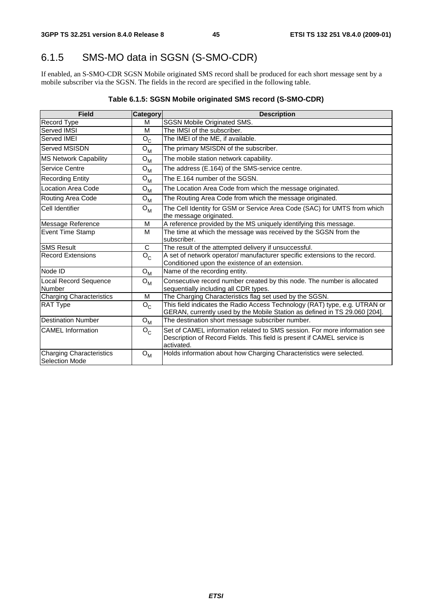## 6.1.5 SMS-MO data in SGSN (S-SMO-CDR)

If enabled, an S-SMO-CDR SGSN Mobile originated SMS record shall be produced for each short message sent by a mobile subscriber via the SGSN. The fields in the record are specified in the following table.

### **Table 6.1.5: SGSN Mobile originated SMS record (S-SMO-CDR)**

| <b>Field</b>                                      | Category              | <b>Description</b>                                                                                                                                                 |
|---------------------------------------------------|-----------------------|--------------------------------------------------------------------------------------------------------------------------------------------------------------------|
| Record Type                                       | м                     | <b>SGSN Mobile Originated SMS.</b>                                                                                                                                 |
| Served IMSI                                       | M                     | The IMSI of the subscriber.                                                                                                                                        |
| Served IMEI                                       | $O_{\rm C}$           | The IMEI of the ME, if available.                                                                                                                                  |
| Served MSISDN                                     | $O_{M}$               | The primary MSISDN of the subscriber.                                                                                                                              |
| <b>MS Network Capability</b>                      | $O_{M}$               | The mobile station network capability.                                                                                                                             |
| Service Centre                                    | $\Omega_{\mathsf{M}}$ | The address (E.164) of the SMS-service centre.                                                                                                                     |
| <b>Recording Entity</b>                           | $O_{M}$               | The E.164 number of the SGSN.                                                                                                                                      |
| Location Area Code                                | $\Omega_{\mathsf{M}}$ | The Location Area Code from which the message originated.                                                                                                          |
| Routing Area Code                                 | $O_{M}$               | The Routing Area Code from which the message originated.                                                                                                           |
| Cell Identifier                                   | $O_{M}$               | The Cell Identity for GSM or Service Area Code (SAC) for UMTS from which<br>the message originated.                                                                |
| Message Reference                                 | M                     | A reference provided by the MS uniquely identifying this message.                                                                                                  |
| <b>Event Time Stamp</b>                           | M                     | The time at which the message was received by the SGSN from the<br>subscriber.                                                                                     |
| <b>SMS Result</b>                                 | C                     | The result of the attempted delivery if unsuccessful.                                                                                                              |
| <b>Record Extensions</b>                          | $O_{C}$               | A set of network operator/ manufacturer specific extensions to the record.<br>Conditioned upon the existence of an extension.                                      |
| Node ID                                           | $O_{M}$               | Name of the recording entity.                                                                                                                                      |
| Local Record Sequence<br><b>Number</b>            | $O_{M}$               | Consecutive record number created by this node. The number is allocated<br>sequentially including all CDR types.                                                   |
| <b>Charging Characteristics</b>                   | M                     | The Charging Characteristics flag set used by the SGSN.                                                                                                            |
| <b>RAT Type</b>                                   | $O_{C}$               | This field indicates the Radio Access Technology (RAT) type, e.g. UTRAN or<br>GERAN, currently used by the Mobile Station as defined in TS 29.060 [204].           |
| <b>Destination Number</b>                         | $O_{M}$               | The destination short message subscriber number.                                                                                                                   |
| <b>CAMEL</b> Information                          | $O_{C}$               | Set of CAMEL information related to SMS session. For more information see<br>Description of Record Fields. This field is present if CAMEL service is<br>activated. |
| Charging Characteristics<br><b>Selection Mode</b> | $O_{M}$               | Holds information about how Charging Characteristics were selected.                                                                                                |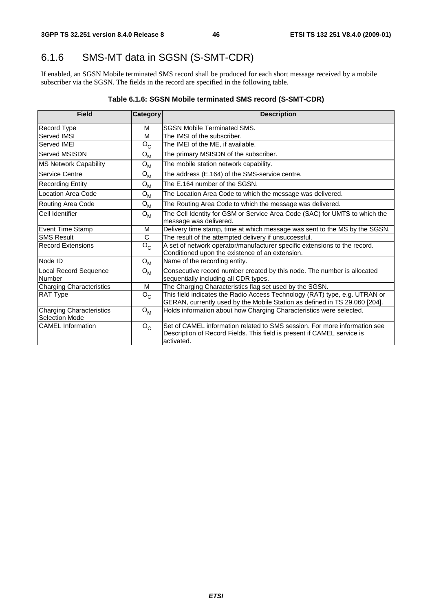## 6.1.6 SMS-MT data in SGSN (S-SMT-CDR)

If enabled, an SGSN Mobile terminated SMS record shall be produced for each short message received by a mobile subscriber via the SGSN. The fields in the record are specified in the following table.

| <b>Field</b>                                      | Category | <b>Description</b>                                                                                                                                                 |
|---------------------------------------------------|----------|--------------------------------------------------------------------------------------------------------------------------------------------------------------------|
| Record Type                                       | M        | <b>SGSN Mobile Terminated SMS.</b>                                                                                                                                 |
| Served IMSI                                       | м        | The IMSI of the subscriber.                                                                                                                                        |
| Served IMEI                                       | $O_{C}$  | The IMEI of the ME, if available.                                                                                                                                  |
| Served MSISDN                                     | $O_{M}$  | The primary MSISDN of the subscriber.                                                                                                                              |
| <b>MS Network Capability</b>                      | $O_{M}$  | The mobile station network capability.                                                                                                                             |
| Service Centre                                    | $O_{M}$  | The address (E.164) of the SMS-service centre.                                                                                                                     |
| <b>Recording Entity</b>                           | $O_{M}$  | The E.164 number of the SGSN.                                                                                                                                      |
| Location Area Code                                | $O_{M}$  | The Location Area Code to which the message was delivered.                                                                                                         |
| Routing Area Code                                 | $O_{M}$  | The Routing Area Code to which the message was delivered.                                                                                                          |
| Cell Identifier                                   | $O_{M}$  | The Cell Identity for GSM or Service Area Code (SAC) for UMTS to which the<br>message was delivered.                                                               |
| Event Time Stamp                                  | M        | Delivery time stamp, time at which message was sent to the MS by the SGSN.                                                                                         |
| <b>SMS Result</b>                                 | C        | The result of the attempted delivery if unsuccessful.                                                                                                              |
| <b>Record Extensions</b>                          | $O_{C}$  | A set of network operator/manufacturer specific extensions to the record.<br>Conditioned upon the existence of an extension.                                       |
| Node ID                                           | $O_{M}$  | Name of the recording entity.                                                                                                                                      |
| Local Record Sequence<br>Number                   | $O_{M}$  | Consecutive record number created by this node. The number is allocated<br>sequentially including all CDR types.                                                   |
| <b>Charging Characteristics</b>                   | M        | The Charging Characteristics flag set used by the SGSN.                                                                                                            |
| <b>RAT Type</b>                                   | $O_{C}$  | This field indicates the Radio Access Technology (RAT) type, e.g. UTRAN or<br>GERAN, currently used by the Mobile Station as defined in TS 29.060 [204].           |
| <b>Charging Characteristics</b><br>Selection Mode | $O_{M}$  | Holds information about how Charging Characteristics were selected.                                                                                                |
| <b>CAMEL</b> Information                          | $O_{C}$  | Set of CAMEL information related to SMS session. For more information see<br>Description of Record Fields. This field is present if CAMEL service is<br>activated. |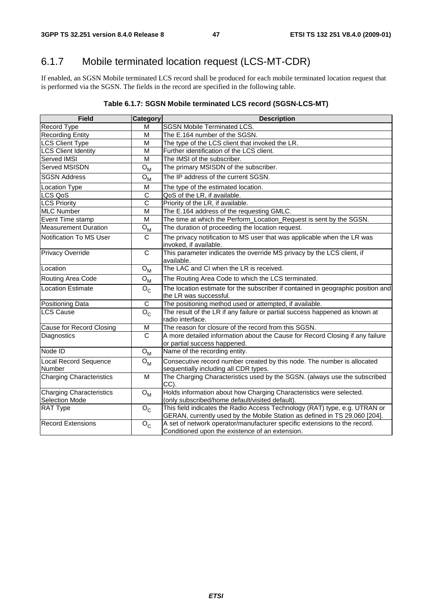## 6.1.7 Mobile terminated location request (LCS-MT-CDR)

If enabled, an SGSN Mobile terminated LCS record shall be produced for each mobile terminated location request that is performed via the SGSN. The fields in the record are specified in the following table.

| Table 6.1.7: SGSN Mobile terminated LCS record (SGSN-LCS-MT) |  |
|--------------------------------------------------------------|--|
|--------------------------------------------------------------|--|

| <b>Field</b>                                             | Category                  | <b>Description</b>                                                                                                                                       |
|----------------------------------------------------------|---------------------------|----------------------------------------------------------------------------------------------------------------------------------------------------------|
| Record Type                                              | м                         | SGSN Mobile Terminated LCS.                                                                                                                              |
| <b>Recording Entity</b>                                  | M                         | The E.164 number of the SGSN.                                                                                                                            |
| <b>LCS Client Type</b>                                   | M                         | The type of the LCS client that invoked the LR.                                                                                                          |
| <b>LCS Client Identity</b>                               | M                         | Further identification of the LCS client.                                                                                                                |
| Served IMSI                                              | M                         | The IMSI of the subscriber.                                                                                                                              |
| Served MSISDN                                            | ${\mathsf O}_{\mathsf M}$ | The primary MSISDN of the subscriber.                                                                                                                    |
| <b>SGSN Address</b>                                      | ${\mathsf O}_{\mathsf M}$ | The IP address of the current SGSN.                                                                                                                      |
| <b>Location Type</b>                                     | M                         | The type of the estimated location.                                                                                                                      |
| LCS QoS                                                  | $\overline{\text{c}}$     | QoS of the LR, if available.                                                                                                                             |
| <b>LCS Priority</b>                                      | C                         | Priority of the LR, if available.                                                                                                                        |
| <b>MLC Number</b>                                        | M                         | The E.164 address of the requesting GMLC.                                                                                                                |
| Event Time stamp                                         | M                         | The time at which the Perform_Location_Request is sent by the SGSN.                                                                                      |
| <b>Measurement Duration</b>                              | $O_{\mathsf{M}}$          | The duration of proceeding the location request.                                                                                                         |
| Notification To MS User                                  | C                         | The privacy notification to MS user that was applicable when the LR was<br>invoked, if available.                                                        |
| <b>Privacy Override</b>                                  | C                         | This parameter indicates the override MS privacy by the LCS client, if<br>available.                                                                     |
| Location                                                 | ${\mathsf O}_{\mathsf M}$ | The LAC and CI when the LR is received.                                                                                                                  |
| Routing Area Code                                        | ${\mathsf O}_{\mathsf M}$ | The Routing Area Code to which the LCS terminated.                                                                                                       |
| Location Estimate                                        | $O_{C}$                   | The location estimate for the subscriber if contained in geographic position and<br>the LR was successful.                                               |
| <b>Positioning Data</b>                                  | C                         | The positioning method used or attempted, if available.                                                                                                  |
| <b>LCS Cause</b>                                         | $\overline{O}_C$          | The result of the LR if any failure or partial success happened as known at<br>radio interface.                                                          |
| Cause for Record Closing                                 | M                         | The reason for closure of the record from this SGSN.                                                                                                     |
| Diagnostics                                              | $\mathsf{C}$              | A more detailed information about the Cause for Record Closing if any failure<br>or partial success happened.                                            |
| Node ID                                                  | $O_{M}$                   | Name of the recording entity.                                                                                                                            |
| Local Record Sequence<br>Number                          | ${\mathsf O}_{\mathsf M}$ | Consecutive record number created by this node. The number is allocated<br>sequentially including all CDR types.                                         |
| <b>Charging Characteristics</b>                          | M                         | The Charging Characteristics used by the SGSN. (always use the subscribed<br>CC).                                                                        |
| <b>Charging Characteristics</b><br><b>Selection Mode</b> | ${\mathsf O}_{\mathsf M}$ | Holds information about how Charging Characteristics were selected.<br>(only subscribed/home default/visited default).                                   |
| <b>RAT Type</b>                                          | $\mathsf{o}_{\mathsf{c}}$ | This field indicates the Radio Access Technology (RAT) type, e.g. UTRAN or<br>GERAN, currently used by the Mobile Station as defined in TS 29.060 [204]. |
| Record Extensions                                        | $O_{C}$                   | A set of network operator/manufacturer specific extensions to the record.<br>Conditioned upon the existence of an extension.                             |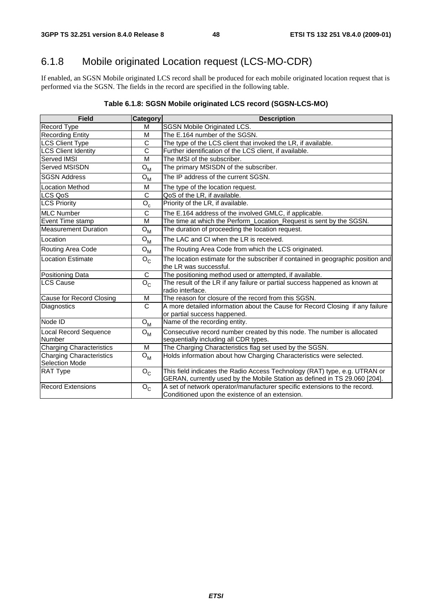## 6.1.8 Mobile originated Location request (LCS-MO-CDR)

If enabled, an SGSN Mobile originated LCS record shall be produced for each mobile originated location request that is performed via the SGSN. The fields in the record are specified in the following table.

### **Table 6.1.8: SGSN Mobile originated LCS record (SGSN-LCS-MO)**

| <b>Field</b>                                      | <b>Category</b>           | <b>Description</b>                                                                                                                                       |
|---------------------------------------------------|---------------------------|----------------------------------------------------------------------------------------------------------------------------------------------------------|
| Record Type                                       | м                         | <b>SGSN Mobile Originated LCS.</b>                                                                                                                       |
| Recording Entity                                  | M                         | The E.164 number of the SGSN.                                                                                                                            |
| LCS Client Type                                   | C                         | The type of the LCS client that invoked the LR, if available.                                                                                            |
| <b>LCS Client Identity</b>                        | C                         | Further identification of the LCS client, if available.                                                                                                  |
| <b>Served IMSI</b>                                | M                         | The IMSI of the subscriber.                                                                                                                              |
| Served MSISDN                                     | ${\sf O}_{\sf M}$         | The primary MSISDN of the subscriber.                                                                                                                    |
| <b>SGSN Address</b>                               | ${\sf O}_{\sf M}$         | The IP address of the current SGSN.                                                                                                                      |
| <b>Location Method</b>                            | М                         | The type of the location request.                                                                                                                        |
| LCS QoS                                           | C                         | QoS of the LR, if available.                                                                                                                             |
| <b>LCS Priority</b>                               | $O_c$                     | Priority of the LR, if available.                                                                                                                        |
| <b>MLC Number</b>                                 | $\overline{c}$            | The E.164 address of the involved GMLC, if applicable.                                                                                                   |
| Event Time stamp                                  | M                         | The time at which the Perform_Location_Request is sent by the SGSN.                                                                                      |
| <b>Measurement Duration</b>                       | ${\sf O}_{\sf M}$         | The duration of proceeding the location request.                                                                                                         |
| Location                                          | $O_{M}$                   | The LAC and CI when the LR is received.                                                                                                                  |
| Routing Area Code                                 | $O_{M}$                   | The Routing Area Code from which the LCS originated.                                                                                                     |
| <b>Location Estimate</b>                          | $\mathsf{o}_{\mathsf{c}}$ | The location estimate for the subscriber if contained in geographic position and<br>the LR was successful.                                               |
| <b>Positioning Data</b>                           | С                         | The positioning method used or attempted, if available.                                                                                                  |
| <b>LCS Cause</b>                                  | $O_{C}$                   | The result of the LR if any failure or partial success happened as known at<br>radio interface.                                                          |
| Cause for Record Closing                          | M                         | The reason for closure of the record from this SGSN.                                                                                                     |
| Diagnostics                                       | $\overline{C}$            | A more detailed information about the Cause for Record Closing if any failure<br>or partial success happened.                                            |
| Node ID                                           | ${\mathsf O}_{\mathsf M}$ | Name of the recording entity.                                                                                                                            |
| Local Record Sequence<br><b>Number</b>            | $O_{M}$                   | Consecutive record number created by this node. The number is allocated<br>sequentially including all CDR types.                                         |
| <b>Charging Characteristics</b>                   | M                         | The Charging Characteristics flag set used by the SGSN.                                                                                                  |
| <b>Charging Characteristics</b><br>Selection Mode | $O_{M}$                   | Holds information about how Charging Characteristics were selected.                                                                                      |
| <b>RAT Type</b>                                   | $O_{C}$                   | This field indicates the Radio Access Technology (RAT) type, e.g. UTRAN or<br>GERAN, currently used by the Mobile Station as defined in TS 29.060 [204]. |
| Record Extensions                                 | $O_{C}$                   | A set of network operator/manufacturer specific extensions to the record.<br>Conditioned upon the existence of an extension.                             |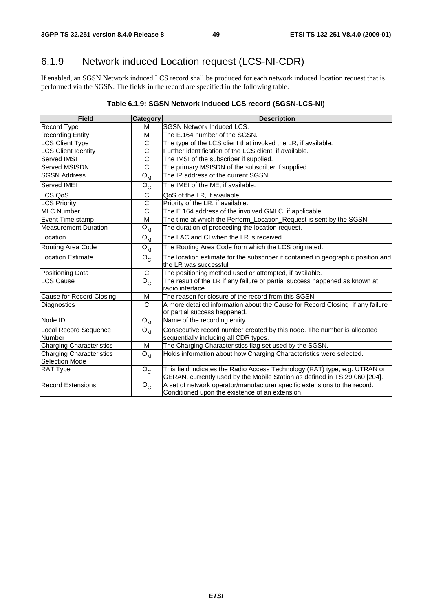## 6.1.9 Network induced Location request (LCS-NI-CDR)

If enabled, an SGSN Network induced LCS record shall be produced for each network induced location request that is performed via the SGSN. The fields in the record are specified in the following table.

#### **Table 6.1.9: SGSN Network induced LCS record (SGSN-LCS-NI)**

| <b>Field</b>                                      | Category                  | <b>Description</b>                                                                                                                                       |
|---------------------------------------------------|---------------------------|----------------------------------------------------------------------------------------------------------------------------------------------------------|
| <b>Record Type</b>                                | м                         | <b>SGSN Network Induced LCS.</b>                                                                                                                         |
| <b>Recording Entity</b>                           | м                         | The E.164 number of the SGSN.                                                                                                                            |
| <b>LCS Client Type</b>                            | C                         | The type of the LCS client that invoked the LR, if available.                                                                                            |
| <b>LCS Client Identity</b>                        | C                         | Further identification of the LCS client, if available.                                                                                                  |
| <b>Served IMSI</b>                                | C                         | The IMSI of the subscriber if supplied.                                                                                                                  |
| Served MSISDN                                     | $\overline{\text{c}}$     | The primary MSISDN of the subscriber if supplied.                                                                                                        |
| <b>SGSN Address</b>                               | ${\sf O}_{\sf M}$         | The IP address of the current SGSN.                                                                                                                      |
| Served IMEI                                       | $O_{C}$                   | The IMEI of the ME, if available.                                                                                                                        |
| LCS QoS                                           | С                         | QoS of the LR, if available.                                                                                                                             |
| <b>LCS Priority</b>                               | $\overline{C}$            | Priority of the LR, if available.                                                                                                                        |
| <b>MLC Number</b>                                 | C                         | The E.164 address of the involved GMLC, if applicable.                                                                                                   |
| Event Time stamp                                  | M                         | The time at which the Perform_Location_Request is sent by the SGSN.                                                                                      |
| <b>Measurement Duration</b>                       | ${\sf O}_{\sf M}$         | The duration of proceeding the location request.                                                                                                         |
| Location                                          | ${\sf O}_{\sf M}$         | The LAC and CI when the LR is received.                                                                                                                  |
| Routing Area Code                                 | $O_{M}$                   | The Routing Area Code from which the LCS originated.                                                                                                     |
| <b>Location Estimate</b>                          | $O_{C}$                   | The location estimate for the subscriber if contained in geographic position and<br>the LR was successful.                                               |
| Positioning Data                                  | $\mathsf C$               | The positioning method used or attempted, if available.                                                                                                  |
| <b>LCS Cause</b>                                  | $O_{C}$                   | The result of the LR if any failure or partial success happened as known at<br>radio interface.                                                          |
| Cause for Record Closing                          | M                         | The reason for closure of the record from this SGSN.                                                                                                     |
| Diagnostics                                       | $\overline{C}$            | A more detailed information about the Cause for Record Closing if any failure<br>or partial success happened.                                            |
| Node ID                                           | ${\sf O}_{\sf M}$         | Name of the recording entity.                                                                                                                            |
| <b>Local Record Sequence</b><br>Number            | $O_{M}$                   | Consecutive record number created by this node. The number is allocated<br>sequentially including all CDR types.                                         |
| <b>Charging Characteristics</b>                   | м                         | The Charging Characteristics flag set used by the SGSN.                                                                                                  |
| Charging Characteristics<br><b>Selection Mode</b> | $O_{M}$                   | Holds information about how Charging Characteristics were selected.                                                                                      |
| RAT Type                                          | $O_{C}$                   | This field indicates the Radio Access Technology (RAT) type, e.g. UTRAN or<br>GERAN, currently used by the Mobile Station as defined in TS 29.060 [204]. |
| <b>Record Extensions</b>                          | $\mathsf{o}_{\mathsf{c}}$ | A set of network operator/manufacturer specific extensions to the record.<br>Conditioned upon the existence of an extension.                             |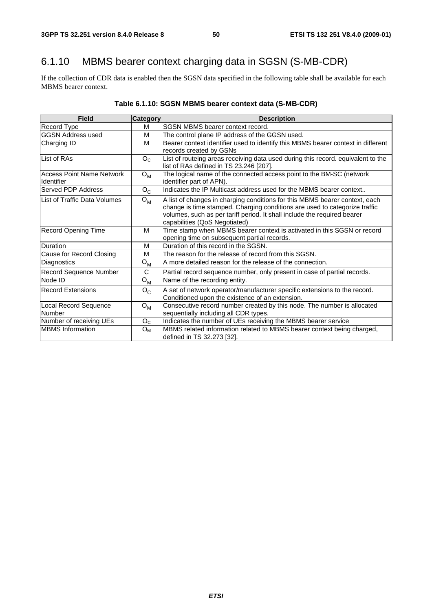## 6.1.10 MBMS bearer context charging data in SGSN (S-MB-CDR)

If the collection of CDR data is enabled then the SGSN data specified in the following table shall be available for each MBMS bearer context.

| <b>Field</b>                                   | Category       | <b>Description</b>                                                                                                                                                                                                                                                     |
|------------------------------------------------|----------------|------------------------------------------------------------------------------------------------------------------------------------------------------------------------------------------------------------------------------------------------------------------------|
| Record Type                                    | м              | SGSN MBMS bearer context record.                                                                                                                                                                                                                                       |
| <b>GGSN Address used</b>                       | M              | The control plane IP address of the GGSN used.                                                                                                                                                                                                                         |
| Charging ID                                    | M              | Bearer context identifier used to identify this MBMS bearer context in different                                                                                                                                                                                       |
|                                                |                | records created by GSNs                                                                                                                                                                                                                                                |
| List of RAs                                    | O <sub>c</sub> | List of routeing areas receiving data used during this record. equivalent to the<br>list of RAs defined in TS 23.246 [207].                                                                                                                                            |
| <b>Access Point Name Network</b><br>Identifier | $O_{M}$        | The logical name of the connected access point to the BM-SC (network<br>identifier part of APN).                                                                                                                                                                       |
| Served PDP Address                             | $O_{C}$        | Indicates the IP Multicast address used for the MBMS bearer context                                                                                                                                                                                                    |
| List of Traffic Data Volumes                   | $O_{M}$        | A list of changes in charging conditions for this MBMS bearer context, each<br>change is time stamped. Charging conditions are used to categorize traffic<br>volumes, such as per tariff period. It shall include the required bearer<br>capabilities (QoS Negotiated) |
| <b>Record Opening Time</b>                     | M              | Time stamp when MBMS bearer context is activated in this SGSN or record<br>opening time on subsequent partial records.                                                                                                                                                 |
| <b>Duration</b>                                | м              | Duration of this record in the SGSN.                                                                                                                                                                                                                                   |
| Cause for Record Closing                       | м              | The reason for the release of record from this SGSN.                                                                                                                                                                                                                   |
| Diagnostics                                    | $O_{M}$        | A more detailed reason for the release of the connection.                                                                                                                                                                                                              |
| Record Sequence Number                         | C              | Partial record sequence number, only present in case of partial records.                                                                                                                                                                                               |
| Node ID                                        | $O_M$          | Name of the recording entity.                                                                                                                                                                                                                                          |
| <b>Record Extensions</b>                       | $O_{C}$        | A set of network operator/manufacturer specific extensions to the record.<br>Conditioned upon the existence of an extension.                                                                                                                                           |
| <b>Local Record Sequence</b><br>Number         | $O_{M}$        | Consecutive record number created by this node. The number is allocated<br>sequentially including all CDR types.                                                                                                                                                       |
| Number of receiving UEs                        | O <sub>C</sub> | Indicates the number of UEs receiving the MBMS bearer service                                                                                                                                                                                                          |
| <b>MBMS</b> Information                        | Oм             | MBMS related information related to MBMS bearer context being charged,<br>defined in TS 32.273 [32].                                                                                                                                                                   |

## **Table 6.1.10: SGSN MBMS bearer context data (S-MB-CDR)**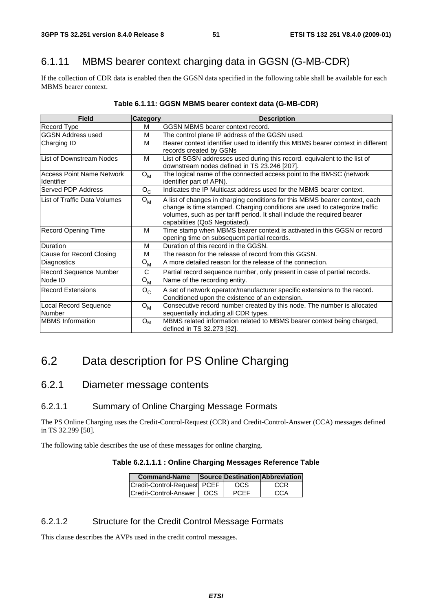## 6.1.11 MBMS bearer context charging data in GGSN (G-MB-CDR)

If the collection of CDR data is enabled then the GGSN data specified in the following table shall be available for each MBMS bearer context.

| <b>Field</b>                                          | <b>Category</b>           | <b>Description</b>                                                                                                                                                                                                                                                      |
|-------------------------------------------------------|---------------------------|-------------------------------------------------------------------------------------------------------------------------------------------------------------------------------------------------------------------------------------------------------------------------|
| Record Type                                           | м                         | IGGSN MBMS bearer context record.                                                                                                                                                                                                                                       |
| <b>GGSN Address used</b>                              | M                         | The control plane IP address of the GGSN used.                                                                                                                                                                                                                          |
| Charging ID                                           | M                         | Bearer context identifier used to identify this MBMS bearer context in different<br>records created by GSNs                                                                                                                                                             |
| <b>List of Downstream Nodes</b>                       | м                         | List of SGSN addresses used during this record. equivalent to the list of<br>downstream nodes defined in TS 23.246 [207].                                                                                                                                               |
| <b>Access Point Name Network</b><br><b>Identifier</b> | $O_{M}$                   | The logical name of the connected access point to the BM-SC (network<br>identifier part of APN).                                                                                                                                                                        |
| <b>Served PDP Address</b>                             | $O_{C}$                   | Indicates the IP Multicast address used for the MBMS bearer context.                                                                                                                                                                                                    |
| List of Traffic Data Volumes                          | $O_{\mathsf{M}}$          | A list of changes in charging conditions for this MBMS bearer context, each<br>change is time stamped. Charging conditions are used to categorize traffic<br>volumes, such as per tariff period. It shall include the required bearer<br>capabilities (QoS Negotiated). |
| <b>Record Opening Time</b>                            | м                         | Time stamp when MBMS bearer context is activated in this GGSN or record<br>opening time on subsequent partial records.                                                                                                                                                  |
| Duration                                              | M                         | Duration of this record in the GGSN.                                                                                                                                                                                                                                    |
| Cause for Record Closing                              | M                         | The reason for the release of record from this GGSN.                                                                                                                                                                                                                    |
| Diagnostics                                           | $\mathsf{o}_{\mathsf{M}}$ | A more detailed reason for the release of the connection.                                                                                                                                                                                                               |
| Record Sequence Number                                | C                         | Partial record sequence number, only present in case of partial records.                                                                                                                                                                                                |
| Node ID                                               | $O_{M}$                   | Name of the recording entity.                                                                                                                                                                                                                                           |
| <b>Record Extensions</b>                              | $O_{C}$                   | A set of network operator/manufacturer specific extensions to the record.<br>Conditioned upon the existence of an extension.                                                                                                                                            |
| <b>Local Record Sequence</b><br>Number                | $O_{\mathsf{M}}$          | Consecutive record number created by this node. The number is allocated<br>sequentially including all CDR types.                                                                                                                                                        |
| <b>MBMS</b> Information                               | Oм                        | MBMS related information related to MBMS bearer context being charged,<br> defined in TS 32.273 [32].                                                                                                                                                                   |

#### **Table 6.1.11: GGSN MBMS bearer context data (G-MB-CDR)**

## 6.2 Data description for PS Online Charging

### 6.2.1 Diameter message contents

### 6.2.1.1 Summary of Online Charging Message Formats

The PS Online Charging uses the Credit-Control-Request (CCR) and Credit-Control-Answer (CCA) messages defined in TS 32.299 [50].

The following table describes the use of these messages for online charging.

#### **Table 6.2.1.1.1 : Online Charging Messages Reference Table**

| <b>Command-Name</b>                 |             | Source Destination Abbreviation |
|-------------------------------------|-------------|---------------------------------|
| lCredit-Control-Reauestl PCEF       | OCS.        | CCR                             |
| <b>ICredit-Control-Answer   OCS</b> | <b>PCEF</b> | CCA                             |

#### 6.2.1.2 Structure for the Credit Control Message Formats

This clause describes the AVPs used in the credit control messages.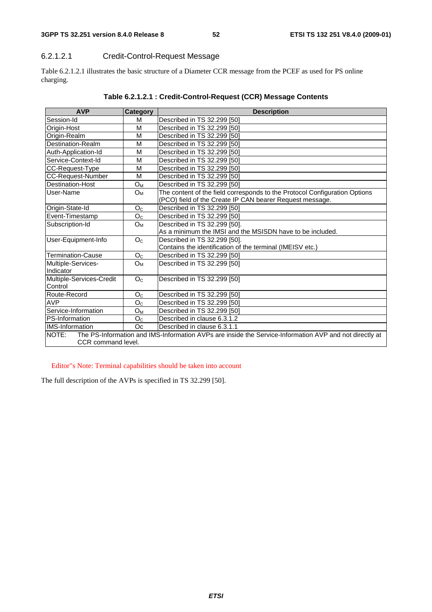**3GPP TS 32.251 version 8.4.0 Release 8 52 ETSI TS 132 251 V8.4.0 (2009-01)**

### 6.2.1.2.1 Credit-Control-Request Message

Table 6.2.1.2.1 illustrates the basic structure of a Diameter CCR message from the PCEF as used for PS online charging.

| <b>AVP</b>               | Category       | <b>Description</b>                                                                                     |
|--------------------------|----------------|--------------------------------------------------------------------------------------------------------|
| Session-Id               | М              | Described in TS 32.299 [50]                                                                            |
| Origin-Host              | M              | Described in TS 32.299 [50]                                                                            |
| Origin-Realm             | М              | Described in TS 32.299 [50]                                                                            |
| Destination-Realm        | M              | Described in TS 32.299 [50]                                                                            |
| Auth-Application-Id      | M              | Described in TS 32.299 [50]                                                                            |
| Service-Context-Id       | М              | Described in TS 32.299 [50]                                                                            |
| CC-Request-Type          | M              | Described in TS 32.299 [50]                                                                            |
| CC-Request-Number        | м              | Described in TS 32.299 [50]                                                                            |
| Destination-Host         | $O_M$          | Described in TS 32.299 [50]                                                                            |
| User-Name                | $O_{M}$        | The content of the field corresponds to the Protocol Configuration Options                             |
|                          |                | (PCO) field of the Create IP CAN bearer Request message.                                               |
| Origin-State-Id          | O <sub>C</sub> | Described in TS 32.299 [50]                                                                            |
| Event-Timestamp          | O <sub>C</sub> | Described in TS 32.299 [50]                                                                            |
| Subscription-Id          | $O_{M}$        | Described in TS 32.299 [50].                                                                           |
|                          |                | As a minimum the IMSI and the MSISDN have to be included.                                              |
| User-Equipment-Info      | O <sub>C</sub> | Described in TS 32.299 [50].                                                                           |
|                          |                | Contains the identification of the terminal (IMEISV etc.)                                              |
| <b>Termination-Cause</b> | O <sub>C</sub> | Described in TS 32.299 [50]                                                                            |
| Multiple-Services-       | $O_{M}$        | Described in TS 32.299 [50]                                                                            |
| Indicator                |                |                                                                                                        |
| Multiple-Services-Credit | O <sub>C</sub> | Described in TS 32.299 [50]                                                                            |
| Control                  |                |                                                                                                        |
| Route-Record             | O <sub>C</sub> | Described in TS 32.299 [50]                                                                            |
| <b>AVP</b>               | O <sub>C</sub> | Described in TS 32.299 [50]                                                                            |
| Service-Information      | $O_M$          | Described in TS 32.299 [50]                                                                            |
| PS-Information           | O <sub>C</sub> | Described in clause 6.3.1.2                                                                            |
| <b>IMS-Information</b>   | Oc             | Described in clause 6.3.1.1                                                                            |
| NOTE:                    |                | The PS-Information and IMS-Information AVPs are inside the Service-Information AVP and not directly at |
| CCR command level.       |                |                                                                                                        |

Editor"s Note: Terminal capabilities should be taken into account

The full description of the AVPs is specified in TS 32.299 [50].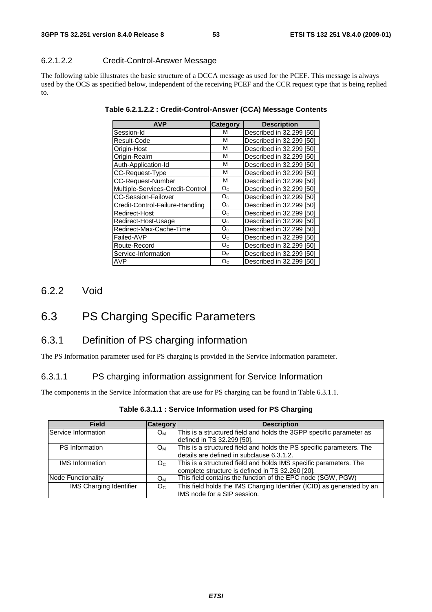### 6.2.1.2.2 Credit-Control-Answer Message

The following table illustrates the basic structure of a DCCA message as used for the PCEF. This message is always used by the OCS as specified below, independent of the receiving PCEF and the CCR request type that is being replied to.

| <b>AVP</b>                       | Category       | <b>Description</b>          |
|----------------------------------|----------------|-----------------------------|
| Session-Id                       | м              | Described in 32.299 [50]    |
| Result-Code                      | М              | Described in 32.299 [50]    |
| Origin-Host                      | М              | Described in 32,299 [50]    |
| Origin-Realm                     | М              | Described in 32,299 [50]    |
| Auth-Application-Id              | M              | Described in 32.299 [50]    |
| CC-Request-Type                  | M              | Described in 32.299<br>[50] |
| <b>CC-Request-Number</b>         | М              | Described in 32,299 [50]    |
| Multiple-Services-Credit-Control | O <sub>C</sub> | Described in 32.299 [50]    |
| <b>CC-Session-Failover</b>       | $O_{C}$        | Described in 32.299 [50]    |
| Credit-Control-Failure-Handling  | $O_{C}$        | Described in 32,299 [50]    |
| Redirect-Host                    | $O_{C}$        | Described in 32,299 [50]    |
| Redirect-Host-Usage              | O <sub>c</sub> | Described in 32,299 [50]    |
| Redirect-Max-Cache-Time          | $O_{C}$        | Described in 32.299 [50]    |
| Failed-AVP                       | O <sub>c</sub> | Described in 32.299 [50]    |
| Route-Record                     | O <sub>c</sub> | Described in 32.299 [50]    |
| Service-Information              | $O_{M}$        | Described in 32.299 [50]    |
| AVP                              | O <sub>C</sub> | Described in 32.299 [50]    |

**Table 6.2.1.2.2 : Credit-Control-Answer (CCA) Message Contents** 

6.2.2 Void

## 6.3 PS Charging Specific Parameters

## 6.3.1 Definition of PS charging information

The PS Information parameter used for PS charging is provided in the Service Information parameter.

#### 6.3.1.1 PS charging information assignment for Service Information

The components in the Service Information that are use for PS charging can be found in Table 6.3.1.1.

| <b>Field</b>            | Category       | <b>Description</b>                                                                                                    |
|-------------------------|----------------|-----------------------------------------------------------------------------------------------------------------------|
| Service Information     | $O_{M}$        | This is a structured field and holds the 3GPP specific parameter as<br>defined in TS 32.299 [50].                     |
| <b>PS</b> Information   | $O_{M}$        | This is a structured field and holds the PS specific parameters. The<br>details are defined in subclause 6.3.1.2.     |
| <b>IMS</b> Information  | O <sub>C</sub> | This is a structured field and holds IMS specific parameters. The<br>complete structure is defined in TS 32.260 [20]. |
| Node Functionality      | Oм             | This field contains the function of the EPC node (SGW, PGW)                                                           |
| IMS Charging Identifier | O <sub>C</sub> | This field holds the IMS Charging Identifier (ICID) as generated by an<br>IMS node for a SIP session.                 |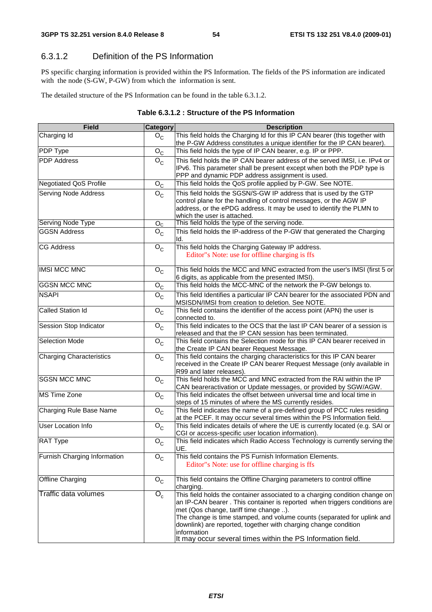## 6.3.1.2 Definition of the PS Information

PS specific charging information is provided within the PS Information. The fields of the PS information are indicated with the node (S-GW, P-GW) from which the information is sent.

The detailed structure of the PS Information can be found in the table 6.3.1.2.

| <b>Field</b>                    | <b>Category</b>                      | <b>Description</b>                                                                                                                                                                                                                                                                                                                                                                                                             |  |
|---------------------------------|--------------------------------------|--------------------------------------------------------------------------------------------------------------------------------------------------------------------------------------------------------------------------------------------------------------------------------------------------------------------------------------------------------------------------------------------------------------------------------|--|
| Charging Id                     | $O_{C}$                              | This field holds the Charging Id for this IP CAN bearer (this together with<br>the P-GW Address constitutes a unique identifier for the IP CAN bearer).                                                                                                                                                                                                                                                                        |  |
| <b>PDP Type</b>                 | ${\sf O}_{\sf C}$                    | This field holds the type of IP CAN bearer, e.g. IP or PPP.                                                                                                                                                                                                                                                                                                                                                                    |  |
| <b>PDP</b> Address              | $\overline{O}_C$                     | This field holds the IP CAN bearer address of the served IMSI, i.e. IPv4 or<br>IPv6. This parameter shall be present except when both the PDP type is<br>PPP and dynamic PDP address assignment is used.                                                                                                                                                                                                                       |  |
| Negotiated QoS Profile          | $\overline{O}_C$                     | This field holds the QoS profile applied by P-GW. See NOTE.                                                                                                                                                                                                                                                                                                                                                                    |  |
| <b>Serving Node Address</b>     | $O_{C}$                              | This field holds the SGSN/S-GW IP address that is used by the GTP<br>control plane for the handling of control messages, or the AGW IP<br>address, or the ePDG address. It may be used to identify the PLMN to<br>which the user is attached.                                                                                                                                                                                  |  |
| Serving Node Type               | O <sub>C</sub>                       | This field holds the type of the serving node.                                                                                                                                                                                                                                                                                                                                                                                 |  |
| <b>GGSN Address</b>             | $\mathsf{O}_{\mathsf{C}}$            | This field holds the IP-address of the P-GW that generated the Charging<br>Id.                                                                                                                                                                                                                                                                                                                                                 |  |
| <b>CG Address</b>               | $O_{C}$                              | This field holds the Charging Gateway IP address.<br>Editor"s Note: use for offline charging is ffs                                                                                                                                                                                                                                                                                                                            |  |
| <b>IMSI MCC MNC</b>             | $O_{C}$                              | This field holds the MCC and MNC extracted from the user's IMSI (first 5 or<br>6 digits, as applicable from the presented IMSI).                                                                                                                                                                                                                                                                                               |  |
| <b>GGSN MCC MNC</b>             | $O_{C}$                              | This field holds the MCC-MNC of the network the P-GW belongs to.                                                                                                                                                                                                                                                                                                                                                               |  |
| <b>NSAPI</b>                    | $O_{C}$                              | This field Identifies a particular IP CAN bearer for the associated PDN and<br>MSISDN/IMSI from creation to deletion. See NOTE.                                                                                                                                                                                                                                                                                                |  |
| <b>Called Station Id</b>        | $O_{C}$                              | This field contains the identifier of the access point (APN) the user is<br>connected to.                                                                                                                                                                                                                                                                                                                                      |  |
| Session Stop Indicator          | $O_{\rm C}$                          | This field indicates to the OCS that the last IP CAN bearer of a session is<br>released and that the IP CAN session has been terminated.                                                                                                                                                                                                                                                                                       |  |
| <b>Selection Mode</b>           | $O_{\rm C}$                          | This field contains the Selection mode for this IP CAN bearer received in<br>the Create IP CAN bearer Request Message.                                                                                                                                                                                                                                                                                                         |  |
| <b>Charging Characteristics</b> | $O_{C}$                              | This field contains the charging characteristics for this IP CAN bearer<br>received in the Create IP CAN bearer Request Message (only available in<br>R99 and later releases).                                                                                                                                                                                                                                                 |  |
| <b>SGSN MCC MNC</b>             | $O_{C}$                              | This field holds the MCC and MNC extracted from the RAI within the IP<br>CAN beareractivation or Update messages, or provided by SGW/AGW.                                                                                                                                                                                                                                                                                      |  |
| <b>MS Time Zone</b>             | $O_C$                                | This field indicates the offset between universal time and local time in<br>steps of 15 minutes of where the MS currently resides.                                                                                                                                                                                                                                                                                             |  |
| Charging Rule Base Name         | $O_{C}$                              | This field indicates the name of a pre-defined group of PCC rules residing<br>at the PCEF. It may occur several times within the PS Information field.                                                                                                                                                                                                                                                                         |  |
| User Location Info              | $\overline{O}_C$                     | This field indicates details of where the UE is currently located (e.g. SAI or<br>CGI or access-specific user location information).                                                                                                                                                                                                                                                                                           |  |
| RAT Type                        | $\mathsf{o}_{\mathsf{c}}$            | This field indicates which Radio Access Technology is currently serving the<br>UE.                                                                                                                                                                                                                                                                                                                                             |  |
| Furnish Charging Information    | $O_{C}$                              | This field contains the PS Furnish Information Elements.<br>Editor" s Note: use for offline charging is ffs                                                                                                                                                                                                                                                                                                                    |  |
| Offline Charging                | $O_{C}$                              | This field contains the Offline Charging parameters to control offline<br>charging.                                                                                                                                                                                                                                                                                                                                            |  |
| <b>Traffic data volumes</b>     | $\overline{\mathrm{O}_{\mathrm{c}}}$ | This field holds the container associated to a charging condition change on<br>an IP-CAN bearer. This container is reported when triggers conditions are<br>met (Qos change, tariff time change ).<br>The change is time stamped, and volume counts (separated for uplink and<br>downlink) are reported, together with charging change condition<br>information<br>It may occur several times within the PS Information field. |  |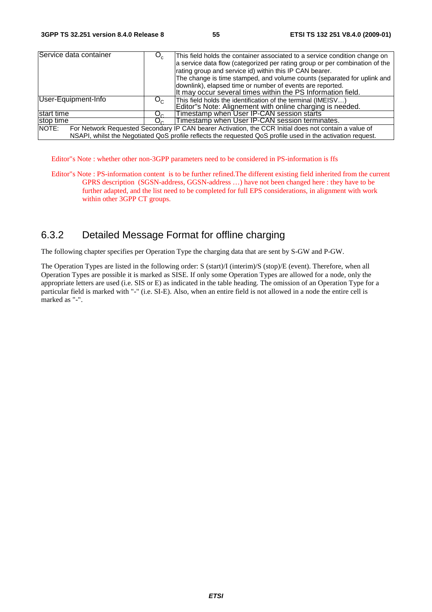| Service data container |         | This field holds the container associated to a service condition change on<br>a service data flow (categorized per rating group or per combination of the<br>rating group and service id) within this IP CAN bearer.<br>The change is time stamped, and volume counts (separated for uplink and<br>downlink), elapsed time or number of events are reported.<br>It may occur several times within the PS Information field. |
|------------------------|---------|-----------------------------------------------------------------------------------------------------------------------------------------------------------------------------------------------------------------------------------------------------------------------------------------------------------------------------------------------------------------------------------------------------------------------------|
| User-Equipment-Info    | $O_{C}$ | This field holds the identification of the terminal (IMEISV)<br>Editor"s Note: Alignement with online charging is needed.                                                                                                                                                                                                                                                                                                   |
| start time             |         | Timestamp when User IP-CAN session starts                                                                                                                                                                                                                                                                                                                                                                                   |
| stop time              |         | Timestamp when User IP-CAN session terminates.                                                                                                                                                                                                                                                                                                                                                                              |
| NOTE:                  |         | For Network Requested Secondary IP CAN bearer Activation, the CCR Initial does not contain a value of<br>NSAPI, whilst the Negotiated QoS profile reflects the requested QoS profile used in the activation request.                                                                                                                                                                                                        |

Editor"s Note : whether other non-3GPP parameters need to be considered in PS-information is ffs

Editor"s Note : PS-information content is to be further refined.The different existing field inherited from the current GPRS description (SGSN-address, GGSN-address …) have not been changed here : they have to be further adapted, and the list need to be completed for full EPS considerations, in alignment with work within other 3GPP CT groups.

## 6.3.2 Detailed Message Format for offline charging

The following chapter specifies per Operation Type the charging data that are sent by S-GW and P-GW.

The Operation Types are listed in the following order: S (start)/I (interim)/S (stop)/E (event). Therefore, when all Operation Types are possible it is marked as SISE. If only some Operation Types are allowed for a node, only the appropriate letters are used (i.e. SIS or E) as indicated in the table heading. The omission of an Operation Type for a particular field is marked with "-" (i.e. SI-E). Also, when an entire field is not allowed in a node the entire cell is marked as "-".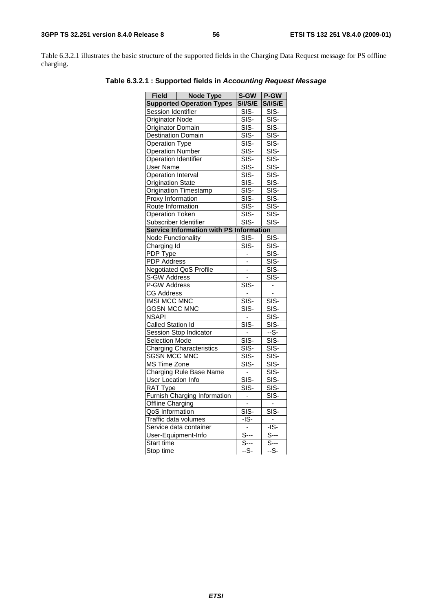Table 6.3.2.1 illustrates the basic structure of the supported fields in the Charging Data Request message for PS offline charging.

| Field   Node Type                              | S-GW                      | P-GW                                   |
|------------------------------------------------|---------------------------|----------------------------------------|
| <b>Supported Operation Types</b>               | <b>S/I/S/E</b>            | <b>S/I/S/E</b>                         |
| Session Identifier                             | SIS-                      | SIS-                                   |
| <b>Originator Node</b>                         | $\overline{\text{SIS}}$   | $\overline{\text{SIS}}$                |
| <b>Originator Domain</b>                       | SIS-                      | $SIS-$                                 |
| <b>Destination Domain</b>                      | SIS-                      | SIS-                                   |
| <b>Operation Type</b>                          | $\overline{\text{SIS}}$   | SIS-                                   |
| <b>Operation Number</b>                        | SIS-                      | SIS-                                   |
| Operation Identifier                           | $\overline{\text{SIS}}$   | $\overline{\text{S}}$ <sub>SIS</sub> . |
| <b>User Name</b>                               | $\overline{\text{SIS}}$   | $\overline{\text{SIS}}$                |
| <b>Operation Interval</b>                      | $SIS-$                    | SIS-                                   |
| <b>Origination State</b>                       | $\overline{\text{SIS}}$   | $\overline{\text{SIS}}$                |
| Origination Timestamp                          | SIS-                      | $SIS-$                                 |
| Proxy Information                              | SIS-                      | SIS-                                   |
| Route Information                              | $\overline{\text{SIS}}$   | SIS-                                   |
| <b>Operation Token</b>                         | $\overline{\text{SIS-}}$  | SIS-                                   |
| Subscriber Identifier                          | $\overline{\text{SIS}}$ - | SIS-                                   |
| <b>Service Information with PS Information</b> |                           |                                        |
| <b>Node Functionality</b>                      | SIS-                      | SIS-                                   |
| Charging Id                                    | $SIS-$                    | $SIS-$                                 |
| PDP Type                                       | $\overline{\phantom{a}}$  | SIS-                                   |
| <b>PDP Address</b>                             | ÷,                        | SIS-                                   |
| <b>Negotiated QoS Profile</b>                  | $\overline{a}$            | SIS-                                   |
| S-GW Address                                   | $\overline{\phantom{a}}$  | SIS-                                   |
| P-GW Address                                   | $SIS-$                    | -                                      |
| <b>CG Address</b>                              |                           | ÷,                                     |
| <b>IMSI MCC MNC</b>                            | $\overline{\text{SIS}}$   | SIS-                                   |
| <b>GGSN MCC MNC</b>                            | $SIS-$                    | $\overline{\text{SIS}}$                |
| <b>NSAPI</b>                                   | $\blacksquare$            | $SIS-$                                 |
| <b>Called Station Id</b>                       | $SIS-$                    | $\overline{\text{SIS}}$                |
| <b>Session Stop Indicator</b>                  |                           | $-S-$                                  |
| <b>Selection Mode</b>                          | $\overline{\text{SIS}}$   | $SIS-$                                 |
| <b>Charging Characteristics</b>                | $\overline{\text{SIS}}$   | $SIS-$                                 |
| <b>SGSN MCC MNC</b>                            | $\overline{\text{SIS}}$   | SIS-                                   |
| <b>MS Time Zone</b>                            | $\overline{\text{SIS-}}$  | $SIS-$                                 |
| <b>Charging Rule Base Name</b>                 |                           | $SIS-$                                 |
| User Location Info                             | $SIS-$                    | SIS-                                   |
| RAT Type                                       | SIS-                      | SIS-                                   |
| Furnish Charging Information                   | $\overline{\phantom{a}}$  | $\overline{\text{S}}$ IS-              |
| Offline Charging                               | L                         | $\blacksquare$                         |
| QoS Information                                | $SIS-$                    | SIS-                                   |
| Traffic data volumes                           | $-IS-$                    | $\bar{\phantom{a}}$                    |
| Service data container                         |                           | $-IS-$                                 |
| User-Equipment-Info                            | $S$ ---                   | $S--$                                  |
| Start time                                     | $S-$                      | $S-$                                   |
| Stop time                                      | --S-                      | --S-                                   |

**Table 6.3.2.1 : Supported fields in** *Accounting Request Message*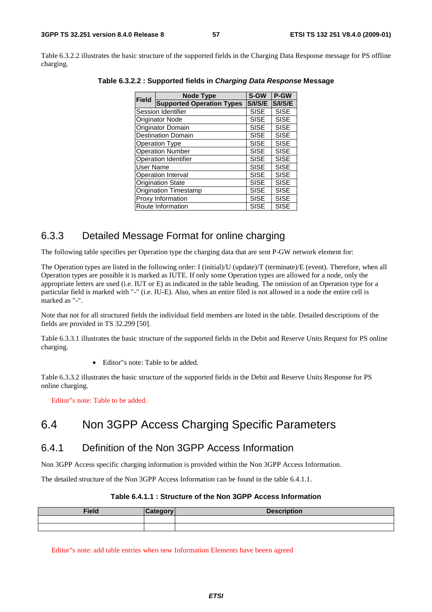Table 6.3.2.2 illustrates the basic structure of the supported fields in the Charging Data Response message for PS offline charging.

| <b>Field</b>                 | <b>Node Type</b>                 | S-GW        | P-GW        |
|------------------------------|----------------------------------|-------------|-------------|
|                              | <b>Supported Operation Types</b> | S/I/S/E     | S/I/S/E     |
|                              | Session Identifier               | <b>SISE</b> | <b>SISE</b> |
|                              | <b>Originator Node</b>           | <b>SISE</b> | <b>SISE</b> |
|                              | Originator Domain                | <b>SISE</b> | <b>SISE</b> |
|                              | <b>Destination Domain</b>        | <b>SISE</b> | <b>SISE</b> |
|                              | <b>Operation Type</b>            |             | <b>SISE</b> |
| <b>Operation Number</b>      |                                  | <b>SISE</b> | <b>SISE</b> |
| Operation Identifier         |                                  | <b>SISE</b> | <b>SISE</b> |
| User Name                    |                                  | <b>SISE</b> | <b>SISE</b> |
|                              | <b>Operation Interval</b>        |             | <b>SISE</b> |
| <b>Origination State</b>     |                                  | <b>SISE</b> | <b>SISE</b> |
| <b>Origination Timestamp</b> |                                  | <b>SISE</b> | <b>SISE</b> |
| Proxy Information            |                                  | <b>SISE</b> | <b>SISE</b> |
| Route Information            |                                  | <b>SISE</b> | <b>SISE</b> |

**Table 6.3.2.2 : Supported fields in** *Charging Data Response* **Message** 

## 6.3.3 Detailed Message Format for online charging

The following table specifies per Operation type the charging data that are sent P-GW network element for:

The Operation types are listed in the following order: I (initial)/U (update)/T (terminate)/E (event). Therefore, when all Operation types are possible it is marked as IUTE. If only some Operation types are allowed for a node, only the appropriate letters are used (i.e. IUT or E) as indicated in the table heading. The omission of an Operation type for a particular field is marked with "-" (i.e. IU-E). Also, when an entire filed is not allowed in a node the entire cell is marked as "-".

Note that not for all structured fields the individual field members are listed in the table. Detailed descriptions of the fields are provided in TS 32.299 [50].

Table 6.3.3.1 illustrates the basic structure of the supported fields in the Debit and Reserve Units Request for PS online charging.

• Editor"s note: Table to be added.

Table 6.3.3.2 illustrates the basic structure of the supported fields in the Debit and Reserve Units Response for PS online charging.

Editor"s note: Table to be added.

## 6.4 Non 3GPP Access Charging Specific Parameters

### 6.4.1 Definition of the Non 3GPP Access Information

Non 3GPP Access specific charging information is provided within the Non 3GPP Access Information.

The detailed structure of the Non 3GPP Access Information can be found in the table 6.4.1.1.

#### **Table 6.4.1.1 : Structure of the Non 3GPP Access Information**

| <b>Field</b> | $-1 - - - -$ | <b>Description</b> |
|--------------|--------------|--------------------|
|              |              |                    |
|              |              |                    |

Editor"s note: add table entries when new Information Elements have beeen agreed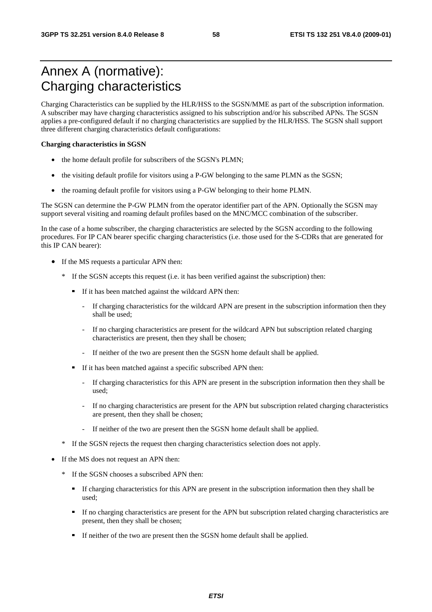## Annex A (normative): Charging characteristics

Charging Characteristics can be supplied by the HLR/HSS to the SGSN/MME as part of the subscription information. A subscriber may have charging characteristics assigned to his subscription and/or his subscribed APNs. The SGSN applies a pre-configured default if no charging characteristics are supplied by the HLR/HSS. The SGSN shall support three different charging characteristics default configurations:

#### **Charging characteristics in SGSN**

- the home default profile for subscribers of the SGSN's PLMN;
- the visiting default profile for visitors using a P-GW belonging to the same PLMN as the SGSN;
- the roaming default profile for visitors using a P-GW belonging to their home PLMN.

The SGSN can determine the P-GW PLMN from the operator identifier part of the APN. Optionally the SGSN may support several visiting and roaming default profiles based on the MNC/MCC combination of the subscriber.

In the case of a home subscriber, the charging characteristics are selected by the SGSN according to the following procedures. For IP CAN bearer specific charging characteristics (i.e. those used for the S-CDRs that are generated for this IP CAN bearer):

- If the MS requests a particular APN then:
	- \* If the SGSN accepts this request (i.e. it has been verified against the subscription) then:
		- If it has been matched against the wildcard APN then:
			- If charging characteristics for the wildcard APN are present in the subscription information then they shall be used;
			- If no charging characteristics are present for the wildcard APN but subscription related charging characteristics are present, then they shall be chosen;
			- If neither of the two are present then the SGSN home default shall be applied.
		- If it has been matched against a specific subscribed APN then:
			- If charging characteristics for this APN are present in the subscription information then they shall be used;
			- If no charging characteristics are present for the APN but subscription related charging characteristics are present, then they shall be chosen;
			- If neither of the two are present then the SGSN home default shall be applied.
	- \* If the SGSN rejects the request then charging characteristics selection does not apply.
- If the MS does not request an APN then:
	- \* If the SGSN chooses a subscribed APN then:
		- If charging characteristics for this APN are present in the subscription information then they shall be used;
		- If no charging characteristics are present for the APN but subscription related charging characteristics are present, then they shall be chosen;
		- If neither of the two are present then the SGSN home default shall be applied.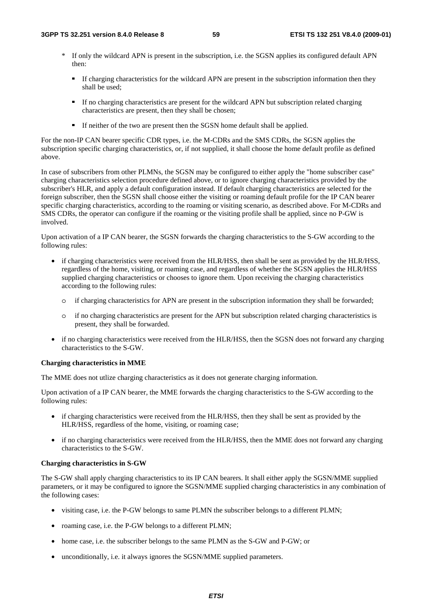- \* If only the wildcard APN is present in the subscription, i.e. the SGSN applies its configured default APN then:
	- If charging characteristics for the wildcard APN are present in the subscription information then they shall be used;
	- If no charging characteristics are present for the wildcard APN but subscription related charging characteristics are present, then they shall be chosen;
	- If neither of the two are present then the SGSN home default shall be applied.

For the non-IP CAN bearer specific CDR types, i.e. the M-CDRs and the SMS CDRs, the SGSN applies the subscription specific charging characteristics, or, if not supplied, it shall choose the home default profile as defined above.

In case of subscribers from other PLMNs, the SGSN may be configured to either apply the "home subscriber case" charging characteristics selection procedure defined above, or to ignore charging characteristics provided by the subscriber's HLR, and apply a default configuration instead. If default charging characteristics are selected for the foreign subscriber, then the SGSN shall choose either the visiting or roaming default profile for the IP CAN bearer specific charging characteristics, according to the roaming or visiting scenario, as described above. For M-CDRs and SMS CDRs, the operator can configure if the roaming or the visiting profile shall be applied, since no P-GW is involved.

Upon activation of a IP CAN bearer, the SGSN forwards the charging characteristics to the S-GW according to the following rules:

- if charging characteristics were received from the HLR/HSS, then shall be sent as provided by the HLR/HSS, regardless of the home, visiting, or roaming case, and regardless of whether the SGSN applies the HLR/HSS supplied charging characteristics or chooses to ignore them. Upon receiving the charging characteristics according to the following rules:
	- o if charging characteristics for APN are present in the subscription information they shall be forwarded;
	- o if no charging characteristics are present for the APN but subscription related charging characteristics is present, they shall be forwarded.
- if no charging characteristics were received from the HLR/HSS, then the SGSN does not forward any charging characteristics to the S-GW.

### **Charging characteristics in MME**

The MME does not utlize charging characteristics as it does not generate charging information.

Upon activation of a IP CAN bearer, the MME forwards the charging characteristics to the S-GW according to the following rules:

- if charging characteristics were received from the HLR/HSS, then they shall be sent as provided by the HLR/HSS, regardless of the home, visiting, or roaming case;
- if no charging characteristics were received from the HLR/HSS, then the MME does not forward any charging characteristics to the S-GW.

### **Charging characteristics in S-GW**

The S-GW shall apply charging characteristics to its IP CAN bearers. It shall either apply the SGSN/MME supplied parameters, or it may be configured to ignore the SGSN/MME supplied charging characteristics in any combination of the following cases:

- visiting case, i.e. the P-GW belongs to same PLMN the subscriber belongs to a different PLMN;
- roaming case, i.e. the P-GW belongs to a different PLMN;
- home case, i.e. the subscriber belongs to the same PLMN as the S-GW and P-GW; or
- unconditionally, i.e. it always ignores the SGSN/MME supplied parameters.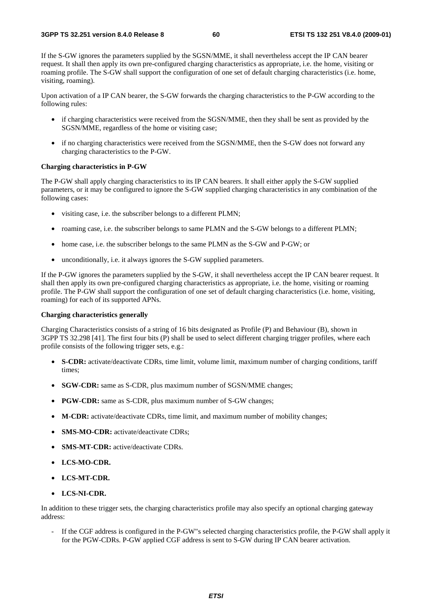If the S-GW ignores the parameters supplied by the SGSN/MME, it shall nevertheless accept the IP CAN bearer request. It shall then apply its own pre-configured charging characteristics as appropriate, i.e. the home, visiting or roaming profile. The S-GW shall support the configuration of one set of default charging characteristics (i.e. home, visiting, roaming).

Upon activation of a IP CAN bearer, the S-GW forwards the charging characteristics to the P-GW according to the following rules:

- if charging characteristics were received from the SGSN/MME, then they shall be sent as provided by the SGSN/MME, regardless of the home or visiting case;
- if no charging characteristics were received from the SGSN/MME, then the S-GW does not forward any charging characteristics to the P-GW.

#### **Charging characteristics in P-GW**

The P-GW shall apply charging characteristics to its IP CAN bearers. It shall either apply the S-GW supplied parameters, or it may be configured to ignore the S-GW supplied charging characteristics in any combination of the following cases:

- visiting case, i.e. the subscriber belongs to a different PLMN;
- roaming case, i.e. the subscriber belongs to same PLMN and the S-GW belongs to a different PLMN;
- home case, i.e. the subscriber belongs to the same PLMN as the S-GW and P-GW; or
- unconditionally, i.e. it always ignores the S-GW supplied parameters.

If the P-GW ignores the parameters supplied by the S-GW, it shall nevertheless accept the IP CAN bearer request. It shall then apply its own pre-configured charging characteristics as appropriate, i.e. the home, visiting or roaming profile. The P-GW shall support the configuration of one set of default charging characteristics (i.e. home, visiting, roaming) for each of its supported APNs.

#### **Charging characteristics generally**

Charging Characteristics consists of a string of 16 bits designated as Profile (P) and Behaviour (B), shown in 3GPP TS 32.298 [41]. The first four bits (P) shall be used to select different charging trigger profiles, where each profile consists of the following trigger sets, e.g.:

- **S-CDR:** activate/deactivate CDRs, time limit, volume limit, maximum number of charging conditions, tariff times;
- **SGW-CDR:** same as S-CDR, plus maximum number of SGSN/MME changes;
- **PGW-CDR:** same as S-CDR, plus maximum number of S-GW changes;
- **M-CDR:** activate/deactivate CDRs, time limit, and maximum number of mobility changes;
- **SMS-MO-CDR:** activate/deactivate CDRs;
- **SMS-MT-CDR:** active/deactivate CDRs.
- **LCS-MO-CDR.**
- **LCS-MT-CDR.**
- **LCS-NI-CDR.**

In addition to these trigger sets, the charging characteristics profile may also specify an optional charging gateway address:

- If the CGF address is configured in the P-GW"s selected charging characteristics profile, the P-GW shall apply it for the PGW-CDRs. P-GW applied CGF address is sent to S-GW during IP CAN bearer activation.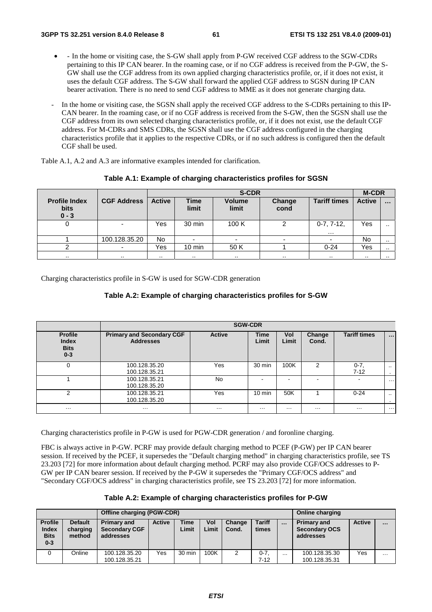- - In the home or visiting case, the S-GW shall apply from P-GW received CGF address to the SGW-CDRs pertaining to this IP CAN bearer. In the roaming case, or if no CGF address is received from the P-GW, the S-GW shall use the CGF address from its own applied charging characteristics profile, or, if it does not exist, it uses the default CGF address. The S-GW shall forward the applied CGF address to SGSN during IP CAN bearer activation. There is no need to send CGF address to MME as it does not generate charging data.
- In the home or visiting case, the SGSN shall apply the received CGF address to the S-CDRs pertaining to this IP-CAN bearer. In the roaming case, or if no CGF address is received from the S-GW, then the SGSN shall use the CGF address from its own selected charging characteristics profile, or, if it does not exist, use the default CGF address. For M-CDRs and SMS CDRs, the SGSN shall use the CGF address configured in the charging characteristics profile that it applies to the respective CDRs, or if no such address is configured then the default CGF shall be used.

Table A.1, A.2 and A.3 are informative examples intended for clarification.

|                                                |                    |               | <b>S-CDR</b>         |                        |                |                          |               |           |  |
|------------------------------------------------|--------------------|---------------|----------------------|------------------------|----------------|--------------------------|---------------|-----------|--|
| <b>Profile Index</b><br><b>bits</b><br>$0 - 3$ | <b>CGF Address</b> | <b>Active</b> | <b>Time</b><br>limit | <b>Volume</b><br>limit | Change<br>cond | <b>Tariff times</b>      | <b>Active</b> | $\cdots$  |  |
| 0                                              |                    | Yes           | 30 min               | 100 K                  |                | $0-7, 7-12,$<br>$\cdots$ | Yes           | $\cdot$ . |  |
|                                                | 100.128.35.20      | <b>No</b>     | $\overline{a}$       | -                      | -              |                          | No            | . .       |  |
|                                                |                    | Yes           | $10 \text{ min}$     | 50 K                   |                | $0 - 24$                 | Yes           | $\cdots$  |  |
| $\cdots$                                       |                    | $\cdots$      | $\cdots$             | $\cdot$ .              | $\cdots$       | $\cdots$                 | $\cdot$ .     | . .       |  |

#### **Table A.1: Example of charging characteristics profiles for SGSN**

Charging characteristics profile in S-GW is used for SGW-CDR generation

#### **Table A.2: Example of charging characteristics profiles for S-GW**

| <b>Profile</b><br><b>Index</b><br><b>Bits</b><br>$0 - 3$ | <b>Primary and Secondary CGF</b><br><b>Addresses</b> | <b>Active</b> | <b>Time</b><br>Limit | Vol<br>Limit | Change<br>Cond. | <b>Tariff times</b>      | $\cdots$             |  |  |  |
|----------------------------------------------------------|------------------------------------------------------|---------------|----------------------|--------------|-----------------|--------------------------|----------------------|--|--|--|
| 0                                                        | 100.128.35.20<br>100.128.35.21                       | Yes           | 30 min               | 100K         | 2               | $0 - 7$<br>$7 - 12$      | $\cdot$ .<br>$\cdot$ |  |  |  |
|                                                          | 100.128.35.21<br>100.128.35.20                       | <b>No</b>     | -                    | $\,$         | $\blacksquare$  | $\overline{\phantom{0}}$ | .                    |  |  |  |
| 2                                                        | 100.128.35.21<br>100.128.35.20                       | Yes           | $10 \text{ min}$     | 50K          |                 | $0 - 24$                 | $\sim$               |  |  |  |
| $\cdots$                                                 | $\cdots$                                             | $\cdots$      | .                    | $\cdots$     | .               | $\cdots$                 | .                    |  |  |  |

Charging characteristics profile in P-GW is used for PGW-CDR generation / and foronline charging.

FBC is always active in P-GW. PCRF may provide default charging method to PCEF (P-GW) per IP CAN bearer session. If received by the PCEF, it supersedes the "Default charging method" in charging characteristics profile, see TS 23.203 [72] for more information about default charging method. PCRF may also provide CGF/OCS addresses to P-GW per IP CAN bearer session. If received by the P-GW it supersedes the "Primary CGF/OCS address" and "Secondary CGF/OCS address" in charging characteristics profile, see TS 23.203 [72] for more information.

|                                                   |                                      | Offline charging (PGW-CDR)                              |               | <b>Online charging</b> |              |                 |                        |          |                                                         |               |          |
|---------------------------------------------------|--------------------------------------|---------------------------------------------------------|---------------|------------------------|--------------|-----------------|------------------------|----------|---------------------------------------------------------|---------------|----------|
| <b>Profile</b><br>Index<br><b>Bits</b><br>$0 - 3$ | <b>Default</b><br>charging<br>method | <b>Primary and</b><br><b>Secondary CGF</b><br>addresses | <b>Active</b> | <b>Time</b><br>Limit   | Vol<br>Limit | Change<br>Cond. | <b>Tariff</b><br>times | $\cdots$ | <b>Primary and</b><br><b>Secondary OCS</b><br>addresses | <b>Active</b> | $\cdots$ |
|                                                   | Online                               | 100.128.35.20<br>100.128.35.21                          | Yes           | $30 \text{ min}$       | 100K         | 2               | $0 - 7$<br>$7 - 12$    | $\cdots$ | 100.128.35.30<br>100.128.35.31                          | Yes           | $\cdots$ |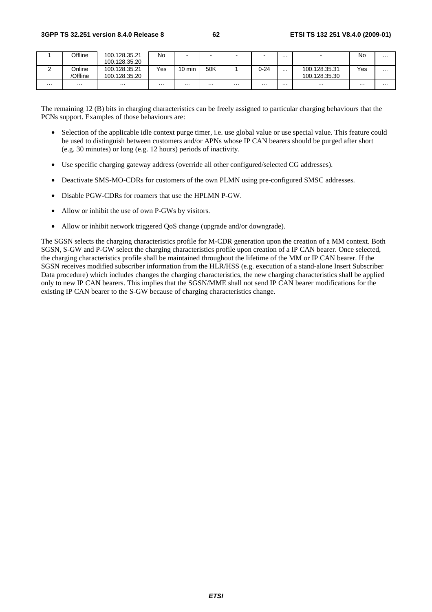|   | Offline  | 100.128.35.21 | No  | $\overline{\phantom{a}}$ |          | $\blacksquare$ | $\overline{\phantom{0}}$ | .        | $\overline{\phantom{a}}$ | No  | $\cdots$ |
|---|----------|---------------|-----|--------------------------|----------|----------------|--------------------------|----------|--------------------------|-----|----------|
|   |          | 100.128.35.20 |     |                          |          |                |                          |          |                          |     |          |
|   | Online   | 100.128.35.21 | Yes | $10 \text{ min}$         | 50K      |                | $0 - 24$                 | $\cdots$ | 100.128.35.31            | Yes | .        |
|   | 'Offline | 100.128.35.20 |     |                          |          |                |                          |          | 100.128.35.30            |     |          |
| . | .        | .             | .   | $\cdots$                 | $\cdots$ | $\cdots$       | .                        | .        | .                        | .   | $\cdots$ |

The remaining 12 (B) bits in charging characteristics can be freely assigned to particular charging behaviours that the PCNs support. Examples of those behaviours are:

- Selection of the applicable idle context purge timer, i.e. use global value or use special value. This feature could be used to distinguish between customers and/or APNs whose IP CAN bearers should be purged after short (e.g. 30 minutes) or long (e.g. 12 hours) periods of inactivity.
- Use specific charging gateway address (override all other configured/selected CG addresses).
- Deactivate SMS-MO-CDRs for customers of the own PLMN using pre-configured SMSC addresses.
- Disable PGW-CDRs for roamers that use the HPLMN P-GW.
- Allow or inhibit the use of own P-GWs by visitors.
- Allow or inhibit network triggered QoS change (upgrade and/or downgrade).

The SGSN selects the charging characteristics profile for M-CDR generation upon the creation of a MM context. Both SGSN, S-GW and P-GW select the charging characteristics profile upon creation of a IP CAN bearer. Once selected, the charging characteristics profile shall be maintained throughout the lifetime of the MM or IP CAN bearer. If the SGSN receives modified subscriber information from the HLR/HSS (e.g. execution of a stand-alone Insert Subscriber Data procedure) which includes changes the charging characteristics, the new charging characteristics shall be applied only to new IP CAN bearers. This implies that the SGSN/MME shall not send IP CAN bearer modifications for the existing IP CAN bearer to the S-GW because of charging characteristics change.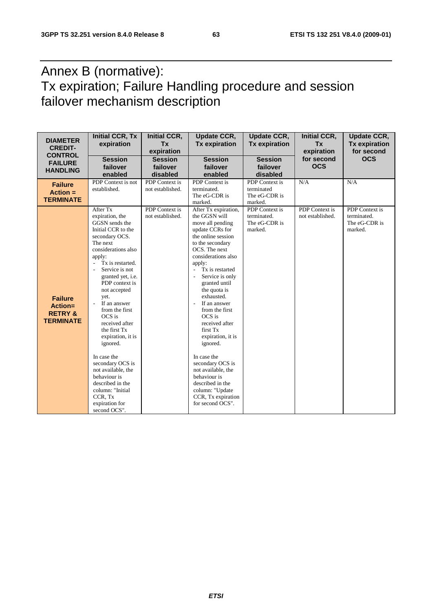## Annex B (normative): Tx expiration; Failure Handling procedure and session failover mechanism description

| <b>DIAMETER</b><br><b>CREDIT-</b><br><b>CONTROL</b>                 | <b>Initial CCR, Tx</b><br>expiration                                                                                                                                                                                                                                                                                                                                                                                                                                                                                                                       | <b>Initial CCR,</b><br><b>Tx</b><br>expiration | <b>Update CCR,</b><br><b>Tx expiration</b>                                                                                                                                                                                                                                                                                                                                                                                                                                                                                                                                         | <b>Update CCR,</b><br><b>Tx expiration</b>                | <b>Initial CCR,</b><br><b>Tx</b><br>expiration | <b>Update CCR,</b><br><b>Tx expiration</b><br>for second  |
|---------------------------------------------------------------------|------------------------------------------------------------------------------------------------------------------------------------------------------------------------------------------------------------------------------------------------------------------------------------------------------------------------------------------------------------------------------------------------------------------------------------------------------------------------------------------------------------------------------------------------------------|------------------------------------------------|------------------------------------------------------------------------------------------------------------------------------------------------------------------------------------------------------------------------------------------------------------------------------------------------------------------------------------------------------------------------------------------------------------------------------------------------------------------------------------------------------------------------------------------------------------------------------------|-----------------------------------------------------------|------------------------------------------------|-----------------------------------------------------------|
| <b>FAILURE</b><br><b>HANDLING</b>                                   | <b>Session</b><br>failover<br>enabled                                                                                                                                                                                                                                                                                                                                                                                                                                                                                                                      | <b>Session</b><br>failover<br>disabled         | <b>Session</b><br>failover<br>enabled                                                                                                                                                                                                                                                                                                                                                                                                                                                                                                                                              | <b>Session</b><br>failover<br>disabled                    | for second<br><b>OCS</b>                       | <b>OCS</b>                                                |
| <b>Failure</b><br>$Action =$<br><b>TERMINATE</b>                    | PDP Context is not<br>established.                                                                                                                                                                                                                                                                                                                                                                                                                                                                                                                         | PDP Context is<br>not established.             | PDP Context is<br>terminated.<br>The eG-CDR is<br>marked.                                                                                                                                                                                                                                                                                                                                                                                                                                                                                                                          | PDP Context is<br>terminated<br>The eG-CDR is<br>marked.  | N/A                                            | N/A                                                       |
| <b>Failure</b><br>Action=<br><b>RETRY &amp;</b><br><b>TERMINATE</b> | After Tx<br>expiration, the<br>GGSN sends the<br>Initial CCR to the<br>secondary OCS.<br>The next<br>considerations also<br>apply:<br>Tx is restarted.<br>$\overline{\phantom{a}}$<br>Service is not<br>granted yet, i.e.<br>PDP context is<br>not accepted<br>yet.<br>If an answer<br>$\sim$<br>from the first<br>OCS is<br>received after<br>the first Tx<br>expiration, it is<br>ignored.<br>In case the<br>secondary OCS is<br>not available, the<br>behaviour is<br>described in the<br>column: "Initial<br>CCR, Tx<br>expiration for<br>second OCS". | PDP Context is<br>not established.             | After Tx expiration,<br>the GGSN will<br>move all pending<br>update CCRs for<br>the online session<br>to the secondary<br>OCS. The next<br>considerations also<br>apply:<br>Tx is restarted<br>$\overline{\phantom{a}}$<br>Service is only<br>$\sim$<br>granted until<br>the quota is<br>exhausted.<br>If an answer<br>$\sim$<br>from the first<br>OCS is<br>received after<br>first Tx<br>expiration, it is<br>ignored.<br>In case the<br>secondary OCS is<br>not available, the<br>behaviour is<br>described in the<br>column: "Update<br>CCR, Tx expiration<br>for second OCS". | PDP Context is<br>terminated.<br>The eG-CDR is<br>marked. | <b>PDP</b> Context is<br>not established.      | PDP Context is<br>terminated.<br>The eG-CDR is<br>marked. |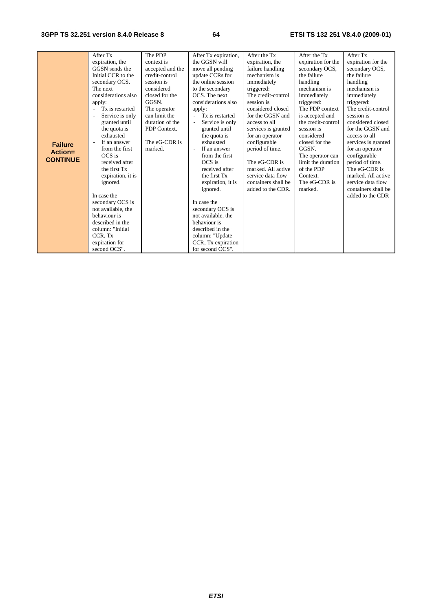|                 | After Tx            | The PDP          | After Tx expiration,      | After the Tx        | After the Tx       | After Tx            |
|-----------------|---------------------|------------------|---------------------------|---------------------|--------------------|---------------------|
|                 | expiration, the     | context is       | the GGSN will             | expiration, the     | expiration for the | expiration for the  |
|                 | GGSN sends the      | accepted and the | move all pending          | failure handling    | secondary OCS,     | secondary OCS,      |
|                 | Initial CCR to the  | credit-control   | update CCRs for           | mechanism is        | the failure        | the failure         |
|                 | secondary OCS.      | session is       | the online session        | immediately         | handling           | handling            |
|                 | The next            | considered       | to the secondary          | triggered:          | mechanism is       | mechanism is        |
|                 | considerations also | closed for the   | OCS. The next             | The credit-control  | immediately        | immediately         |
|                 | apply:              | GGSN.            | considerations also       | session is          | triggered:         | triggered:          |
|                 | Tx is restarted     | The operator     | apply:                    | considered closed   | The PDP context    | The credit-control  |
|                 | Service is only     | can limit the    | Tx is restarted<br>$\sim$ | for the GGSN and    | is accepted and    | session is          |
|                 | granted until       | duration of the  | Service is only           | access to all       | the credit-control | considered closed   |
|                 | the quota is        | PDP Context.     | granted until             | services is granted | session is         | for the GGSN and    |
|                 | exhausted           |                  | the quota is              | for an operator     | considered         | access to all       |
| <b>Failure</b>  | If an answer        | The eG-CDR is    | exhausted                 | configurable        | closed for the     | services is granted |
| Action=         | from the first      | marked.          | If an answer              | period of time.     | GGSN.              | for an operator     |
| <b>CONTINUE</b> | OCS is              |                  | from the first            |                     | The operator can   | configurable        |
|                 | received after      |                  | OCS is                    | The eG-CDR is       | limit the duration | period of time.     |
|                 | the first Tx        |                  | received after            | marked. All active  | of the PDP         | The eG-CDR is       |
|                 | expiration, it is   |                  | the first Tx              | service data flow   | Context.           | marked. All active  |
|                 | ignored.            |                  | expiration, it is         | containers shall be | The eG-CDR is      | service data flow   |
|                 |                     |                  | ignored.                  | added to the CDR.   | marked.            | containers shall be |
|                 | In case the         |                  |                           |                     |                    | added to the CDR    |
|                 | secondary OCS is    |                  | In case the               |                     |                    |                     |
|                 | not available, the  |                  | secondary OCS is          |                     |                    |                     |
|                 | behaviour is        |                  | not available, the        |                     |                    |                     |
|                 | described in the    |                  | behaviour is              |                     |                    |                     |
|                 | column: "Initial    |                  | described in the          |                     |                    |                     |
|                 | CCR, Tx             |                  | column: "Update           |                     |                    |                     |
|                 | expiration for      |                  | CCR, Tx expiration        |                     |                    |                     |
|                 | second OCS".        |                  | for second OCS".          |                     |                    |                     |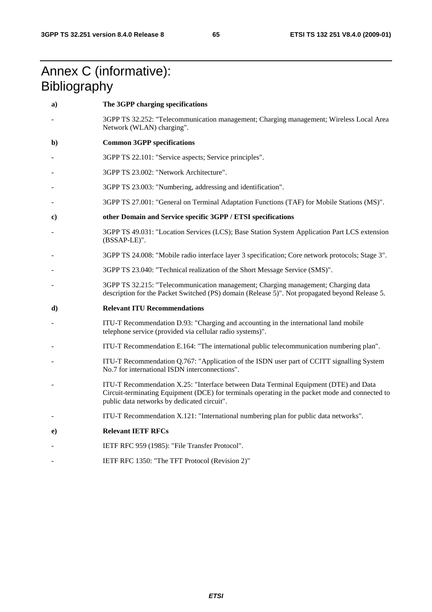## Annex C (informative): **Bibliography**

| a) | The 3GPP charging specifications                                                                                                                                                                                                       |
|----|----------------------------------------------------------------------------------------------------------------------------------------------------------------------------------------------------------------------------------------|
|    | 3GPP TS 32.252: "Telecommunication management; Charging management; Wireless Local Area<br>Network (WLAN) charging".                                                                                                                   |
| b) | <b>Common 3GPP specifications</b>                                                                                                                                                                                                      |
|    | 3GPP TS 22.101: "Service aspects; Service principles".                                                                                                                                                                                 |
|    | 3GPP TS 23.002: "Network Architecture".                                                                                                                                                                                                |
|    | 3GPP TS 23.003: "Numbering, addressing and identification".                                                                                                                                                                            |
|    | 3GPP TS 27.001: "General on Terminal Adaptation Functions (TAF) for Mobile Stations (MS)".                                                                                                                                             |
| c) | other Domain and Service specific 3GPP / ETSI specifications                                                                                                                                                                           |
|    | 3GPP TS 49.031: "Location Services (LCS); Base Station System Application Part LCS extension<br>(BSSAP-LE)".                                                                                                                           |
|    | 3GPP TS 24.008: "Mobile radio interface layer 3 specification; Core network protocols; Stage 3".                                                                                                                                       |
|    | 3GPP TS 23.040: "Technical realization of the Short Message Service (SMS)".                                                                                                                                                            |
|    | 3GPP TS 32.215: "Telecommunication management; Charging management; Charging data<br>description for the Packet Switched (PS) domain (Release 5)". Not propagated beyond Release 5.                                                    |
| d) | <b>Relevant ITU Recommendations</b>                                                                                                                                                                                                    |
|    | ITU-T Recommendation D.93: "Charging and accounting in the international land mobile                                                                                                                                                   |
|    | telephone service (provided via cellular radio systems)".                                                                                                                                                                              |
|    | ITU-T Recommendation E.164: "The international public telecommunication numbering plan".                                                                                                                                               |
|    | ITU-T Recommendation Q.767: "Application of the ISDN user part of CCITT signalling System<br>No.7 for international ISDN interconnections".                                                                                            |
|    | ITU-T Recommendation X.25: "Interface between Data Terminal Equipment (DTE) and Data<br>Circuit-terminating Equipment (DCE) for terminals operating in the packet mode and connected to<br>public data networks by dedicated circuit". |
|    | ITU-T Recommendation X.121: "International numbering plan for public data networks".                                                                                                                                                   |
| e) | <b>Relevant IETF RFCs</b>                                                                                                                                                                                                              |
|    | IETF RFC 959 (1985): "File Transfer Protocol".                                                                                                                                                                                         |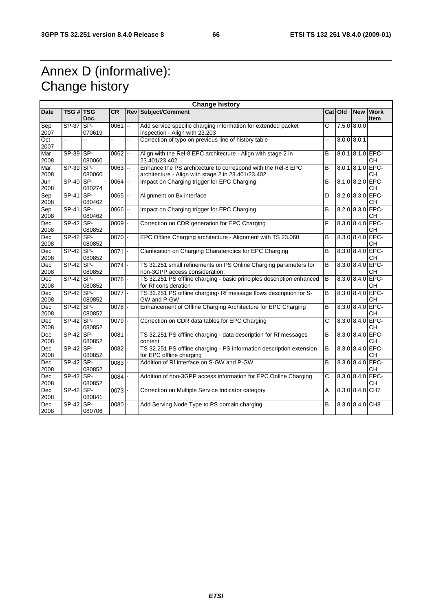## Annex D (informative): Change history

|                    | <b>Change history</b> |                |            |    |                                                                                                                    |                       |         |                 |                               |
|--------------------|-----------------------|----------------|------------|----|--------------------------------------------------------------------------------------------------------------------|-----------------------|---------|-----------------|-------------------------------|
| <b>Date</b>        | <b>TSG # TSG</b>      | Doc.           | <b>CR</b>  |    | <b>Rev Subject/Comment</b>                                                                                         |                       | Cat Old | <b>New</b>      | <b>Work</b><br><b>Item</b>    |
| Sep<br>2007        | $SP-37$ SP-           | 070619         | 0061       | Ξ. | Add service specific charging information for extended packet<br>inspection - Align with 23.203                    | C                     |         | 7.5.0 8.0.0     |                               |
| Oct<br>2007        | ц,                    | $\overline{a}$ | ц,         | à, | Correction of typo on previous line of history table<br>цú.                                                        |                       |         | $8.0.0$ 8.0.1   |                               |
| Mar<br>2008        | $SP-39$ SP-           | 080060         | 0062       |    | Align with the Rel-8 EPC architecture - Align with stage 2 in<br>23.401/23.402                                     | B                     |         |                 | 8.0.1 8.1.0 EPC-<br>CН        |
| Mar<br>2008        | SP-39 SP-             | 080060         | $0063$ $-$ |    | Enhance the PS architecture to correspond with the Rel-8 EPC<br>architecture - Align with stage 2 in 23.401/23.402 | B                     |         |                 | 8.0.1 8.1.0 EPC<br><b>CH</b>  |
| Jun<br>2008        | <b>SP-40</b>          | SP-<br>080274  | $0064$ $-$ |    | Impact on Charging trigger for EPC Charging                                                                        | B                     |         |                 | 8.1.0 8.2.0 EPC<br><b>CH</b>  |
| Sep<br>2008        | $SP-41$               | SP-<br>080462  | 0065       |    | Alignment on Bx interface                                                                                          | D                     |         |                 | 8.2.0 8.3.0 EPC-<br><b>CH</b> |
| Sep<br>2008        | $SP-41$               | SP-<br>080462  | 0066       |    | Impact on Charging trigger for EPC Charging                                                                        | $\overline{B}$        |         |                 | 8.2.0 8.3.0 EPC-<br><b>CH</b> |
| Dec<br>2008        | $SP-42$ SP-           | 080852         | $0069$ -   |    | Correction on CDR generation for EPC Charging                                                                      | F                     |         |                 | 8.3.0 8.4.0 EPC-<br><b>CH</b> |
| Dec<br>2008        | $SP-42$ SP-           | 080852         | 0070       |    | EPC Offline Charging architecture - Alignment with TS 23.060                                                       | B                     |         |                 | 8.3.0 8.4.0 EPC-<br>CН        |
| <b>Dec</b><br>2008 | $SP-42$               | SP-<br>080852  | 0071       |    | Clarification on Charging Charaterictics for EPC Charging                                                          | B                     |         |                 | 8.3.0 8.4.0 EPC-<br><b>CH</b> |
| Dec<br>2008        | $SP-42$ SP-           | 080852         | $0074$ -   |    | TS 32.251 small refinements on PS Online Charging parameters for<br>non-3GPP access consideration.                 | B                     |         |                 | 8.3.0 8.4.0 EPC<br><b>CH</b>  |
| Dec<br>2008        | $SP-42$ SP-           | 080852         | $0076$ -   |    | TS 32.251 PS offline charging - basic principles description enhanced<br>for Rf consideration                      | $\overline{B}$        |         |                 | 8.3.0 8.4.0 EPC-<br>CН        |
| <b>Dec</b><br>2008 | $SP-42$ SP-           | 080852         | $0077 -$   |    | TS 32.251 PS offline charging-Rf message flows description for S-<br>GW and P-GW                                   | B                     |         |                 | $8.3.0 8.4.0 $ EPC<br>CН      |
| Dec<br>2008        | $SP-42$ SP-           | 080852         | $0078$ -   |    | Enhancement of Offline Charging Architecture for EPC Charging                                                      | B                     |         |                 | 8.3.0 8.4.0 EPC-<br><b>CH</b> |
| <b>Dec</b><br>2008 | $SP-42$               | SP-<br>080852  | 0079       |    | Correction on CDR data tables for EPC Charging                                                                     | C                     |         |                 | 8.3.0 8.4.0 EPC<br>CН         |
| Dec<br>2008        | SP-42 SP-             | 080852         | 0081       |    | TS 32.251 PS offline charging - data description for Rf messages<br>content                                        | $\overline{B}$        |         |                 | 8.3.0 8.4.0 EPC-<br><b>CH</b> |
| Dec<br>2008        | SP-42                 | SP-<br>080852  | $0082 -$   |    | TS 32.251 PS offline charging - PS information description extension<br>for EPC offline charging                   | B                     |         |                 | 8.3.0 8.4.0 EPC-<br>CН        |
| Dec<br>2008        | $SP-42$               | SP-<br>080852  | 0083       |    | Addition of Rf interface on S-GW and P-GW                                                                          | $\overline{B}$        |         | $8.3.0$ $8.4.0$ | EPC-<br><b>CH</b>             |
| Dec<br>2008        | SP-42 SP-             | 080852         | 0084       |    | Addition of non-3GPP access information for EPC Online Charging                                                    | $\overline{\text{c}}$ |         | $8.3.0$ $8.4.0$ | EPC-<br><b>CH</b>             |
| Dec<br>2008        | $SP-42$ SP-           | 080841         | $0073$ -   |    | Correction on Multiple Service Indicator category                                                                  | A                     |         | $8.3.0$ $8.4.0$ | CH <sub>7</sub>               |
| Dec<br>2008        | $\overline{SP-42}$    | SP-<br>080706  | 0080       |    | Add Serving Node Type to PS domain charging                                                                        | B                     |         | 8.3.0 8.4.0 CH8 |                               |